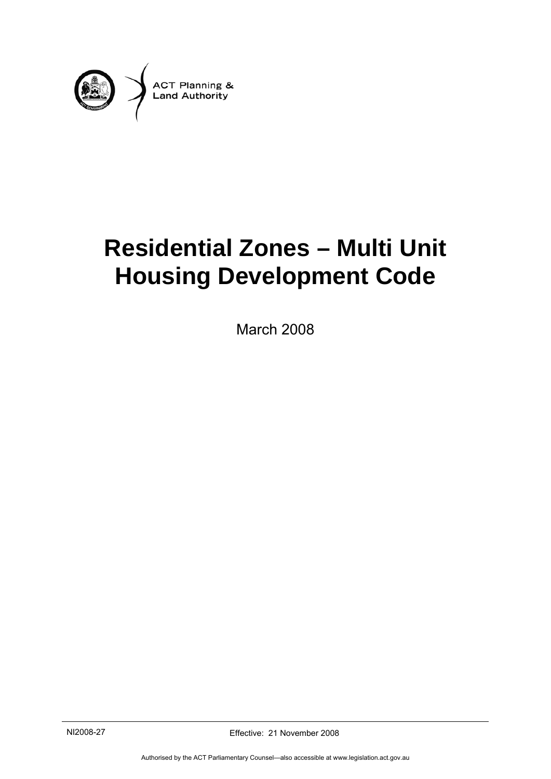

# **Residential Zones – Multi Unit Housing Development Code**

March 2008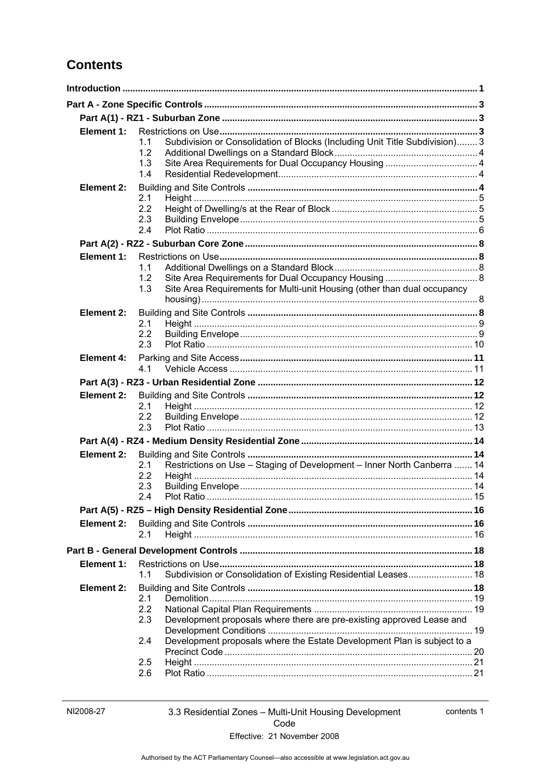# **Contents**

| Element 1:        |                                                                                       |  |
|-------------------|---------------------------------------------------------------------------------------|--|
|                   | Subdivision or Consolidation of Blocks (Including Unit Title Subdivision) 3<br>1.1    |  |
|                   | 1.2<br>1.3                                                                            |  |
|                   | 1.4                                                                                   |  |
| <b>Element 2:</b> |                                                                                       |  |
|                   | 2.1                                                                                   |  |
|                   | 2.2                                                                                   |  |
|                   | 2.3<br>2.4                                                                            |  |
|                   |                                                                                       |  |
| Element 1:        |                                                                                       |  |
|                   | 1.1                                                                                   |  |
|                   | 1.2                                                                                   |  |
|                   | Site Area Requirements for Multi-unit Housing (other than dual occupancy<br>1.3       |  |
| Element 2:        |                                                                                       |  |
|                   | 2.1                                                                                   |  |
|                   | 2.2                                                                                   |  |
|                   | 2.3                                                                                   |  |
| <b>Element 4:</b> | 4.1                                                                                   |  |
|                   |                                                                                       |  |
| Element 2:        |                                                                                       |  |
|                   | 2.1                                                                                   |  |
|                   | 2.2                                                                                   |  |
|                   | 2.3                                                                                   |  |
|                   |                                                                                       |  |
| Element 2:        |                                                                                       |  |
|                   | Restrictions on Use - Staging of Development - Inner North Canberra  14<br>2.1<br>2.2 |  |
|                   | 2.3                                                                                   |  |
|                   | 24                                                                                    |  |
|                   |                                                                                       |  |
| Element 2:        |                                                                                       |  |
|                   | 2.1                                                                                   |  |
|                   |                                                                                       |  |
| Element 1:        | 1.1                                                                                   |  |
|                   | Subdivision or Consolidation of Existing Residential Leases 18                        |  |
| <b>Element 2:</b> | 2.1                                                                                   |  |
|                   | 2.2                                                                                   |  |
|                   | Development proposals where there are pre-existing approved Lease and<br>2.3          |  |
|                   | Development proposals where the Estate Development Plan is subject to a<br>2.4        |  |
|                   |                                                                                       |  |
|                   | 2.5<br>2.6                                                                            |  |
|                   |                                                                                       |  |

contents 1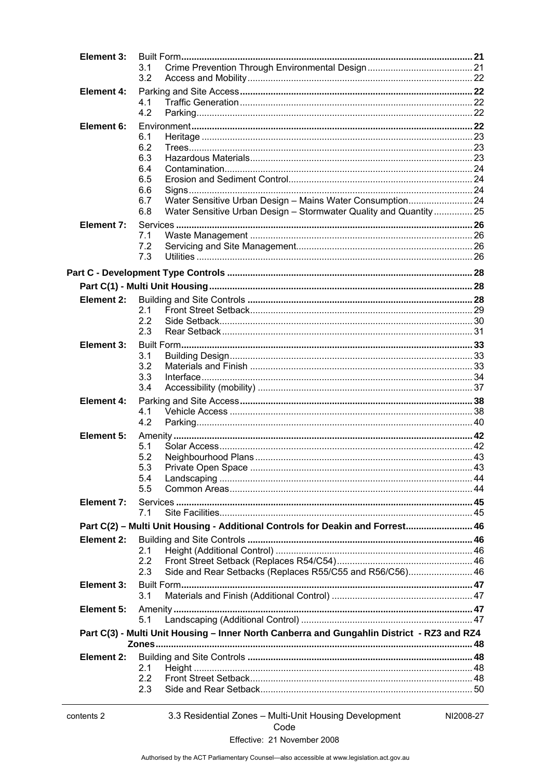| Element 3:        |                                                                                                                                              |  |
|-------------------|----------------------------------------------------------------------------------------------------------------------------------------------|--|
|                   | 3.1<br>3.2                                                                                                                                   |  |
| <b>Element 4:</b> |                                                                                                                                              |  |
|                   | 4.1                                                                                                                                          |  |
|                   | 4.2                                                                                                                                          |  |
| Element 6:        |                                                                                                                                              |  |
|                   | 6.1<br>6.2                                                                                                                                   |  |
|                   | 6.3                                                                                                                                          |  |
|                   | 6.4                                                                                                                                          |  |
|                   | 6.5                                                                                                                                          |  |
|                   | 6.6                                                                                                                                          |  |
|                   | Water Sensitive Urban Design - Mains Water Consumption 24<br>6.7<br>6.8<br>Water Sensitive Urban Design - Stormwater Quality and Quantity 25 |  |
| Element 7:        |                                                                                                                                              |  |
|                   | 7.1                                                                                                                                          |  |
|                   | 7.2                                                                                                                                          |  |
|                   | 7.3                                                                                                                                          |  |
|                   |                                                                                                                                              |  |
|                   |                                                                                                                                              |  |
| Element 2:        |                                                                                                                                              |  |
|                   | 2.1                                                                                                                                          |  |
|                   | 2.2                                                                                                                                          |  |
|                   | 2.3                                                                                                                                          |  |
| Element 3:        |                                                                                                                                              |  |
|                   | 3.1<br>3.2                                                                                                                                   |  |
|                   | 3.3                                                                                                                                          |  |
|                   | 3.4                                                                                                                                          |  |
| <b>Element 4:</b> |                                                                                                                                              |  |
|                   | 4.1                                                                                                                                          |  |
|                   | 4.2                                                                                                                                          |  |
| Element 5:        |                                                                                                                                              |  |
|                   | 5.1                                                                                                                                          |  |
|                   | 5.2<br>5.3                                                                                                                                   |  |
|                   | 5.4                                                                                                                                          |  |
|                   | 5.5                                                                                                                                          |  |
| Element 7:        |                                                                                                                                              |  |
|                   | 7.1                                                                                                                                          |  |
|                   | Part C(2) - Multi Unit Housing - Additional Controls for Deakin and Forrest 46                                                               |  |
| Element 2:        |                                                                                                                                              |  |
|                   | 2.1                                                                                                                                          |  |
|                   | 2.2<br>2.3<br>Side and Rear Setbacks (Replaces R55/C55 and R56/C56) 46                                                                       |  |
| Element 3:        |                                                                                                                                              |  |
|                   | 3.1                                                                                                                                          |  |
| Element 5:        |                                                                                                                                              |  |
|                   | 5.1                                                                                                                                          |  |
|                   | Part C(3) - Multi Unit Housing - Inner North Canberra and Gungahlin District - RZ3 and RZ4                                                   |  |
|                   |                                                                                                                                              |  |
| Element 2:        |                                                                                                                                              |  |
|                   | 2.1                                                                                                                                          |  |
|                   | 2.2<br>2.3                                                                                                                                   |  |
|                   |                                                                                                                                              |  |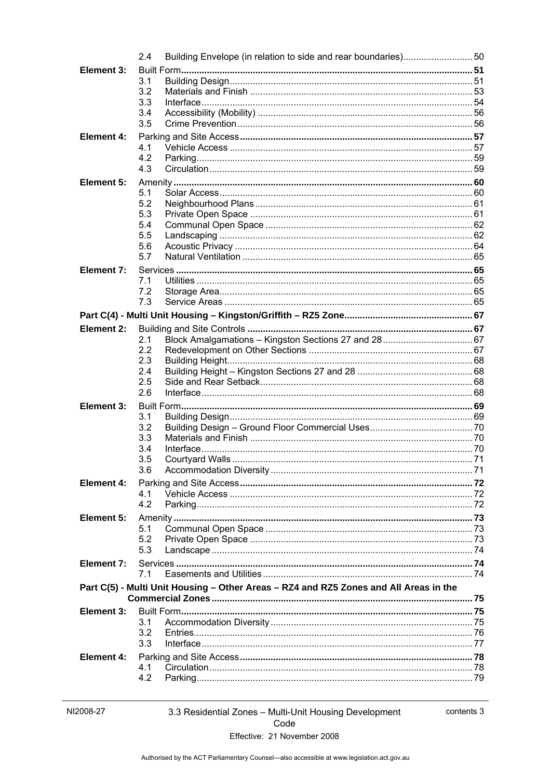|            | 2.4              | Building Envelope (in relation to side and rear boundaries)50                         |  |
|------------|------------------|---------------------------------------------------------------------------------------|--|
| Element 3: |                  |                                                                                       |  |
|            | 3.1              |                                                                                       |  |
|            | 3.2              |                                                                                       |  |
|            | 3.3              |                                                                                       |  |
|            | 3.4              |                                                                                       |  |
|            | 3.5              |                                                                                       |  |
| Element 4: |                  |                                                                                       |  |
|            | 4.1              |                                                                                       |  |
|            | 4.2<br>4.3       |                                                                                       |  |
|            |                  |                                                                                       |  |
| Element 5: | 5.1              |                                                                                       |  |
|            | 5.2              |                                                                                       |  |
|            | 5.3              |                                                                                       |  |
|            | 5.4              |                                                                                       |  |
|            | 5.5              |                                                                                       |  |
|            | 5.6              |                                                                                       |  |
|            | 5.7              |                                                                                       |  |
| Element 7: |                  |                                                                                       |  |
|            | 7.1              |                                                                                       |  |
|            | 7.2              |                                                                                       |  |
|            | 7.3              |                                                                                       |  |
|            |                  |                                                                                       |  |
| Element 2: |                  |                                                                                       |  |
|            | 2.1              |                                                                                       |  |
|            | $2.2\phantom{0}$ |                                                                                       |  |
|            | 2.3<br>2.4       |                                                                                       |  |
|            | 2.5              |                                                                                       |  |
|            | 2.6              |                                                                                       |  |
| Element 3: |                  |                                                                                       |  |
|            | 3.1              |                                                                                       |  |
|            | 3.2              |                                                                                       |  |
|            | 3.3              |                                                                                       |  |
|            | 3.4              |                                                                                       |  |
|            | 3.5              |                                                                                       |  |
|            | 3.6              |                                                                                       |  |
| Element 4: |                  |                                                                                       |  |
|            | 4.1              |                                                                                       |  |
|            | 4.2              |                                                                                       |  |
| Element 5: |                  |                                                                                       |  |
|            | 5.1              |                                                                                       |  |
|            | 5.2<br>5.3       |                                                                                       |  |
|            |                  |                                                                                       |  |
| Element 7: | 71               |                                                                                       |  |
|            |                  |                                                                                       |  |
|            |                  | Part C(5) - Multi Unit Housing - Other Areas - RZ4 and RZ5 Zones and All Areas in the |  |
| Element 3: |                  |                                                                                       |  |
|            | 3.1              |                                                                                       |  |
|            | 3.2              |                                                                                       |  |
|            | 3.3              |                                                                                       |  |
| Element 4: |                  |                                                                                       |  |
|            | 4.1              |                                                                                       |  |
|            | 4.2              |                                                                                       |  |
|            |                  |                                                                                       |  |

3.3 Residential Zones - Multi-Unit Housing Development Code

contents 3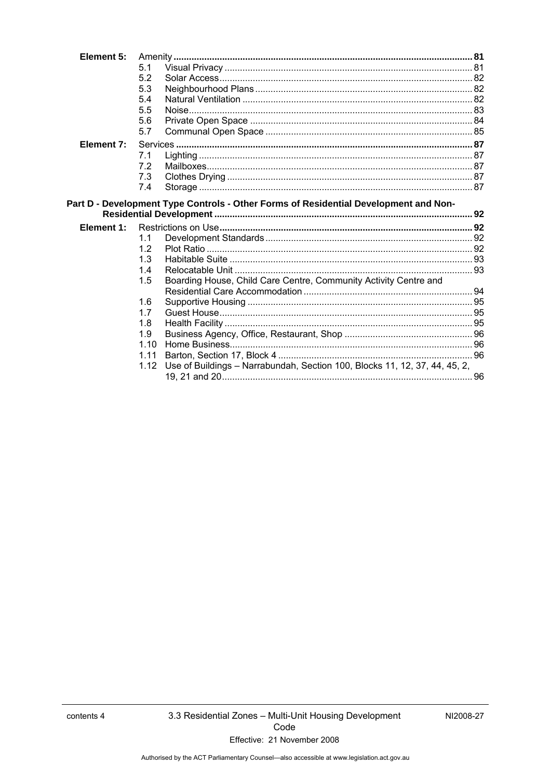| Element 5: |      |                                                                                      |  |
|------------|------|--------------------------------------------------------------------------------------|--|
|            | 5.1  |                                                                                      |  |
|            | 5.2  |                                                                                      |  |
|            | 5.3  |                                                                                      |  |
|            | 5.4  |                                                                                      |  |
|            | 5.5  |                                                                                      |  |
|            | 5.6  |                                                                                      |  |
|            | 5.7  |                                                                                      |  |
| Element 7: |      |                                                                                      |  |
|            | 7.1  |                                                                                      |  |
|            | 7.2  |                                                                                      |  |
|            | 7.3  |                                                                                      |  |
|            | 7.4  |                                                                                      |  |
|            |      | Part D - Development Type Controls - Other Forms of Residential Development and Non- |  |
|            |      |                                                                                      |  |
|            |      |                                                                                      |  |
|            |      |                                                                                      |  |
| Element 1: |      |                                                                                      |  |
|            | 1.1  |                                                                                      |  |
|            | 1.2  |                                                                                      |  |
|            | 1.3  |                                                                                      |  |
|            | 1.4  |                                                                                      |  |
|            | 1.5  | Boarding House, Child Care Centre, Community Activity Centre and                     |  |
|            |      |                                                                                      |  |
|            | 1.6  |                                                                                      |  |
|            | 1.7  |                                                                                      |  |
|            | 1.8  |                                                                                      |  |
|            | 1.9  |                                                                                      |  |
|            | 1.10 |                                                                                      |  |
|            | 1.11 |                                                                                      |  |
|            | 1.12 | Use of Buildings - Narrabundah, Section 100, Blocks 11, 12, 37, 44, 45, 2,           |  |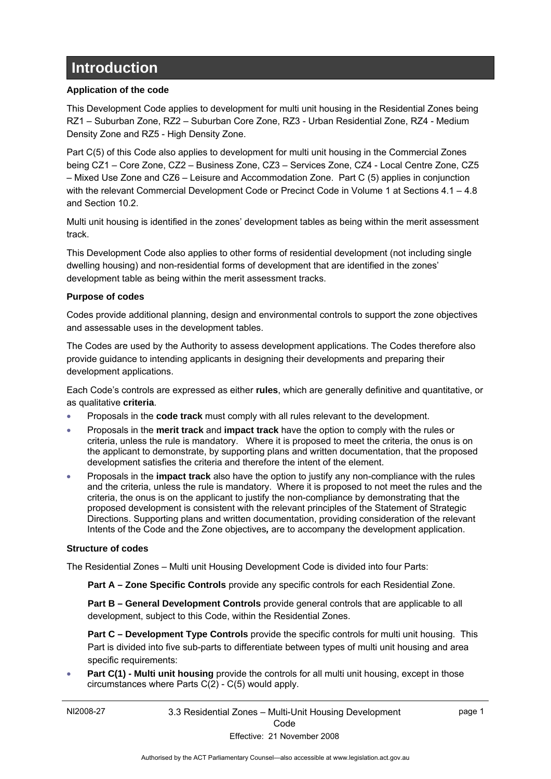# <span id="page-6-0"></span>**Introduction**

#### **Application of the code**

This Development Code applies to development for multi unit housing in the Residential Zones being RZ1 – Suburban Zone, RZ2 – Suburban Core Zone, RZ3 - Urban Residential Zone, RZ4 - Medium Density Zone and RZ5 - High Density Zone.

Part C(5) of this Code also applies to development for multi unit housing in the Commercial Zones being CZ1 – Core Zone, CZ2 – Business Zone, CZ3 – Services Zone, CZ4 - Local Centre Zone, CZ5 – Mixed Use Zone and CZ6 – Leisure and Accommodation Zone. Part C (5) applies in conjunction with the relevant Commercial Development Code or Precinct Code in Volume 1 at Sections 4.1 - 4.8 and Section 10.2.

Multi unit housing is identified in the zones' development tables as being within the merit assessment track.

This Development Code also applies to other forms of residential development (not including single dwelling housing) and non-residential forms of development that are identified in the zones' development table as being within the merit assessment tracks.

#### **Purpose of codes**

Codes provide additional planning, design and environmental controls to support the zone objectives and assessable uses in the development tables.

The Codes are used by the Authority to assess development applications. The Codes therefore also provide guidance to intending applicants in designing their developments and preparing their development applications.

Each Code's controls are expressed as either **rules**, which are generally definitive and quantitative, or as qualitative **criteria**.

- Proposals in the **code track** must comply with all rules relevant to the development.
- Proposals in the **merit track** and **impact track** have the option to comply with the rules or criteria, unless the rule is mandatory. Where it is proposed to meet the criteria, the onus is on the applicant to demonstrate, by supporting plans and written documentation, that the proposed development satisfies the criteria and therefore the intent of the element.
- Proposals in the **impact track** also have the option to justify any non-compliance with the rules and the criteria, unless the rule is mandatory. Where it is proposed to not meet the rules and the criteria, the onus is on the applicant to justify the non-compliance by demonstrating that the proposed development is consistent with the relevant principles of the Statement of Strategic Directions. Supporting plans and written documentation, providing consideration of the relevant Intents of the Code and the Zone objectives*,* are to accompany the development application.

#### **Structure of codes**

The Residential Zones – Multi unit Housing Development Code is divided into four Parts:

**Part A – Zone Specific Controls** provide any specific controls for each Residential Zone.

**Part B – General Development Controls** provide general controls that are applicable to all development, subject to this Code, within the Residential Zones.

**Part C – Development Type Controls** provide the specific controls for multi unit housing. This Part is divided into five sub-parts to differentiate between types of multi unit housing and area specific requirements:

**Part C(1) - Multi unit housing** provide the controls for all multi unit housing, except in those circumstances where Parts C(2) - C(5) would apply.

page 1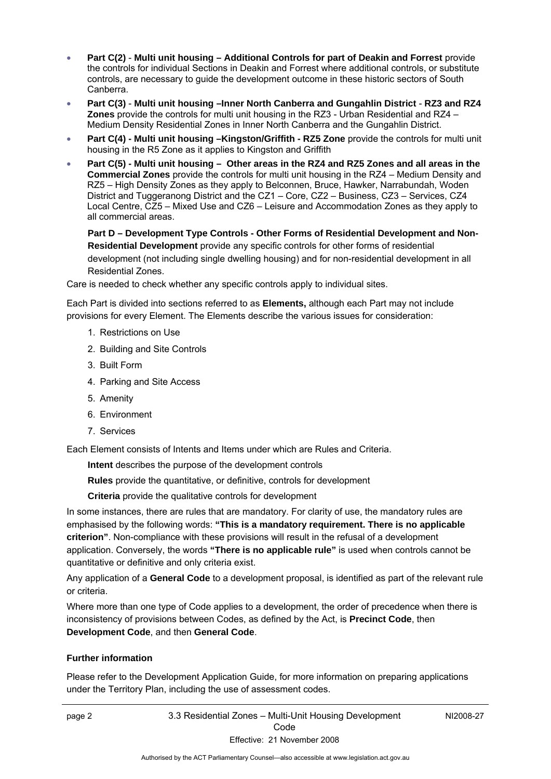- **Part C(2) Multi unit housing Additional Controls for part of Deakin and Forrest** provide the controls for individual Sections in Deakin and Forrest where additional controls, or substitute controls, are necessary to guide the development outcome in these historic sectors of South Canberra.
- **Part C(3) Multi unit housing –Inner North Canberra and Gungahlin District RZ3 and RZ4 Zones** provide the controls for multi unit housing in the RZ3 - Urban Residential and RZ4 – Medium Density Residential Zones in Inner North Canberra and the Gungahlin District.
- **Part C(4) Multi unit housing –Kingston/Griffith RZ5 Zone** provide the controls for multi unit housing in the R5 Zone as it applies to Kingston and Griffith
- **Part C(5) Multi unit housing Other areas in the RZ4 and RZ5 Zones and all areas in the Commercial Zones** provide the controls for multi unit housing in the RZ4 – Medium Density and RZ5 – High Density Zones as they apply to Belconnen, Bruce, Hawker, Narrabundah, Woden District and Tuggeranong District and the CZ1 – Core, CZ2 – Business, CZ3 – Services, CZ4 Local Centre, CZ5 – Mixed Use and CZ6 – Leisure and Accommodation Zones as they apply to all commercial areas.

**Part D – Development Type Controls - Other Forms of Residential Development and Non-Residential Development** provide any specific controls for other forms of residential development (not including single dwelling housing) and for non-residential development in all Residential Zones.

Care is needed to check whether any specific controls apply to individual sites.

Each Part is divided into sections referred to as **Elements,** although each Part may not include provisions for every Element. The Elements describe the various issues for consideration:

- 1. Restrictions on Use
- 2. Building and Site Controls
- 3. Built Form
- 4. Parking and Site Access
- 5. Amenity
- 6. Environment
- 7. Services

Each Element consists of Intents and Items under which are Rules and Criteria.

**Intent** describes the purpose of the development controls

**Rules** provide the quantitative, or definitive, controls for development

**Criteria** provide the qualitative controls for development

In some instances, there are rules that are mandatory. For clarity of use, the mandatory rules are emphasised by the following words: **"This is a mandatory requirement. There is no applicable criterion"**. Non-compliance with these provisions will result in the refusal of a development application. Conversely, the words **"There is no applicable rule"** is used when controls cannot be quantitative or definitive and only criteria exist.

Any application of a **General Code** to a development proposal, is identified as part of the relevant rule or criteria.

Where more than one type of Code applies to a development, the order of precedence when there is inconsistency of provisions between Codes, as defined by the Act, is **Precinct Code**, then **Development Code**, and then **General Code**.

#### **Further information**

Please refer to the Development Application Guide, for more information on preparing applications under the Territory Plan, including the use of assessment codes.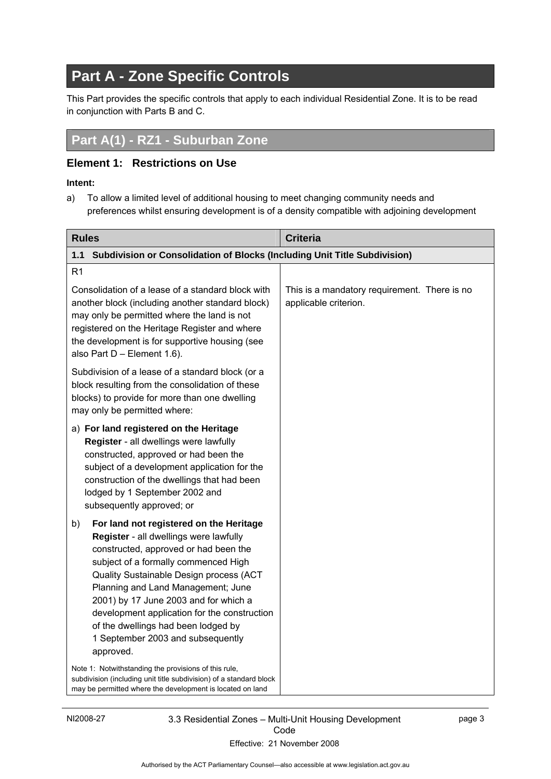# <span id="page-8-0"></span>**Part A - Zone Specific Controls**

This Part provides the specific controls that apply to each individual Residential Zone. It is to be read in conjunction with Parts B and C.

# **Part A(1) - RZ1 - Suburban Zone**

# **Element 1: Restrictions on Use**

#### **Intent:**

a) To allow a limited level of additional housing to meet changing community needs and preferences whilst ensuring development is of a density compatible with adjoining development

| <b>Rules</b>                                                                                                                                                                                                                                                                                                                                                                                                                                                                                        | <b>Criteria</b>                                                       |
|-----------------------------------------------------------------------------------------------------------------------------------------------------------------------------------------------------------------------------------------------------------------------------------------------------------------------------------------------------------------------------------------------------------------------------------------------------------------------------------------------------|-----------------------------------------------------------------------|
| Subdivision or Consolidation of Blocks (Including Unit Title Subdivision)<br>1.1                                                                                                                                                                                                                                                                                                                                                                                                                    |                                                                       |
| R <sub>1</sub>                                                                                                                                                                                                                                                                                                                                                                                                                                                                                      |                                                                       |
| Consolidation of a lease of a standard block with<br>another block (including another standard block)<br>may only be permitted where the land is not<br>registered on the Heritage Register and where<br>the development is for supportive housing (see<br>also Part D - Element 1.6).                                                                                                                                                                                                              | This is a mandatory requirement. There is no<br>applicable criterion. |
| Subdivision of a lease of a standard block (or a<br>block resulting from the consolidation of these<br>blocks) to provide for more than one dwelling<br>may only be permitted where:                                                                                                                                                                                                                                                                                                                |                                                                       |
| a) For land registered on the Heritage<br>Register - all dwellings were lawfully<br>constructed, approved or had been the<br>subject of a development application for the<br>construction of the dwellings that had been<br>lodged by 1 September 2002 and<br>subsequently approved; or                                                                                                                                                                                                             |                                                                       |
| For land not registered on the Heritage<br>b)<br>Register - all dwellings were lawfully<br>constructed, approved or had been the<br>subject of a formally commenced High<br>Quality Sustainable Design process (ACT<br>Planning and Land Management; June<br>2001) by 17 June 2003 and for which a<br>development application for the construction<br>of the dwellings had been lodged by<br>1 September 2003 and subsequently<br>approved.<br>Note 1: Notwithstanding the provisions of this rule, |                                                                       |
| subdivision (including unit title subdivision) of a standard block<br>may be permitted where the development is located on land                                                                                                                                                                                                                                                                                                                                                                     |                                                                       |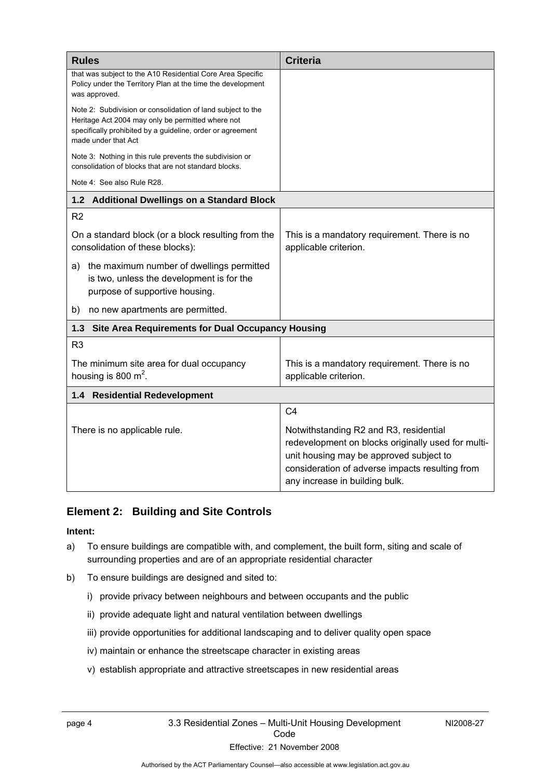<span id="page-9-0"></span>

| <b>Rules</b>                                                                                                                                                                                          | <b>Criteria</b>                                                                                                                                                                                                              |  |
|-------------------------------------------------------------------------------------------------------------------------------------------------------------------------------------------------------|------------------------------------------------------------------------------------------------------------------------------------------------------------------------------------------------------------------------------|--|
| that was subject to the A10 Residential Core Area Specific<br>Policy under the Territory Plan at the time the development<br>was approved.                                                            |                                                                                                                                                                                                                              |  |
| Note 2: Subdivision or consolidation of land subject to the<br>Heritage Act 2004 may only be permitted where not<br>specifically prohibited by a guideline, order or agreement<br>made under that Act |                                                                                                                                                                                                                              |  |
| Note 3: Nothing in this rule prevents the subdivision or<br>consolidation of blocks that are not standard blocks.                                                                                     |                                                                                                                                                                                                                              |  |
| Note 4: See also Rule R28.                                                                                                                                                                            |                                                                                                                                                                                                                              |  |
| <b>Additional Dwellings on a Standard Block</b><br>$1.2$                                                                                                                                              |                                                                                                                                                                                                                              |  |
| R <sub>2</sub>                                                                                                                                                                                        |                                                                                                                                                                                                                              |  |
| On a standard block (or a block resulting from the<br>consolidation of these blocks):                                                                                                                 | This is a mandatory requirement. There is no<br>applicable criterion.                                                                                                                                                        |  |
| the maximum number of dwellings permitted<br>a)<br>is two, unless the development is for the<br>purpose of supportive housing.                                                                        |                                                                                                                                                                                                                              |  |
| no new apartments are permitted.<br>b)                                                                                                                                                                |                                                                                                                                                                                                                              |  |
| <b>Site Area Requirements for Dual Occupancy Housing</b><br>1.3                                                                                                                                       |                                                                                                                                                                                                                              |  |
| R <sub>3</sub>                                                                                                                                                                                        |                                                                                                                                                                                                                              |  |
| The minimum site area for dual occupancy<br>housing is 800 $m^2$ .                                                                                                                                    | This is a mandatory requirement. There is no<br>applicable criterion.                                                                                                                                                        |  |
| 1.4 Residential Redevelopment                                                                                                                                                                         |                                                                                                                                                                                                                              |  |
|                                                                                                                                                                                                       | C <sub>4</sub>                                                                                                                                                                                                               |  |
| There is no applicable rule.                                                                                                                                                                          | Notwithstanding R2 and R3, residential<br>redevelopment on blocks originally used for multi-<br>unit housing may be approved subject to<br>consideration of adverse impacts resulting from<br>any increase in building bulk. |  |

# **Element 2: Building and Site Controls**

- a) To ensure buildings are compatible with, and complement, the built form, siting and scale of surrounding properties and are of an appropriate residential character
- b) To ensure buildings are designed and sited to:
	- i) provide privacy between neighbours and between occupants and the public
	- ii) provide adequate light and natural ventilation between dwellings
	- iii) provide opportunities for additional landscaping and to deliver quality open space
	- iv) maintain or enhance the streetscape character in existing areas
	- v) establish appropriate and attractive streetscapes in new residential areas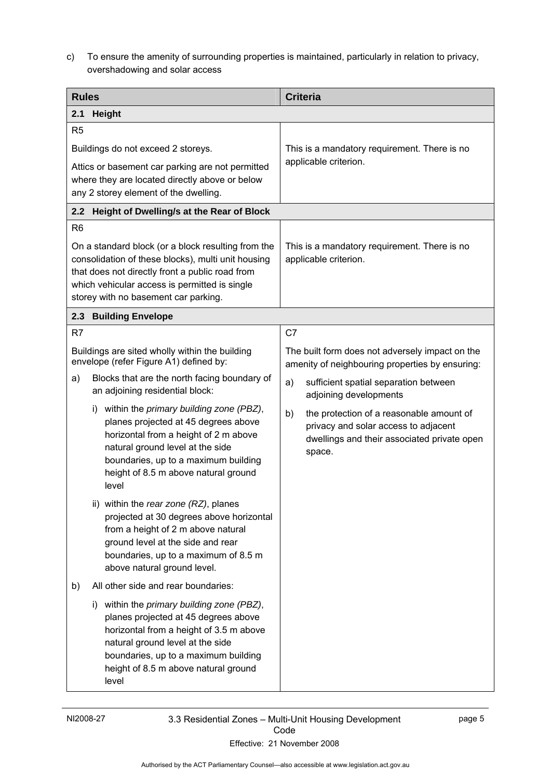<span id="page-10-0"></span>c) To ensure the amenity of surrounding properties is maintained, particularly in relation to privacy, overshadowing and solar access

| <b>Rules</b>                                                                                                                                                                                                                                                           |                                                                                                                                                                                                                                                                                                                                                                  | <b>Criteria</b>                                                                                                                                                                                                                                                                                                                        |  |  |
|------------------------------------------------------------------------------------------------------------------------------------------------------------------------------------------------------------------------------------------------------------------------|------------------------------------------------------------------------------------------------------------------------------------------------------------------------------------------------------------------------------------------------------------------------------------------------------------------------------------------------------------------|----------------------------------------------------------------------------------------------------------------------------------------------------------------------------------------------------------------------------------------------------------------------------------------------------------------------------------------|--|--|
| Height<br>2.1                                                                                                                                                                                                                                                          |                                                                                                                                                                                                                                                                                                                                                                  |                                                                                                                                                                                                                                                                                                                                        |  |  |
| R <sub>5</sub><br>Buildings do not exceed 2 storeys.<br>Attics or basement car parking are not permitted<br>where they are located directly above or below<br>any 2 storey element of the dwelling.                                                                    |                                                                                                                                                                                                                                                                                                                                                                  | This is a mandatory requirement. There is no<br>applicable criterion.                                                                                                                                                                                                                                                                  |  |  |
|                                                                                                                                                                                                                                                                        | 2.2 Height of Dwelling/s at the Rear of Block                                                                                                                                                                                                                                                                                                                    |                                                                                                                                                                                                                                                                                                                                        |  |  |
| R <sub>6</sub><br>On a standard block (or a block resulting from the<br>consolidation of these blocks), multi unit housing<br>that does not directly front a public road from<br>which vehicular access is permitted is single<br>storey with no basement car parking. |                                                                                                                                                                                                                                                                                                                                                                  | This is a mandatory requirement. There is no<br>applicable criterion.                                                                                                                                                                                                                                                                  |  |  |
| 2.3                                                                                                                                                                                                                                                                    | <b>Building Envelope</b>                                                                                                                                                                                                                                                                                                                                         |                                                                                                                                                                                                                                                                                                                                        |  |  |
| R <sub>7</sub><br>a)                                                                                                                                                                                                                                                   | Buildings are sited wholly within the building<br>envelope (refer Figure A1) defined by:<br>Blocks that are the north facing boundary of<br>an adjoining residential block:<br>i) within the <i>primary building zone (PBZ)</i> ,<br>planes projected at 45 degrees above<br>horizontal from a height of 2 m above                                               | C <sub>7</sub><br>The built form does not adversely impact on the<br>amenity of neighbouring properties by ensuring:<br>sufficient spatial separation between<br>a)<br>adjoining developments<br>the protection of a reasonable amount of<br>b)<br>privacy and solar access to adjacent<br>dwellings and their associated private open |  |  |
|                                                                                                                                                                                                                                                                        | natural ground level at the side<br>boundaries, up to a maximum building<br>height of 8.5 m above natural ground<br>level<br>ii) within the rear zone (RZ), planes<br>projected at 30 degrees above horizontal<br>from a height of 2 m above natural<br>ground level at the side and rear<br>boundaries, up to a maximum of 8.5 m<br>above natural ground level. | space.                                                                                                                                                                                                                                                                                                                                 |  |  |
| b)<br>I)                                                                                                                                                                                                                                                               | All other side and rear boundaries:<br>within the primary building zone (PBZ),<br>planes projected at 45 degrees above<br>horizontal from a height of 3.5 m above<br>natural ground level at the side<br>boundaries, up to a maximum building<br>height of 8.5 m above natural ground<br>level                                                                   |                                                                                                                                                                                                                                                                                                                                        |  |  |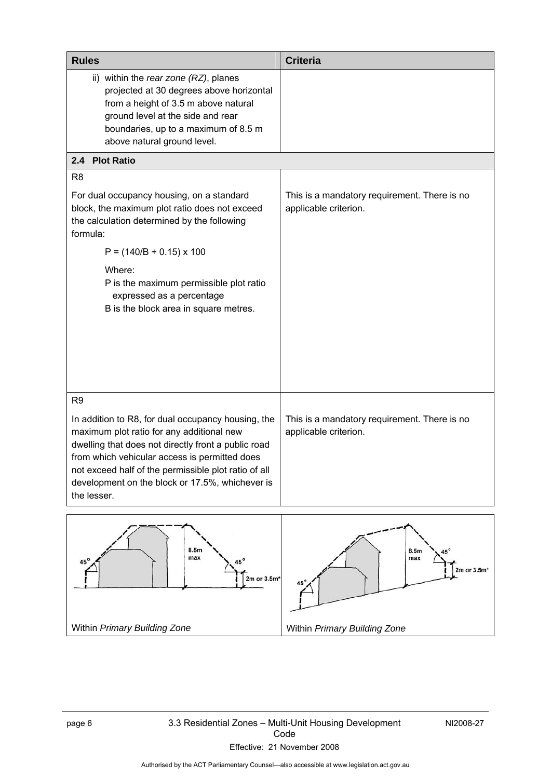<span id="page-11-0"></span>

| <b>Rules</b>                                                                                                                                                                                                                                                                                                                                        | <b>Criteria</b>                                                       |
|-----------------------------------------------------------------------------------------------------------------------------------------------------------------------------------------------------------------------------------------------------------------------------------------------------------------------------------------------------|-----------------------------------------------------------------------|
| ii) within the rear zone (RZ), planes<br>projected at 30 degrees above horizontal<br>from a height of 3.5 m above natural<br>ground level at the side and rear<br>boundaries, up to a maximum of 8.5 m<br>above natural ground level.                                                                                                               |                                                                       |
| <b>Plot Ratio</b><br>2.4                                                                                                                                                                                                                                                                                                                            |                                                                       |
| R <sub>8</sub>                                                                                                                                                                                                                                                                                                                                      |                                                                       |
| For dual occupancy housing, on a standard<br>block, the maximum plot ratio does not exceed<br>the calculation determined by the following<br>formula:                                                                                                                                                                                               | This is a mandatory requirement. There is no<br>applicable criterion. |
| $P = (140/B + 0.15) \times 100$                                                                                                                                                                                                                                                                                                                     |                                                                       |
| Where:<br>P is the maximum permissible plot ratio<br>expressed as a percentage<br>B is the block area in square metres.                                                                                                                                                                                                                             |                                                                       |
| R <sub>9</sub><br>In addition to R8, for dual occupancy housing, the<br>maximum plot ratio for any additional new<br>dwelling that does not directly front a public road<br>from which vehicular access is permitted does<br>not exceed half of the permissible plot ratio of all<br>development on the block or 17.5%, whichever is<br>the lesser. | This is a mandatory requirement. There is no<br>applicable criterion. |
| 8.5m<br>max<br>$45^{\rm o}$<br><b>ភេ</b> °<br>2m or 3.5m*                                                                                                                                                                                                                                                                                           | 8.5m<br>max<br>2m or 3.5m*                                            |

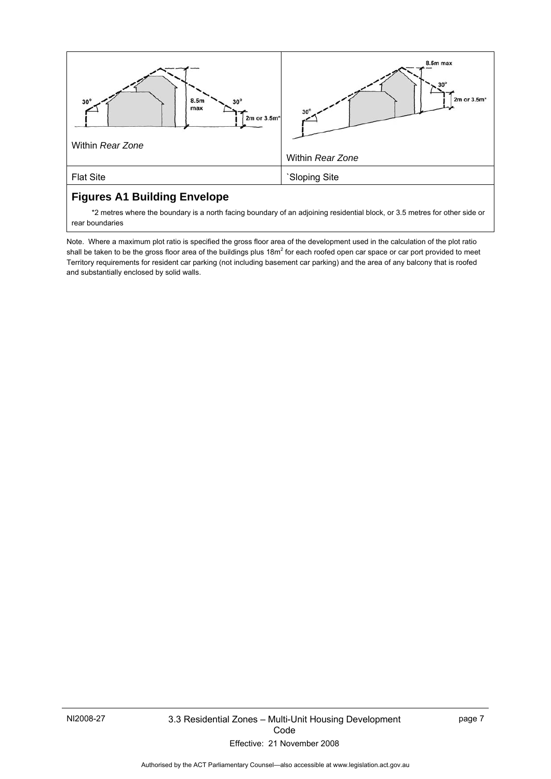

# **Figures A1 Building Envelope**

 \*2 metres where the boundary is a north facing boundary of an adjoining residential block, or 3.5 metres for other side or rear boundaries

Note. Where a maximum plot ratio is specified the gross floor area of the development used in the calculation of the plot ratio shall be taken to be the gross floor area of the buildings plus 18m<sup>2</sup> for each roofed open car space or car port provided to meet Territory requirements for resident car parking (not including basement car parking) and the area of any balcony that is roofed and substantially enclosed by solid walls.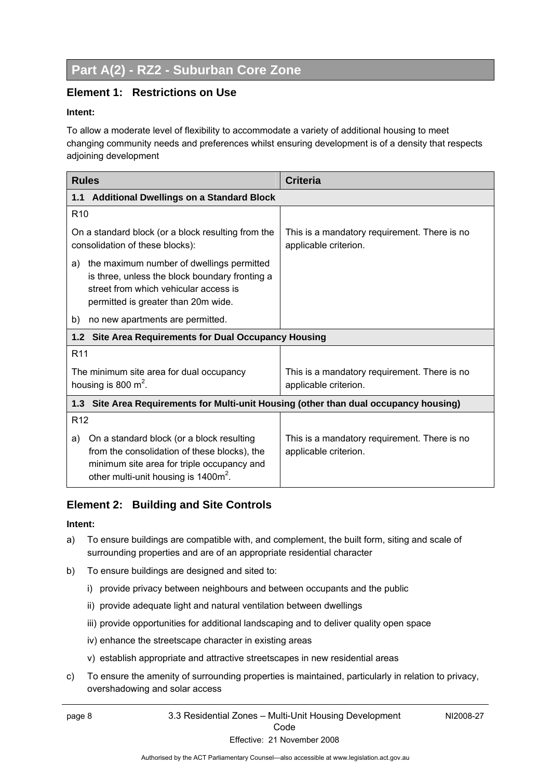# <span id="page-13-0"></span>**Part A(2) - RZ2 - Suburban Core Zone**

### **Element 1: Restrictions on Use**

#### **Intent:**

To allow a moderate level of flexibility to accommodate a variety of additional housing to meet changing community needs and preferences whilst ensuring development is of a density that respects adjoining development

| <b>Rules</b>                                                                                                                                                                                      | <b>Criteria</b>                                                       |  |  |  |
|---------------------------------------------------------------------------------------------------------------------------------------------------------------------------------------------------|-----------------------------------------------------------------------|--|--|--|
| <b>Additional Dwellings on a Standard Block</b><br>1.1                                                                                                                                            |                                                                       |  |  |  |
| R <sub>10</sub>                                                                                                                                                                                   |                                                                       |  |  |  |
| On a standard block (or a block resulting from the<br>consolidation of these blocks):                                                                                                             | This is a mandatory requirement. There is no<br>applicable criterion. |  |  |  |
| the maximum number of dwellings permitted<br>a)<br>is three, unless the block boundary fronting a<br>street from which vehicular access is<br>permitted is greater than 20m wide.                 |                                                                       |  |  |  |
| b)<br>no new apartments are permitted.                                                                                                                                                            |                                                                       |  |  |  |
| <b>Site Area Requirements for Dual Occupancy Housing</b><br>1.2 <sub>2</sub>                                                                                                                      |                                                                       |  |  |  |
| R <sub>11</sub>                                                                                                                                                                                   |                                                                       |  |  |  |
| The minimum site area for dual occupancy<br>housing is 800 $m^2$ .                                                                                                                                | This is a mandatory requirement. There is no<br>applicable criterion. |  |  |  |
| Site Area Requirements for Multi-unit Housing (other than dual occupancy housing)<br>1.3                                                                                                          |                                                                       |  |  |  |
| R <sub>12</sub>                                                                                                                                                                                   |                                                                       |  |  |  |
| On a standard block (or a block resulting<br>a)<br>from the consolidation of these blocks), the<br>minimum site area for triple occupancy and<br>other multi-unit housing is 1400m <sup>2</sup> . | This is a mandatory requirement. There is no<br>applicable criterion. |  |  |  |

### **Element 2: Building and Site Controls**

#### **Intent:**

- a) To ensure buildings are compatible with, and complement, the built form, siting and scale of surrounding properties and are of an appropriate residential character
- b) To ensure buildings are designed and sited to:
	- i) provide privacy between neighbours and between occupants and the public
	- ii) provide adequate light and natural ventilation between dwellings
	- iii) provide opportunities for additional landscaping and to deliver quality open space
	- iv) enhance the streetscape character in existing areas
	- v) establish appropriate and attractive streetscapes in new residential areas
- c) To ensure the amenity of surrounding properties is maintained, particularly in relation to privacy, overshadowing and solar access

NI2008-27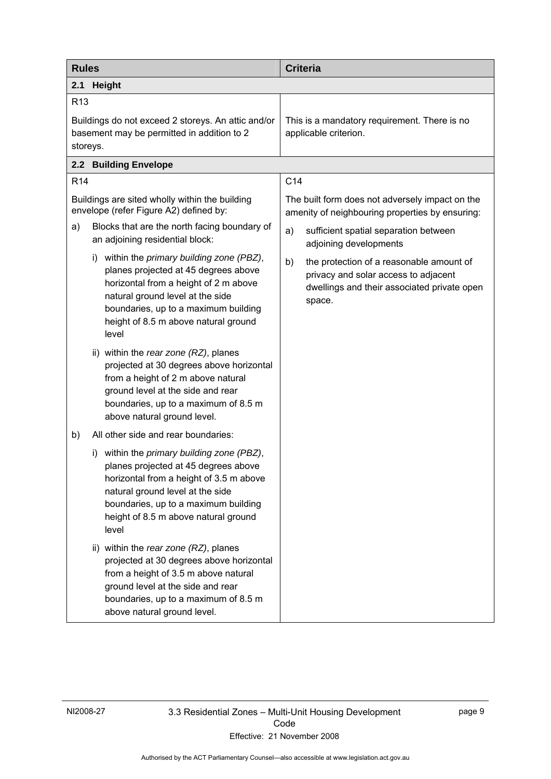<span id="page-14-0"></span>

| <b>Rules</b>                                                                                                                                                                                                                                                  | <b>Criteria</b>                                                                                                                                 |
|---------------------------------------------------------------------------------------------------------------------------------------------------------------------------------------------------------------------------------------------------------------|-------------------------------------------------------------------------------------------------------------------------------------------------|
| 2.1<br>Height                                                                                                                                                                                                                                                 |                                                                                                                                                 |
| R <sub>13</sub>                                                                                                                                                                                                                                               |                                                                                                                                                 |
| Buildings do not exceed 2 storeys. An attic and/or<br>basement may be permitted in addition to 2<br>storeys.                                                                                                                                                  | This is a mandatory requirement. There is no<br>applicable criterion.                                                                           |
| 2.2 Building Envelope                                                                                                                                                                                                                                         |                                                                                                                                                 |
| R <sub>14</sub>                                                                                                                                                                                                                                               | C <sub>14</sub>                                                                                                                                 |
| Buildings are sited wholly within the building<br>envelope (refer Figure A2) defined by:                                                                                                                                                                      | The built form does not adversely impact on the<br>amenity of neighbouring properties by ensuring:                                              |
| Blocks that are the north facing boundary of<br>a)<br>an adjoining residential block:                                                                                                                                                                         | sufficient spatial separation between<br>a)<br>adjoining developments                                                                           |
| i) within the primary building zone (PBZ),<br>planes projected at 45 degrees above<br>horizontal from a height of 2 m above<br>natural ground level at the side<br>boundaries, up to a maximum building<br>height of 8.5 m above natural ground<br>level      | b)<br>the protection of a reasonable amount of<br>privacy and solar access to adjacent<br>dwellings and their associated private open<br>space. |
| ii) within the rear zone (RZ), planes<br>projected at 30 degrees above horizontal<br>from a height of 2 m above natural<br>ground level at the side and rear<br>boundaries, up to a maximum of 8.5 m<br>above natural ground level.                           |                                                                                                                                                 |
| All other side and rear boundaries:<br>b)                                                                                                                                                                                                                     |                                                                                                                                                 |
| within the primary building zone (PBZ),<br>I)<br>planes projected at 45 degrees above<br>horizontal from a height of 3.5 m above<br>natural ground level at the side<br>boundaries, up to a maximum building<br>height of 8.5 m above natural ground<br>level |                                                                                                                                                 |
| ii) within the rear zone (RZ), planes<br>projected at 30 degrees above horizontal<br>from a height of 3.5 m above natural<br>ground level at the side and rear<br>boundaries, up to a maximum of 8.5 m<br>above natural ground level.                         |                                                                                                                                                 |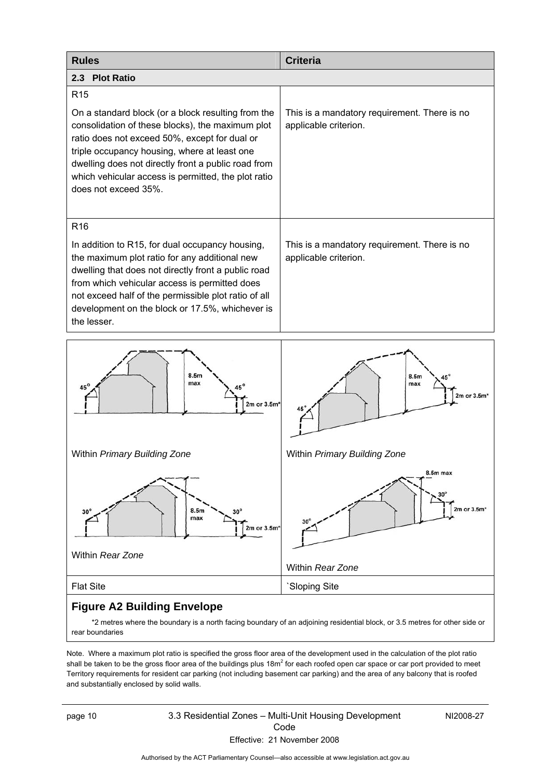<span id="page-15-0"></span>

| <b>Rules</b>                                                                                                                                                                                                                                                                                                                                  | <b>Criteria</b>                                                       |
|-----------------------------------------------------------------------------------------------------------------------------------------------------------------------------------------------------------------------------------------------------------------------------------------------------------------------------------------------|-----------------------------------------------------------------------|
| 2.3 Plot Ratio                                                                                                                                                                                                                                                                                                                                |                                                                       |
| R <sub>15</sub>                                                                                                                                                                                                                                                                                                                               |                                                                       |
| On a standard block (or a block resulting from the<br>consolidation of these blocks), the maximum plot<br>ratio does not exceed 50%, except for dual or<br>triple occupancy housing, where at least one<br>dwelling does not directly front a public road from<br>which vehicular access is permitted, the plot ratio<br>does not exceed 35%. | This is a mandatory requirement. There is no<br>applicable criterion. |
| R <sub>16</sub>                                                                                                                                                                                                                                                                                                                               |                                                                       |
| In addition to R15, for dual occupancy housing,<br>the maximum plot ratio for any additional new<br>dwelling that does not directly front a public road<br>from which vehicular access is permitted does<br>not exceed half of the permissible plot ratio of all<br>development on the block or 17.5%, whichever is<br>the lesser.            | This is a mandatory requirement. There is no<br>applicable criterion. |



# **Figure A2 Building Envelope**

 \*2 metres where the boundary is a north facing boundary of an adjoining residential block, or 3.5 metres for other side or rear boundaries

Note. Where a maximum plot ratio is specified the gross floor area of the development used in the calculation of the plot ratio shall be taken to be the gross floor area of the buildings plus 18m<sup>2</sup> for each roofed open car space or car port provided to meet Territory requirements for resident car parking (not including basement car parking) and the area of any balcony that is roofed and substantially enclosed by solid walls.).

page 10 3.3 Residential Zones – Multi-Unit Housing Development Code

NI2008-27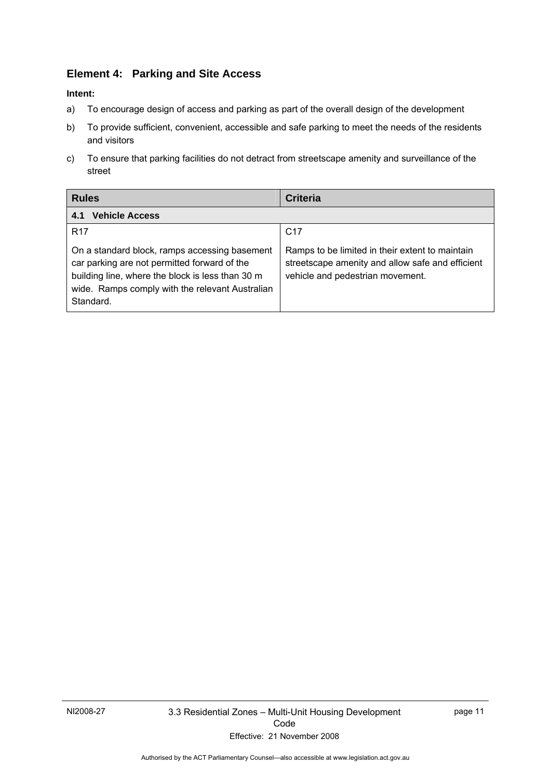# <span id="page-16-0"></span>**Element 4: Parking and Site Access**

- a) To encourage design of access and parking as part of the overall design of the development
- b) To provide sufficient, convenient, accessible and safe parking to meet the needs of the residents and visitors
- c) To ensure that parking facilities do not detract from streetscape amenity and surveillance of the street

| <b>Rules</b>                                                                                                                                                                                                      | <b>Criteria</b>                                                                                                                         |
|-------------------------------------------------------------------------------------------------------------------------------------------------------------------------------------------------------------------|-----------------------------------------------------------------------------------------------------------------------------------------|
| <b>Vehicle Access</b><br>4.1                                                                                                                                                                                      |                                                                                                                                         |
| R <sub>17</sub>                                                                                                                                                                                                   | C <sub>17</sub>                                                                                                                         |
| On a standard block, ramps accessing basement<br>car parking are not permitted forward of the<br>building line, where the block is less than 30 m<br>wide. Ramps comply with the relevant Australian<br>Standard. | Ramps to be limited in their extent to maintain<br>streetscape amenity and allow safe and efficient<br>vehicle and pedestrian movement. |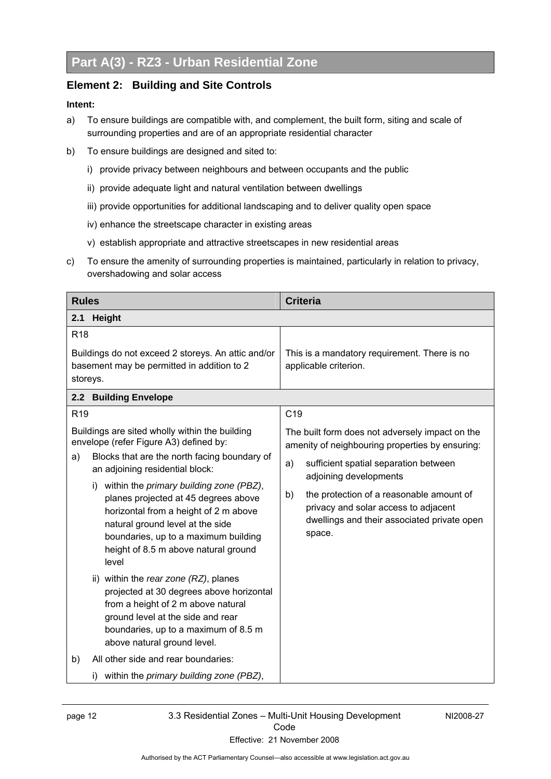# <span id="page-17-0"></span>**Element 2: Building and Site Controls**

- a) To ensure buildings are compatible with, and complement, the built form, siting and scale of surrounding properties and are of an appropriate residential character
- b) To ensure buildings are designed and sited to:
	- i) provide privacy between neighbours and between occupants and the public
	- ii) provide adequate light and natural ventilation between dwellings
	- iii) provide opportunities for additional landscaping and to deliver quality open space
	- iv) enhance the streetscape character in existing areas
	- v) establish appropriate and attractive streetscapes in new residential areas
- c) To ensure the amenity of surrounding properties is maintained, particularly in relation to privacy, overshadowing and solar access

| <b>Rules</b>                                                                                                                                                                                                                                                | <b>Criteria</b>                                                                                                                                 |
|-------------------------------------------------------------------------------------------------------------------------------------------------------------------------------------------------------------------------------------------------------------|-------------------------------------------------------------------------------------------------------------------------------------------------|
| 2.1<br>Height                                                                                                                                                                                                                                               |                                                                                                                                                 |
| R <sub>18</sub>                                                                                                                                                                                                                                             |                                                                                                                                                 |
| Buildings do not exceed 2 storeys. An attic and/or<br>basement may be permitted in addition to 2<br>storeys.                                                                                                                                                | This is a mandatory requirement. There is no<br>applicable criterion.                                                                           |
| 2.2 Building Envelope                                                                                                                                                                                                                                       |                                                                                                                                                 |
| R <sub>19</sub>                                                                                                                                                                                                                                             | C <sub>19</sub>                                                                                                                                 |
| Buildings are sited wholly within the building<br>envelope (refer Figure A3) defined by:                                                                                                                                                                    | The built form does not adversely impact on the<br>amenity of neighbouring properties by ensuring:                                              |
| Blocks that are the north facing boundary of<br>a)<br>an adjoining residential block:                                                                                                                                                                       | sufficient spatial separation between<br>a)<br>adjoining developments                                                                           |
| within the primary building zone (PBZ),<br>i)<br>planes projected at 45 degrees above<br>horizontal from a height of 2 m above<br>natural ground level at the side<br>boundaries, up to a maximum building<br>height of 8.5 m above natural ground<br>level | the protection of a reasonable amount of<br>b)<br>privacy and solar access to adjacent<br>dwellings and their associated private open<br>space. |
| ii) within the rear zone (RZ), planes<br>projected at 30 degrees above horizontal<br>from a height of 2 m above natural<br>ground level at the side and rear<br>boundaries, up to a maximum of 8.5 m<br>above natural ground level.                         |                                                                                                                                                 |
| All other side and rear boundaries:<br>b)                                                                                                                                                                                                                   |                                                                                                                                                 |
| within the primary building zone (PBZ),<br>i)                                                                                                                                                                                                               |                                                                                                                                                 |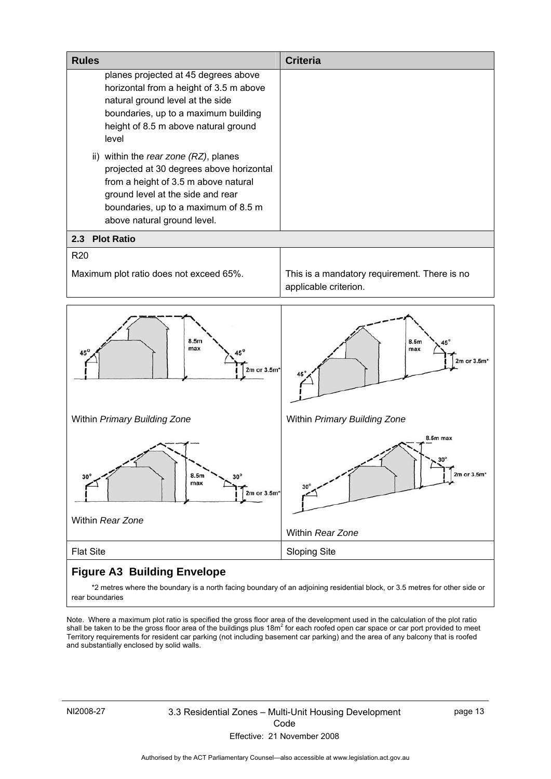<span id="page-18-0"></span>

| <b>Rules</b>                                                                                                                                                                                                                          | <b>Criteria</b>                                                       |
|---------------------------------------------------------------------------------------------------------------------------------------------------------------------------------------------------------------------------------------|-----------------------------------------------------------------------|
| planes projected at 45 degrees above<br>horizontal from a height of 3.5 m above<br>natural ground level at the side<br>boundaries, up to a maximum building<br>height of 8.5 m above natural ground<br>level                          |                                                                       |
| ii) within the rear zone (RZ), planes<br>projected at 30 degrees above horizontal<br>from a height of 3.5 m above natural<br>ground level at the side and rear<br>boundaries, up to a maximum of 8.5 m<br>above natural ground level. |                                                                       |
| <b>Plot Ratio</b><br>2.3                                                                                                                                                                                                              |                                                                       |
| <b>R20</b><br>Maximum plot ratio does not exceed 65%.                                                                                                                                                                                 | This is a mandatory requirement. There is no<br>applicable criterion. |
| 8.5m<br>max<br>45 <sup>°</sup><br>$2m$ or $3.5m*$                                                                                                                                                                                     | 8.5m<br>max<br>2m or 3.5m*                                            |
| Within Primary Building Zone                                                                                                                                                                                                          | Within Primary Building Zone                                          |
| 8.5m<br>30 <sup>°</sup><br>max<br>2m or 3.5m*                                                                                                                                                                                         | 8.5m max<br>2m or 3.5m*                                               |

ىلە Within *Rear Zone* Within *Rear Zone* Flat Site Sloping Site Sloping Site

# **Figure A3 Building Envelope**

 \*2 metres where the boundary is a north facing boundary of an adjoining residential block, or 3.5 metres for other side or rear boundaries

Note. Where a maximum plot ratio is specified the gross floor area of the development used in the calculation of the plot ratio shall be taken to be the gross floor area of the buildings plus  $18m^2$  for each roofed open car space or car port provided to meet Territory requirements for resident car parking (not including basement car parking) and the area of any balcony that is roofed and substantially enclosed by solid walls.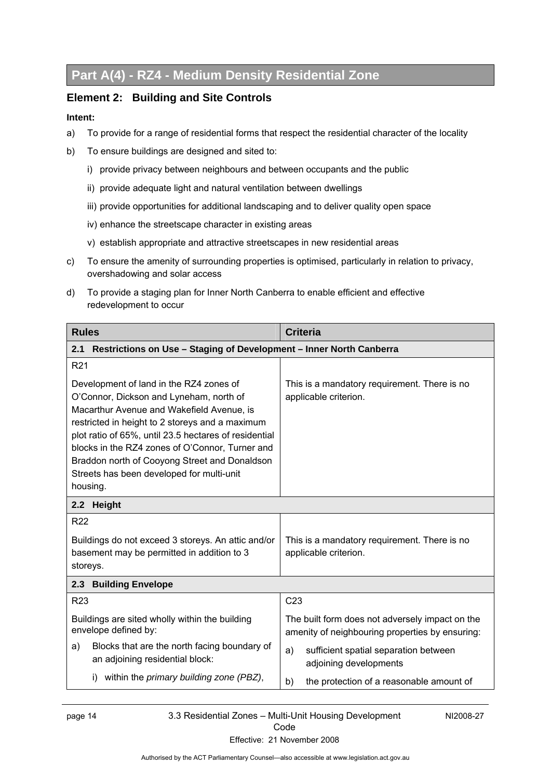# <span id="page-19-0"></span>**Part A(4) - RZ4 - Medium Density Residential Zone**

### **Element 2: Building and Site Controls**

- a) To provide for a range of residential forms that respect the residential character of the locality
- b) To ensure buildings are designed and sited to:
	- i) provide privacy between neighbours and between occupants and the public
	- ii) provide adequate light and natural ventilation between dwellings
	- iii) provide opportunities for additional landscaping and to deliver quality open space
	- iv) enhance the streetscape character in existing areas
	- v) establish appropriate and attractive streetscapes in new residential areas
- c) To ensure the amenity of surrounding properties is optimised, particularly in relation to privacy, overshadowing and solar access
- d) To provide a staging plan for Inner North Canberra to enable efficient and effective redevelopment to occur

| <b>Rules</b>                                                                                                                                                                                                                                                                                                                                                                                             | <b>Criteria</b>                                                                                    |  |
|----------------------------------------------------------------------------------------------------------------------------------------------------------------------------------------------------------------------------------------------------------------------------------------------------------------------------------------------------------------------------------------------------------|----------------------------------------------------------------------------------------------------|--|
| Restrictions on Use - Staging of Development - Inner North Canberra<br>2.1                                                                                                                                                                                                                                                                                                                               |                                                                                                    |  |
| R <sub>21</sub>                                                                                                                                                                                                                                                                                                                                                                                          |                                                                                                    |  |
| Development of land in the RZ4 zones of<br>O'Connor, Dickson and Lyneham, north of<br>Macarthur Avenue and Wakefield Avenue, is<br>restricted in height to 2 storeys and a maximum<br>plot ratio of 65%, until 23.5 hectares of residential<br>blocks in the RZ4 zones of O'Connor, Turner and<br>Braddon north of Cooyong Street and Donaldson<br>Streets has been developed for multi-unit<br>housing. | This is a mandatory requirement. There is no<br>applicable criterion.                              |  |
| 2.2 Height                                                                                                                                                                                                                                                                                                                                                                                               |                                                                                                    |  |
| R <sub>22</sub>                                                                                                                                                                                                                                                                                                                                                                                          |                                                                                                    |  |
| Buildings do not exceed 3 storeys. An attic and/or<br>basement may be permitted in addition to 3<br>storeys.                                                                                                                                                                                                                                                                                             | This is a mandatory requirement. There is no<br>applicable criterion.                              |  |
| <b>Building Envelope</b><br>2.3                                                                                                                                                                                                                                                                                                                                                                          |                                                                                                    |  |
| R <sub>23</sub>                                                                                                                                                                                                                                                                                                                                                                                          | C <sub>23</sub>                                                                                    |  |
| Buildings are sited wholly within the building<br>envelope defined by:                                                                                                                                                                                                                                                                                                                                   | The built form does not adversely impact on the<br>amenity of neighbouring properties by ensuring: |  |
| Blocks that are the north facing boundary of<br>a)<br>an adjoining residential block:                                                                                                                                                                                                                                                                                                                    | sufficient spatial separation between<br>a)<br>adjoining developments                              |  |
| within the primary building zone (PBZ),<br>i)                                                                                                                                                                                                                                                                                                                                                            | the protection of a reasonable amount of<br>b)                                                     |  |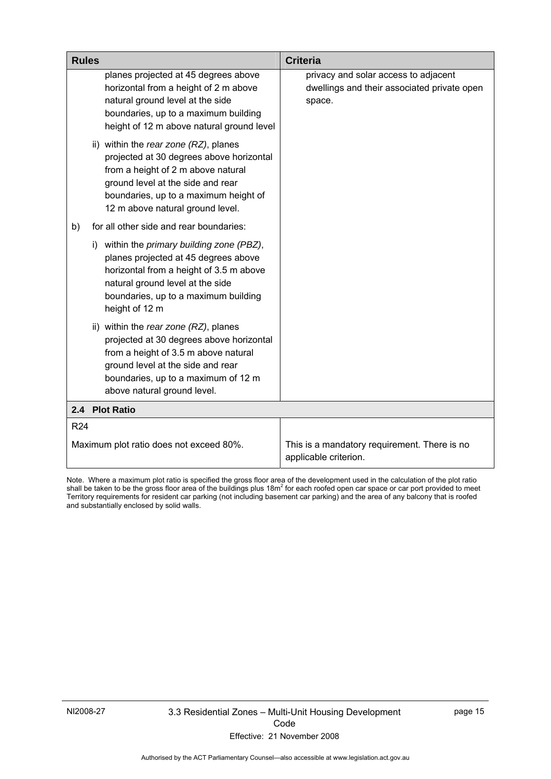<span id="page-20-0"></span>

| <b>Rules</b>                                                                                                                                                                                                                              | <b>Criteria</b>                                                                               |
|-------------------------------------------------------------------------------------------------------------------------------------------------------------------------------------------------------------------------------------------|-----------------------------------------------------------------------------------------------|
| planes projected at 45 degrees above<br>horizontal from a height of 2 m above<br>natural ground level at the side<br>boundaries, up to a maximum building<br>height of 12 m above natural ground level                                    | privacy and solar access to adjacent<br>dwellings and their associated private open<br>space. |
| ii) within the rear zone (RZ), planes<br>projected at 30 degrees above horizontal<br>from a height of 2 m above natural<br>ground level at the side and rear<br>boundaries, up to a maximum height of<br>12 m above natural ground level. |                                                                                               |
| for all other side and rear boundaries:<br>b)                                                                                                                                                                                             |                                                                                               |
| i) within the primary building zone (PBZ),<br>planes projected at 45 degrees above<br>horizontal from a height of 3.5 m above<br>natural ground level at the side<br>boundaries, up to a maximum building<br>height of 12 m               |                                                                                               |
| ii) within the rear zone (RZ), planes<br>projected at 30 degrees above horizontal<br>from a height of 3.5 m above natural<br>ground level at the side and rear<br>boundaries, up to a maximum of 12 m<br>above natural ground level.      |                                                                                               |
| 2.4 Plot Ratio                                                                                                                                                                                                                            |                                                                                               |
| <b>R24</b><br>Maximum plot ratio does not exceed 80%.                                                                                                                                                                                     | This is a mandatory requirement. There is no<br>applicable criterion.                         |

Note. Where a maximum plot ratio is specified the gross floor area of the development used in the calculation of the plot ratio shall be taken to be the gross floor area of the buildings plus  $18m^2$  for each roofed open car space or car port provided to meet Territory requirements for resident car parking (not including basement car parking) and the area of any balcony that is roofed and substantially enclosed by solid walls.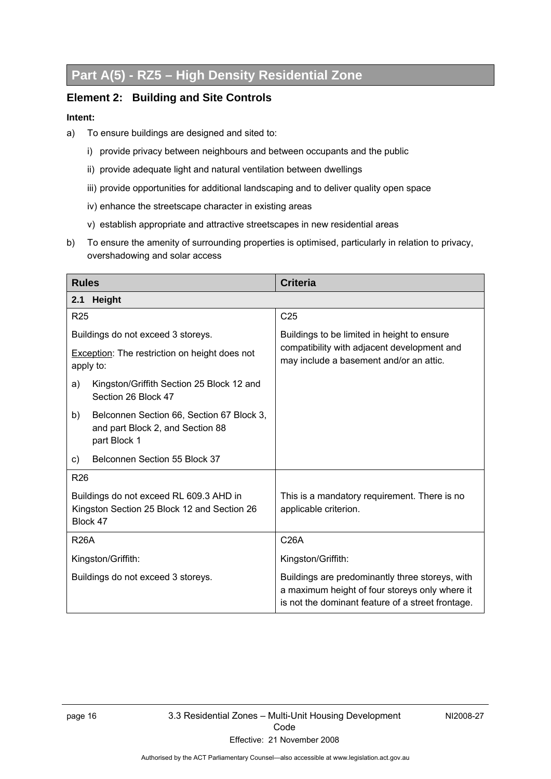# <span id="page-21-0"></span>**Part A(5) - RZ5 – High Density Residential Zone**

### **Element 2: Building and Site Controls**

- a) To ensure buildings are designed and sited to:
	- i) provide privacy between neighbours and between occupants and the public
	- ii) provide adequate light and natural ventilation between dwellings
	- iii) provide opportunities for additional landscaping and to deliver quality open space
	- iv) enhance the streetscape character in existing areas
	- v) establish appropriate and attractive streetscapes in new residential areas
- b) To ensure the amenity of surrounding properties is optimised, particularly in relation to privacy, overshadowing and solar access

| <b>Rules</b>    |                                                                                                    | <b>Criteria</b>                                                                                                                                        |
|-----------------|----------------------------------------------------------------------------------------------------|--------------------------------------------------------------------------------------------------------------------------------------------------------|
| 2.1             | <b>Height</b>                                                                                      |                                                                                                                                                        |
| R <sub>25</sub> |                                                                                                    | C <sub>25</sub>                                                                                                                                        |
|                 | Buildings do not exceed 3 storeys.                                                                 | Buildings to be limited in height to ensure                                                                                                            |
|                 | Exception: The restriction on height does not<br>apply to:                                         | compatibility with adjacent development and<br>may include a basement and/or an attic.                                                                 |
| a)              | Kingston/Griffith Section 25 Block 12 and<br>Section 26 Block 47                                   |                                                                                                                                                        |
| b)              | Belconnen Section 66, Section 67 Block 3,<br>and part Block 2, and Section 88<br>part Block 1      |                                                                                                                                                        |
| c)              | Belconnen Section 55 Block 37                                                                      |                                                                                                                                                        |
| R <sub>26</sub> |                                                                                                    |                                                                                                                                                        |
|                 | Buildings do not exceed RL 609.3 AHD in<br>Kingston Section 25 Block 12 and Section 26<br>Block 47 | This is a mandatory requirement. There is no<br>applicable criterion.                                                                                  |
| <b>R26A</b>     |                                                                                                    | <b>C26A</b>                                                                                                                                            |
|                 | Kingston/Griffith:                                                                                 | Kingston/Griffith:                                                                                                                                     |
|                 | Buildings do not exceed 3 storeys.                                                                 | Buildings are predominantly three storeys, with<br>a maximum height of four storeys only where it<br>is not the dominant feature of a street frontage. |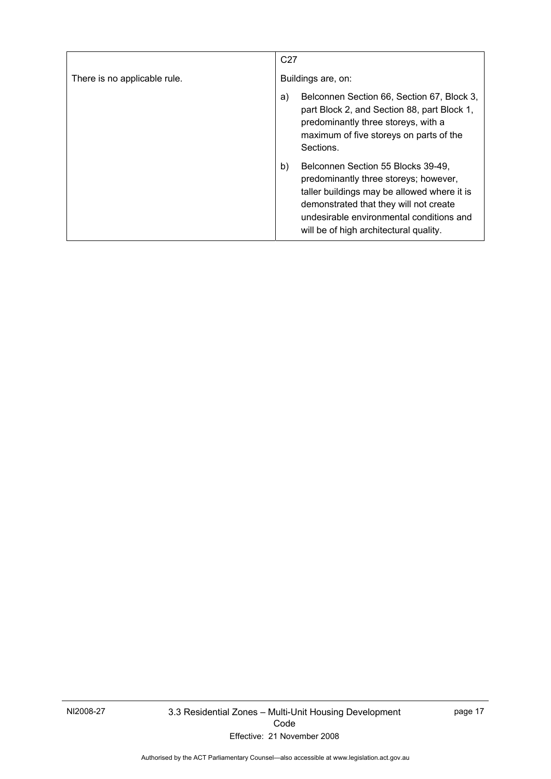|                              | C <sub>27</sub>                                                                                                                                                                                                                                                  |
|------------------------------|------------------------------------------------------------------------------------------------------------------------------------------------------------------------------------------------------------------------------------------------------------------|
| There is no applicable rule. | Buildings are, on:                                                                                                                                                                                                                                               |
|                              | Belconnen Section 66, Section 67, Block 3,<br>a)<br>part Block 2, and Section 88, part Block 1,<br>predominantly three storeys, with a<br>maximum of five storeys on parts of the<br>Sections.                                                                   |
|                              | Belconnen Section 55 Blocks 39-49,<br>b)<br>predominantly three storeys; however,<br>taller buildings may be allowed where it is<br>demonstrated that they will not create<br>undesirable environmental conditions and<br>will be of high architectural quality. |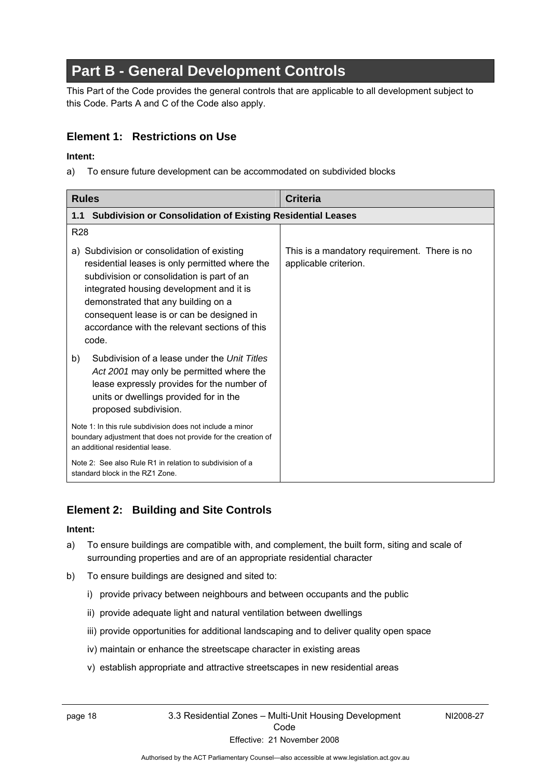# <span id="page-23-0"></span>**Part B - General Development Controls**

This Part of the Code provides the general controls that are applicable to all development subject to this Code. Parts A and C of the Code also apply.

### **Element 1: Restrictions on Use**

#### **Intent:**

a) To ensure future development can be accommodated on subdivided blocks

| <b>Rules</b>                                                                                                                                                                                                                                                                                                                          | <b>Criteria</b>                                                       |
|---------------------------------------------------------------------------------------------------------------------------------------------------------------------------------------------------------------------------------------------------------------------------------------------------------------------------------------|-----------------------------------------------------------------------|
| <b>Subdivision or Consolidation of Existing Residential Leases</b><br>1.1                                                                                                                                                                                                                                                             |                                                                       |
| R <sub>28</sub>                                                                                                                                                                                                                                                                                                                       |                                                                       |
| a) Subdivision or consolidation of existing<br>residential leases is only permitted where the<br>subdivision or consolidation is part of an<br>integrated housing development and it is<br>demonstrated that any building on a<br>consequent lease is or can be designed in<br>accordance with the relevant sections of this<br>code. | This is a mandatory requirement. There is no<br>applicable criterion. |
| Subdivision of a lease under the Unit Titles<br>b)<br>Act 2001 may only be permitted where the<br>lease expressly provides for the number of<br>units or dwellings provided for in the<br>proposed subdivision.                                                                                                                       |                                                                       |
| Note 1: In this rule subdivision does not include a minor<br>boundary adjustment that does not provide for the creation of<br>an additional residential lease.                                                                                                                                                                        |                                                                       |
| Note 2: See also Rule R1 in relation to subdivision of a<br>standard block in the RZ1 Zone.                                                                                                                                                                                                                                           |                                                                       |

# **Element 2: Building and Site Controls**

- a) To ensure buildings are compatible with, and complement, the built form, siting and scale of surrounding properties and are of an appropriate residential character
- b) To ensure buildings are designed and sited to:
	- i) provide privacy between neighbours and between occupants and the public
	- ii) provide adequate light and natural ventilation between dwellings
	- iii) provide opportunities for additional landscaping and to deliver quality open space
	- iv) maintain or enhance the streetscape character in existing areas
	- v) establish appropriate and attractive streetscapes in new residential areas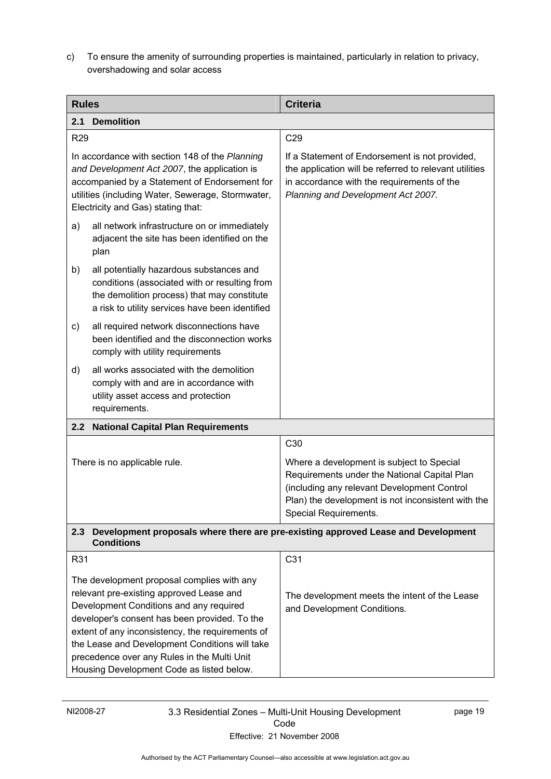<span id="page-24-0"></span>c) To ensure the amenity of surrounding properties is maintained, particularly in relation to privacy, overshadowing and solar access

| <b>Rules</b>                                                                                                  |                                                                                                                                                                                                                                                                                                                                                                                      | <b>Criteria</b>                                                                                                                                                                              |  |
|---------------------------------------------------------------------------------------------------------------|--------------------------------------------------------------------------------------------------------------------------------------------------------------------------------------------------------------------------------------------------------------------------------------------------------------------------------------------------------------------------------------|----------------------------------------------------------------------------------------------------------------------------------------------------------------------------------------------|--|
| 2.1                                                                                                           | <b>Demolition</b>                                                                                                                                                                                                                                                                                                                                                                    |                                                                                                                                                                                              |  |
| <b>R29</b>                                                                                                    |                                                                                                                                                                                                                                                                                                                                                                                      | C <sub>29</sub>                                                                                                                                                                              |  |
|                                                                                                               | In accordance with section 148 of the Planning<br>and Development Act 2007, the application is<br>accompanied by a Statement of Endorsement for<br>utilities (including Water, Sewerage, Stormwater,<br>Electricity and Gas) stating that:                                                                                                                                           | If a Statement of Endorsement is not provided,<br>the application will be referred to relevant utilities<br>in accordance with the requirements of the<br>Planning and Development Act 2007. |  |
| a)                                                                                                            | all network infrastructure on or immediately<br>adjacent the site has been identified on the<br>plan                                                                                                                                                                                                                                                                                 |                                                                                                                                                                                              |  |
| b)                                                                                                            | all potentially hazardous substances and<br>conditions (associated with or resulting from<br>the demolition process) that may constitute<br>a risk to utility services have been identified                                                                                                                                                                                          |                                                                                                                                                                                              |  |
| c)                                                                                                            | all required network disconnections have<br>been identified and the disconnection works<br>comply with utility requirements                                                                                                                                                                                                                                                          |                                                                                                                                                                                              |  |
| d)                                                                                                            | all works associated with the demolition<br>comply with and are in accordance with<br>utility asset access and protection<br>requirements.                                                                                                                                                                                                                                           |                                                                                                                                                                                              |  |
| 2.2                                                                                                           | <b>National Capital Plan Requirements</b>                                                                                                                                                                                                                                                                                                                                            |                                                                                                                                                                                              |  |
|                                                                                                               | There is no applicable rule.                                                                                                                                                                                                                                                                                                                                                         | C <sub>30</sub><br>Where a development is subject to Special                                                                                                                                 |  |
|                                                                                                               |                                                                                                                                                                                                                                                                                                                                                                                      | Requirements under the National Capital Plan<br>(including any relevant Development Control<br>Plan) the development is not inconsistent with the<br>Special Requirements.                   |  |
| Development proposals where there are pre-existing approved Lease and Development<br>2.3<br><b>Conditions</b> |                                                                                                                                                                                                                                                                                                                                                                                      |                                                                                                                                                                                              |  |
| R31                                                                                                           |                                                                                                                                                                                                                                                                                                                                                                                      | C31                                                                                                                                                                                          |  |
|                                                                                                               | The development proposal complies with any<br>relevant pre-existing approved Lease and<br>Development Conditions and any required<br>developer's consent has been provided. To the<br>extent of any inconsistency, the requirements of<br>the Lease and Development Conditions will take<br>precedence over any Rules in the Multi Unit<br>Housing Development Code as listed below. | The development meets the intent of the Lease<br>and Development Conditions.                                                                                                                 |  |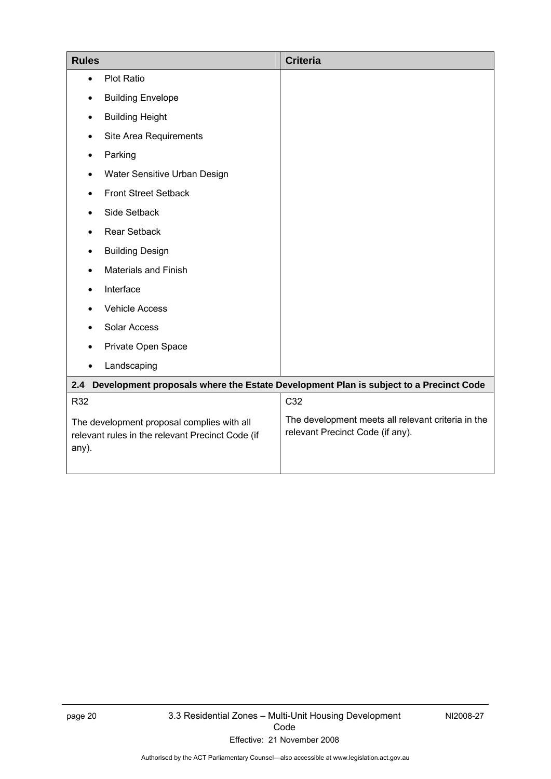<span id="page-25-0"></span>

| <b>Rules</b>                                                                              |                                                                                                | <b>Criteria</b>                                                                        |
|-------------------------------------------------------------------------------------------|------------------------------------------------------------------------------------------------|----------------------------------------------------------------------------------------|
| $\bullet$                                                                                 | <b>Plot Ratio</b>                                                                              |                                                                                        |
|                                                                                           | <b>Building Envelope</b>                                                                       |                                                                                        |
| $\bullet$                                                                                 | <b>Building Height</b>                                                                         |                                                                                        |
|                                                                                           | Site Area Requirements                                                                         |                                                                                        |
| $\bullet$                                                                                 | Parking                                                                                        |                                                                                        |
|                                                                                           | Water Sensitive Urban Design                                                                   |                                                                                        |
|                                                                                           | <b>Front Street Setback</b>                                                                    |                                                                                        |
|                                                                                           | Side Setback                                                                                   |                                                                                        |
| $\bullet$                                                                                 | <b>Rear Setback</b>                                                                            |                                                                                        |
| $\bullet$                                                                                 | <b>Building Design</b>                                                                         |                                                                                        |
|                                                                                           | <b>Materials and Finish</b>                                                                    |                                                                                        |
| $\bullet$                                                                                 | Interface                                                                                      |                                                                                        |
|                                                                                           | <b>Vehicle Access</b>                                                                          |                                                                                        |
|                                                                                           | Solar Access                                                                                   |                                                                                        |
|                                                                                           | Private Open Space                                                                             |                                                                                        |
| $\bullet$                                                                                 | Landscaping                                                                                    |                                                                                        |
| 2.4 Development proposals where the Estate Development Plan is subject to a Precinct Code |                                                                                                |                                                                                        |
| R32                                                                                       |                                                                                                | C32                                                                                    |
| any).                                                                                     | The development proposal complies with all<br>relevant rules in the relevant Precinct Code (if | The development meets all relevant criteria in the<br>relevant Precinct Code (if any). |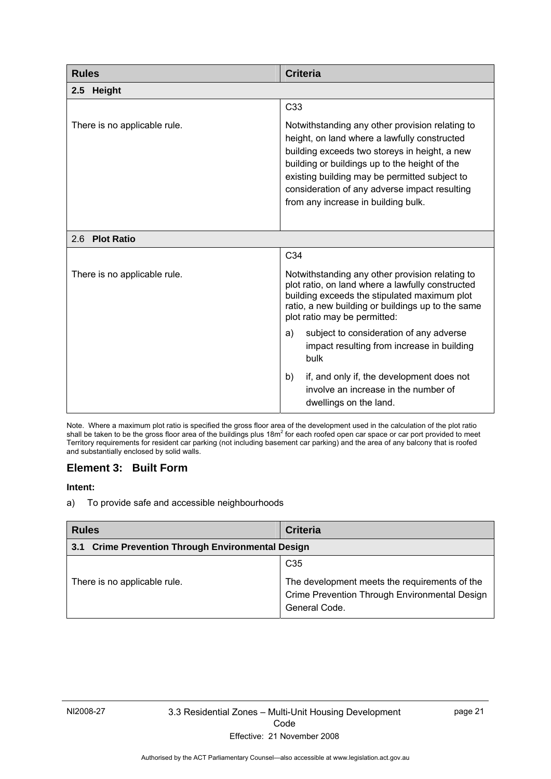<span id="page-26-0"></span>

| <b>Rules</b>                 | <b>Criteria</b>                                                                                                                                                                                                                                                                                                                            |  |
|------------------------------|--------------------------------------------------------------------------------------------------------------------------------------------------------------------------------------------------------------------------------------------------------------------------------------------------------------------------------------------|--|
| 2.5 Height                   |                                                                                                                                                                                                                                                                                                                                            |  |
|                              | C <sub>33</sub>                                                                                                                                                                                                                                                                                                                            |  |
| There is no applicable rule. | Notwithstanding any other provision relating to<br>height, on land where a lawfully constructed<br>building exceeds two storeys in height, a new<br>building or buildings up to the height of the<br>existing building may be permitted subject to<br>consideration of any adverse impact resulting<br>from any increase in building bulk. |  |
| 2.6 Plot Ratio               |                                                                                                                                                                                                                                                                                                                                            |  |
|                              | C34                                                                                                                                                                                                                                                                                                                                        |  |
| There is no applicable rule. | Notwithstanding any other provision relating to<br>plot ratio, on land where a lawfully constructed<br>building exceeds the stipulated maximum plot<br>ratio, a new building or buildings up to the same<br>plot ratio may be permitted:                                                                                                   |  |
|                              | subject to consideration of any adverse<br>a)<br>impact resulting from increase in building<br>bulk                                                                                                                                                                                                                                        |  |
|                              | if, and only if, the development does not<br>b)<br>involve an increase in the number of<br>dwellings on the land.                                                                                                                                                                                                                          |  |

Note. Where a maximum plot ratio is specified the gross floor area of the development used in the calculation of the plot ratio<br>shall be taken to be the gross floor area of the buildings plus 18m<sup>2</sup> for each roofed open ca Territory requirements for resident car parking (not including basement car parking) and the area of any balcony that is roofed and substantially enclosed by solid walls.

### **Element 3: Built Form**

#### **Intent:**

a) To provide safe and accessible neighbourhoods

| <b>Rules</b>                                                | <b>Criteria</b>                                                                                                 |
|-------------------------------------------------------------|-----------------------------------------------------------------------------------------------------------------|
| <b>Crime Prevention Through Environmental Design</b><br>3.1 |                                                                                                                 |
|                                                             | C <sub>35</sub>                                                                                                 |
| There is no applicable rule.                                | The development meets the requirements of the<br>Crime Prevention Through Environmental Design<br>General Code. |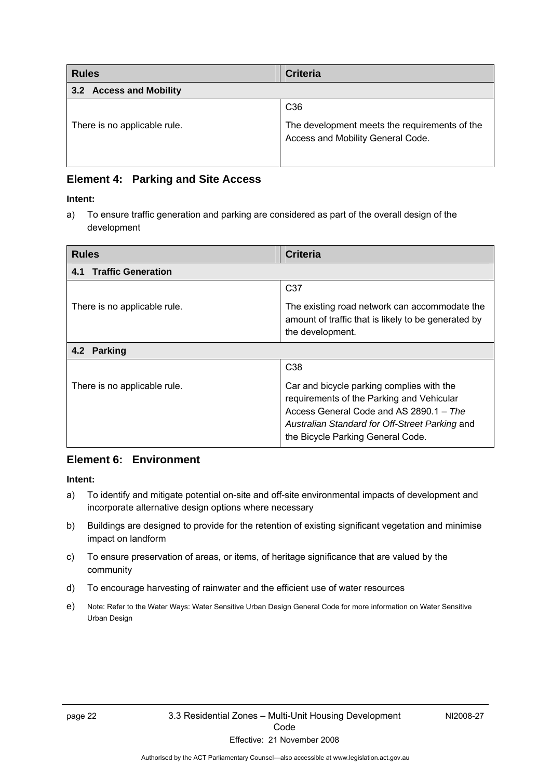<span id="page-27-0"></span>

| <b>Rules</b>                 | <b>Criteria</b>                                                                    |
|------------------------------|------------------------------------------------------------------------------------|
| 3.2 Access and Mobility      |                                                                                    |
|                              | C <sub>36</sub>                                                                    |
| There is no applicable rule. | The development meets the requirements of the<br>Access and Mobility General Code. |

### **Element 4: Parking and Site Access**

#### **Intent:**

a) To ensure traffic generation and parking are considered as part of the overall design of the development

| <b>Rules</b>                     | <b>Criteria</b>                                                                                                                                                                                                          |
|----------------------------------|--------------------------------------------------------------------------------------------------------------------------------------------------------------------------------------------------------------------------|
| <b>Traffic Generation</b><br>4.1 |                                                                                                                                                                                                                          |
|                                  | C <sub>37</sub>                                                                                                                                                                                                          |
| There is no applicable rule.     | The existing road network can accommodate the<br>amount of traffic that is likely to be generated by<br>the development.                                                                                                 |
| 4.2 Parking                      |                                                                                                                                                                                                                          |
|                                  | C <sub>38</sub>                                                                                                                                                                                                          |
| There is no applicable rule.     | Car and bicycle parking complies with the<br>requirements of the Parking and Vehicular<br>Access General Code and AS 2890.1 - The<br>Australian Standard for Off-Street Parking and<br>the Bicycle Parking General Code. |

### **Element 6: Environment**

- a) To identify and mitigate potential on-site and off-site environmental impacts of development and incorporate alternative design options where necessary
- b) Buildings are designed to provide for the retention of existing significant vegetation and minimise impact on landform
- c) To ensure preservation of areas, or items, of heritage significance that are valued by the community
- d) To encourage harvesting of rainwater and the efficient use of water resources
- e) Note: Refer to the Water Ways: Water Sensitive Urban Design General Code for more information on Water Sensitive Urban Design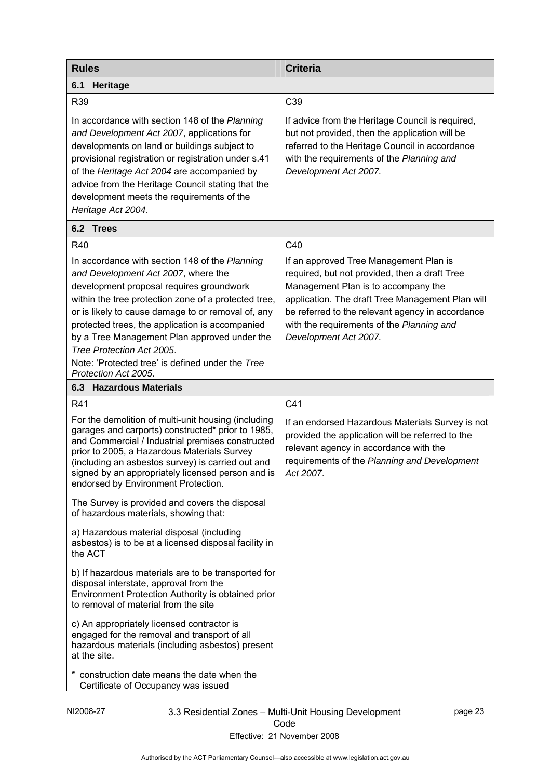<span id="page-28-0"></span>

| <b>Rules</b>                                                                                                                                                                                                                                                                                                                                                                                                                                                | <b>Criteria</b>                                                                                                                                                                                                                                                                                              |
|-------------------------------------------------------------------------------------------------------------------------------------------------------------------------------------------------------------------------------------------------------------------------------------------------------------------------------------------------------------------------------------------------------------------------------------------------------------|--------------------------------------------------------------------------------------------------------------------------------------------------------------------------------------------------------------------------------------------------------------------------------------------------------------|
| 6.1<br><b>Heritage</b>                                                                                                                                                                                                                                                                                                                                                                                                                                      |                                                                                                                                                                                                                                                                                                              |
| R39                                                                                                                                                                                                                                                                                                                                                                                                                                                         | C39                                                                                                                                                                                                                                                                                                          |
| In accordance with section 148 of the Planning<br>and Development Act 2007, applications for<br>developments on land or buildings subject to<br>provisional registration or registration under s.41<br>of the Heritage Act 2004 are accompanied by<br>advice from the Heritage Council stating that the<br>development meets the requirements of the<br>Heritage Act 2004.                                                                                  | If advice from the Heritage Council is required,<br>but not provided, then the application will be<br>referred to the Heritage Council in accordance<br>with the requirements of the Planning and<br>Development Act 2007.                                                                                   |
| 6.2 Trees                                                                                                                                                                                                                                                                                                                                                                                                                                                   |                                                                                                                                                                                                                                                                                                              |
| R40                                                                                                                                                                                                                                                                                                                                                                                                                                                         | C40                                                                                                                                                                                                                                                                                                          |
| In accordance with section 148 of the Planning<br>and Development Act 2007, where the<br>development proposal requires groundwork<br>within the tree protection zone of a protected tree,<br>or is likely to cause damage to or removal of, any<br>protected trees, the application is accompanied<br>by a Tree Management Plan approved under the<br>Tree Protection Act 2005.<br>Note: 'Protected tree' is defined under the Tree<br>Protection Act 2005. | If an approved Tree Management Plan is<br>required, but not provided, then a draft Tree<br>Management Plan is to accompany the<br>application. The draft Tree Management Plan will<br>be referred to the relevant agency in accordance<br>with the requirements of the Planning and<br>Development Act 2007. |
| 6.3 Hazardous Materials                                                                                                                                                                                                                                                                                                                                                                                                                                     |                                                                                                                                                                                                                                                                                                              |
| R41                                                                                                                                                                                                                                                                                                                                                                                                                                                         | C41                                                                                                                                                                                                                                                                                                          |
| For the demolition of multi-unit housing (including<br>garages and carports) constructed* prior to 1985,<br>and Commercial / Industrial premises constructed<br>prior to 2005, a Hazardous Materials Survey<br>(including an asbestos survey) is carried out and<br>signed by an appropriately licensed person and is<br>endorsed by Environment Protection.                                                                                                | If an endorsed Hazardous Materials Survey is not<br>provided the application will be referred to the<br>relevant agency in accordance with the<br>requirements of the Planning and Development<br>Act 2007.                                                                                                  |
| The Survey is provided and covers the disposal<br>of hazardous materials, showing that:                                                                                                                                                                                                                                                                                                                                                                     |                                                                                                                                                                                                                                                                                                              |
| a) Hazardous material disposal (including<br>asbestos) is to be at a licensed disposal facility in<br>the ACT                                                                                                                                                                                                                                                                                                                                               |                                                                                                                                                                                                                                                                                                              |
| b) If hazardous materials are to be transported for<br>disposal interstate, approval from the<br>Environment Protection Authority is obtained prior<br>to removal of material from the site                                                                                                                                                                                                                                                                 |                                                                                                                                                                                                                                                                                                              |
| c) An appropriately licensed contractor is<br>engaged for the removal and transport of all<br>hazardous materials (including asbestos) present<br>at the site.                                                                                                                                                                                                                                                                                              |                                                                                                                                                                                                                                                                                                              |
| construction date means the date when the<br>Certificate of Occupancy was issued                                                                                                                                                                                                                                                                                                                                                                            |                                                                                                                                                                                                                                                                                                              |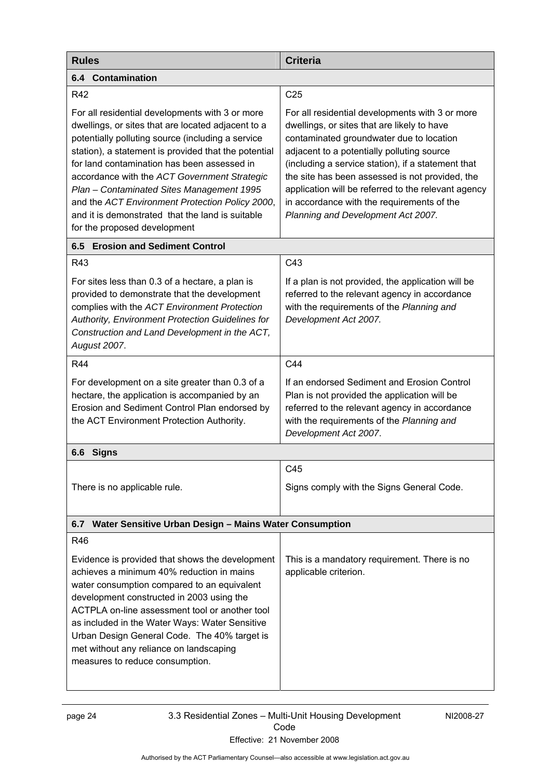<span id="page-29-0"></span>

| <b>Rules</b>                                                                                                                                                                                                                                                                                                                                                                                                                                                                                          | <b>Criteria</b>                                                                                                                                                                                                                                                                                                                                                                                                                              |
|-------------------------------------------------------------------------------------------------------------------------------------------------------------------------------------------------------------------------------------------------------------------------------------------------------------------------------------------------------------------------------------------------------------------------------------------------------------------------------------------------------|----------------------------------------------------------------------------------------------------------------------------------------------------------------------------------------------------------------------------------------------------------------------------------------------------------------------------------------------------------------------------------------------------------------------------------------------|
| <b>6.4 Contamination</b>                                                                                                                                                                                                                                                                                                                                                                                                                                                                              |                                                                                                                                                                                                                                                                                                                                                                                                                                              |
| R42                                                                                                                                                                                                                                                                                                                                                                                                                                                                                                   | C <sub>25</sub>                                                                                                                                                                                                                                                                                                                                                                                                                              |
| For all residential developments with 3 or more<br>dwellings, or sites that are located adjacent to a<br>potentially polluting source (including a service<br>station), a statement is provided that the potential<br>for land contamination has been assessed in<br>accordance with the ACT Government Strategic<br>Plan - Contaminated Sites Management 1995<br>and the ACT Environment Protection Policy 2000,<br>and it is demonstrated that the land is suitable<br>for the proposed development | For all residential developments with 3 or more<br>dwellings, or sites that are likely to have<br>contaminated groundwater due to location<br>adjacent to a potentially polluting source<br>(including a service station), if a statement that<br>the site has been assessed is not provided, the<br>application will be referred to the relevant agency<br>in accordance with the requirements of the<br>Planning and Development Act 2007. |
| 6.5 Erosion and Sediment Control                                                                                                                                                                                                                                                                                                                                                                                                                                                                      |                                                                                                                                                                                                                                                                                                                                                                                                                                              |
| R43                                                                                                                                                                                                                                                                                                                                                                                                                                                                                                   | C43                                                                                                                                                                                                                                                                                                                                                                                                                                          |
| For sites less than 0.3 of a hectare, a plan is<br>provided to demonstrate that the development<br>complies with the ACT Environment Protection<br>Authority, Environment Protection Guidelines for<br>Construction and Land Development in the ACT,<br>August 2007.                                                                                                                                                                                                                                  | If a plan is not provided, the application will be<br>referred to the relevant agency in accordance<br>with the requirements of the Planning and<br>Development Act 2007.                                                                                                                                                                                                                                                                    |
| <b>R44</b>                                                                                                                                                                                                                                                                                                                                                                                                                                                                                            | C44                                                                                                                                                                                                                                                                                                                                                                                                                                          |
| For development on a site greater than 0.3 of a<br>hectare, the application is accompanied by an<br>Erosion and Sediment Control Plan endorsed by<br>the ACT Environment Protection Authority.                                                                                                                                                                                                                                                                                                        | If an endorsed Sediment and Erosion Control<br>Plan is not provided the application will be<br>referred to the relevant agency in accordance<br>with the requirements of the Planning and<br>Development Act 2007.                                                                                                                                                                                                                           |
| <b>Signs</b><br>6.6                                                                                                                                                                                                                                                                                                                                                                                                                                                                                   |                                                                                                                                                                                                                                                                                                                                                                                                                                              |
|                                                                                                                                                                                                                                                                                                                                                                                                                                                                                                       | C45                                                                                                                                                                                                                                                                                                                                                                                                                                          |
| There is no applicable rule.                                                                                                                                                                                                                                                                                                                                                                                                                                                                          | Signs comply with the Signs General Code.                                                                                                                                                                                                                                                                                                                                                                                                    |
| Water Sensitive Urban Design - Mains Water Consumption<br>6.7                                                                                                                                                                                                                                                                                                                                                                                                                                         |                                                                                                                                                                                                                                                                                                                                                                                                                                              |
| R46                                                                                                                                                                                                                                                                                                                                                                                                                                                                                                   |                                                                                                                                                                                                                                                                                                                                                                                                                                              |
| Evidence is provided that shows the development<br>achieves a minimum 40% reduction in mains<br>water consumption compared to an equivalent<br>development constructed in 2003 using the<br>ACTPLA on-line assessment tool or another tool<br>as included in the Water Ways: Water Sensitive<br>Urban Design General Code. The 40% target is<br>met without any reliance on landscaping<br>measures to reduce consumption.                                                                            | This is a mandatory requirement. There is no<br>applicable criterion.                                                                                                                                                                                                                                                                                                                                                                        |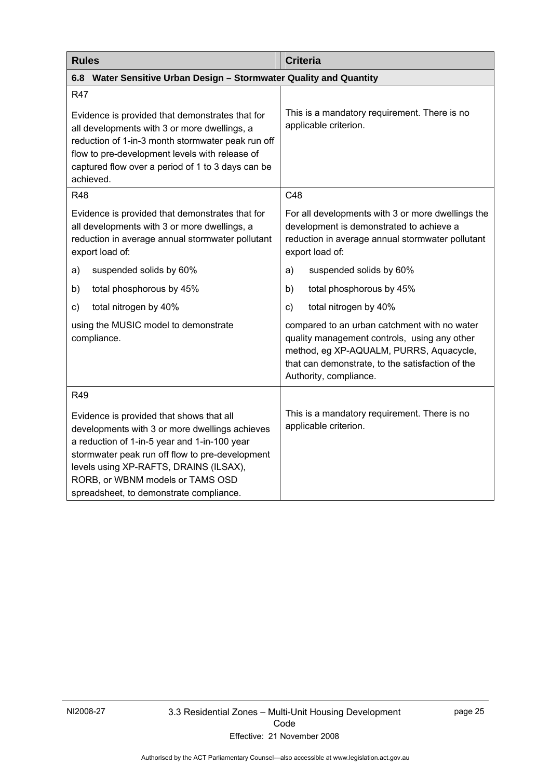<span id="page-30-0"></span>

| <b>Rules</b>                                                                                                                                                                                                                                                                                                           | <b>Criteria</b>                                                                                                                                                                                                       |  |  |
|------------------------------------------------------------------------------------------------------------------------------------------------------------------------------------------------------------------------------------------------------------------------------------------------------------------------|-----------------------------------------------------------------------------------------------------------------------------------------------------------------------------------------------------------------------|--|--|
| Water Sensitive Urban Design - Stormwater Quality and Quantity<br>6.8                                                                                                                                                                                                                                                  |                                                                                                                                                                                                                       |  |  |
| <b>R47</b><br>Evidence is provided that demonstrates that for<br>all developments with 3 or more dwellings, a<br>reduction of 1-in-3 month stormwater peak run off<br>flow to pre-development levels with release of<br>captured flow over a period of 1 to 3 days can be<br>achieved.                                 | This is a mandatory requirement. There is no<br>applicable criterion.                                                                                                                                                 |  |  |
| <b>R48</b>                                                                                                                                                                                                                                                                                                             | C48                                                                                                                                                                                                                   |  |  |
| Evidence is provided that demonstrates that for<br>all developments with 3 or more dwellings, a<br>reduction in average annual stormwater pollutant<br>export load of:                                                                                                                                                 | For all developments with 3 or more dwellings the<br>development is demonstrated to achieve a<br>reduction in average annual stormwater pollutant<br>export load of:                                                  |  |  |
| suspended solids by 60%<br>a)                                                                                                                                                                                                                                                                                          | a)<br>suspended solids by 60%                                                                                                                                                                                         |  |  |
| total phosphorous by 45%<br>b)                                                                                                                                                                                                                                                                                         | total phosphorous by 45%<br>b)                                                                                                                                                                                        |  |  |
| total nitrogen by 40%<br>c)                                                                                                                                                                                                                                                                                            | total nitrogen by 40%<br>$\mathsf{c})$                                                                                                                                                                                |  |  |
| using the MUSIC model to demonstrate<br>compliance.                                                                                                                                                                                                                                                                    | compared to an urban catchment with no water<br>quality management controls, using any other<br>method, eg XP-AQUALM, PURRS, Aquacycle,<br>that can demonstrate, to the satisfaction of the<br>Authority, compliance. |  |  |
| <b>R49</b>                                                                                                                                                                                                                                                                                                             |                                                                                                                                                                                                                       |  |  |
| Evidence is provided that shows that all<br>developments with 3 or more dwellings achieves<br>a reduction of 1-in-5 year and 1-in-100 year<br>stormwater peak run off flow to pre-development<br>levels using XP-RAFTS, DRAINS (ILSAX),<br>RORB, or WBNM models or TAMS OSD<br>spreadsheet, to demonstrate compliance. | This is a mandatory requirement. There is no<br>applicable criterion.                                                                                                                                                 |  |  |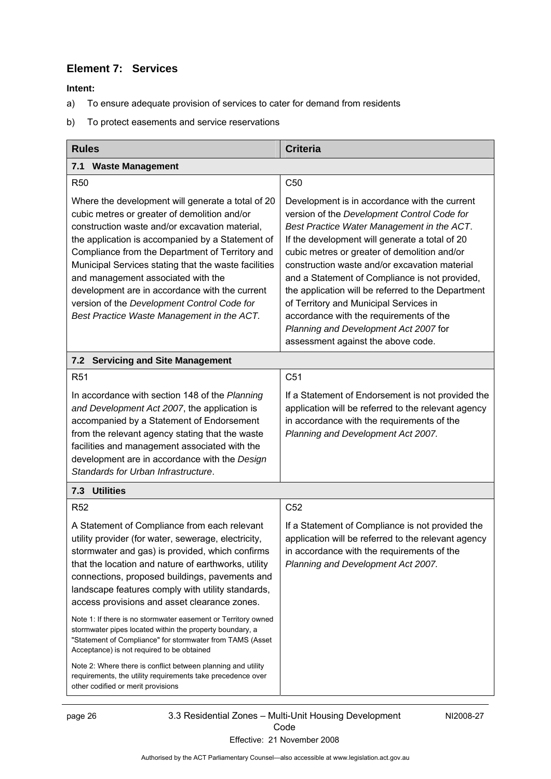# <span id="page-31-0"></span>**Element 7: Services**

- a) To ensure adequate provision of services to cater for demand from residents
- b) To protect easements and service reservations

| <b>Rules</b>                                                                                                                                                                                                                                                                                                                                                                                                                                                                                                                                                                                                                                                                                                                                | <b>Criteria</b>                                                                                                                                                                                                                                                                                                                                                                                                                                                                                                                                                           |  |
|---------------------------------------------------------------------------------------------------------------------------------------------------------------------------------------------------------------------------------------------------------------------------------------------------------------------------------------------------------------------------------------------------------------------------------------------------------------------------------------------------------------------------------------------------------------------------------------------------------------------------------------------------------------------------------------------------------------------------------------------|---------------------------------------------------------------------------------------------------------------------------------------------------------------------------------------------------------------------------------------------------------------------------------------------------------------------------------------------------------------------------------------------------------------------------------------------------------------------------------------------------------------------------------------------------------------------------|--|
| 7.1 Waste Management                                                                                                                                                                                                                                                                                                                                                                                                                                                                                                                                                                                                                                                                                                                        |                                                                                                                                                                                                                                                                                                                                                                                                                                                                                                                                                                           |  |
| <b>R50</b>                                                                                                                                                                                                                                                                                                                                                                                                                                                                                                                                                                                                                                                                                                                                  | C <sub>50</sub>                                                                                                                                                                                                                                                                                                                                                                                                                                                                                                                                                           |  |
| Where the development will generate a total of 20<br>cubic metres or greater of demolition and/or<br>construction waste and/or excavation material,<br>the application is accompanied by a Statement of<br>Compliance from the Department of Territory and<br>Municipal Services stating that the waste facilities<br>and management associated with the<br>development are in accordance with the current<br>version of the Development Control Code for<br>Best Practice Waste Management in the ACT.                                                                                                                                                                                                                                     | Development is in accordance with the current<br>version of the Development Control Code for<br>Best Practice Water Management in the ACT.<br>If the development will generate a total of 20<br>cubic metres or greater of demolition and/or<br>construction waste and/or excavation material<br>and a Statement of Compliance is not provided,<br>the application will be referred to the Department<br>of Territory and Municipal Services in<br>accordance with the requirements of the<br>Planning and Development Act 2007 for<br>assessment against the above code. |  |
| <b>Servicing and Site Management</b><br>7.2                                                                                                                                                                                                                                                                                                                                                                                                                                                                                                                                                                                                                                                                                                 |                                                                                                                                                                                                                                                                                                                                                                                                                                                                                                                                                                           |  |
| R <sub>51</sub>                                                                                                                                                                                                                                                                                                                                                                                                                                                                                                                                                                                                                                                                                                                             | C <sub>51</sub>                                                                                                                                                                                                                                                                                                                                                                                                                                                                                                                                                           |  |
| In accordance with section 148 of the Planning<br>and Development Act 2007, the application is<br>accompanied by a Statement of Endorsement<br>from the relevant agency stating that the waste<br>facilities and management associated with the<br>development are in accordance with the Design<br>Standards for Urban Infrastructure.                                                                                                                                                                                                                                                                                                                                                                                                     | If a Statement of Endorsement is not provided the<br>application will be referred to the relevant agency<br>in accordance with the requirements of the<br>Planning and Development Act 2007.                                                                                                                                                                                                                                                                                                                                                                              |  |
| 7.3 Utilities                                                                                                                                                                                                                                                                                                                                                                                                                                                                                                                                                                                                                                                                                                                               |                                                                                                                                                                                                                                                                                                                                                                                                                                                                                                                                                                           |  |
| <b>R52</b>                                                                                                                                                                                                                                                                                                                                                                                                                                                                                                                                                                                                                                                                                                                                  | C <sub>52</sub>                                                                                                                                                                                                                                                                                                                                                                                                                                                                                                                                                           |  |
| A Statement of Compliance from each relevant<br>utility provider (for water, sewerage, electricity,<br>stormwater and gas) is provided, which confirms<br>that the location and nature of earthworks, utility<br>connections, proposed buildings, pavements and<br>landscape features comply with utility standards,<br>access provisions and asset clearance zones.<br>Note 1: If there is no stormwater easement or Territory owned<br>stormwater pipes located within the property boundary, a<br>"Statement of Compliance" for stormwater from TAMS (Asset<br>Acceptance) is not required to be obtained<br>Note 2: Where there is conflict between planning and utility<br>requirements, the utility requirements take precedence over | If a Statement of Compliance is not provided the<br>application will be referred to the relevant agency<br>in accordance with the requirements of the<br>Planning and Development Act 2007.                                                                                                                                                                                                                                                                                                                                                                               |  |
| other codified or merit provisions                                                                                                                                                                                                                                                                                                                                                                                                                                                                                                                                                                                                                                                                                                          |                                                                                                                                                                                                                                                                                                                                                                                                                                                                                                                                                                           |  |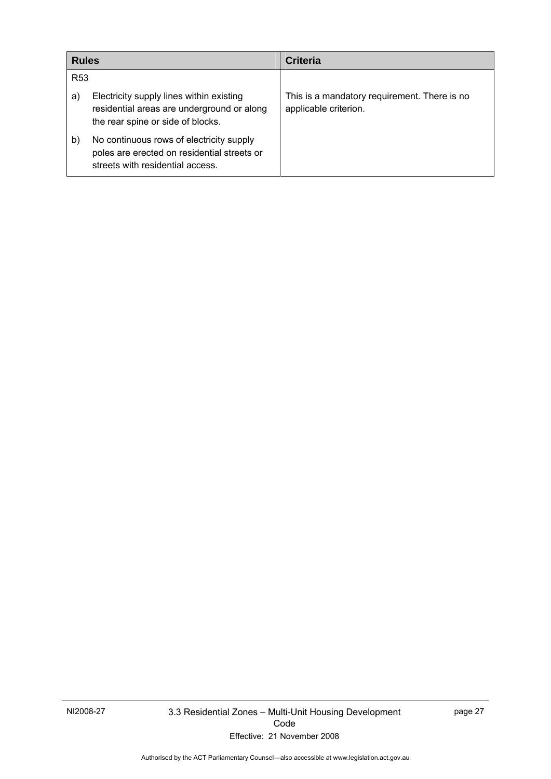| <b>Rules</b>    |                                                                                                                             | <b>Criteria</b>                                                       |  |
|-----------------|-----------------------------------------------------------------------------------------------------------------------------|-----------------------------------------------------------------------|--|
| R <sub>53</sub> |                                                                                                                             |                                                                       |  |
| a)              | Electricity supply lines within existing<br>residential areas are underground or along<br>the rear spine or side of blocks. | This is a mandatory requirement. There is no<br>applicable criterion. |  |
| b)              | No continuous rows of electricity supply<br>poles are erected on residential streets or<br>streets with residential access. |                                                                       |  |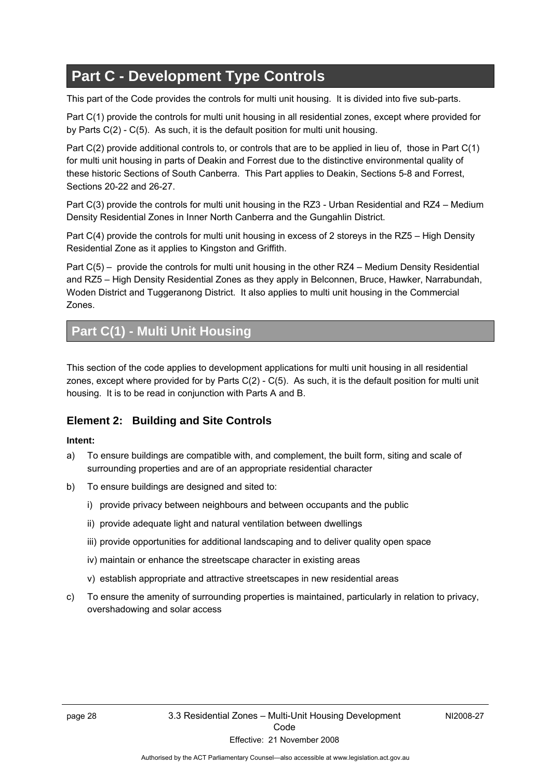# <span id="page-33-0"></span>**Part C - Development Type Controls**

This part of the Code provides the controls for multi unit housing. It is divided into five sub-parts.

Part C(1) provide the controls for multi unit housing in all residential zones, except where provided for by Parts C(2) - C(5). As such, it is the default position for multi unit housing.

Part C(2) provide additional controls to, or controls that are to be applied in lieu of, those in Part C(1) for multi unit housing in parts of Deakin and Forrest due to the distinctive environmental quality of these historic Sections of South Canberra. This Part applies to Deakin, Sections 5-8 and Forrest, Sections 20-22 and 26-27.

Part C(3) provide the controls for multi unit housing in the RZ3 - Urban Residential and RZ4 – Medium Density Residential Zones in Inner North Canberra and the Gungahlin District.

Part C(4) provide the controls for multi unit housing in excess of 2 storeys in the RZ5 – High Density Residential Zone as it applies to Kingston and Griffith.

Part C(5) – provide the controls for multi unit housing in the other RZ4 – Medium Density Residential and RZ5 – High Density Residential Zones as they apply in Belconnen, Bruce, Hawker, Narrabundah, Woden District and Tuggeranong District. It also applies to multi unit housing in the Commercial Zones.

# **Part C(1) - Multi Unit Housing**

This section of the code applies to development applications for multi unit housing in all residential zones, except where provided for by Parts C(2) - C(5). As such, it is the default position for multi unit housing. It is to be read in conjunction with Parts A and B.

# **Element 2: Building and Site Controls**

- a) To ensure buildings are compatible with, and complement, the built form, siting and scale of surrounding properties and are of an appropriate residential character
- b) To ensure buildings are designed and sited to:
	- i) provide privacy between neighbours and between occupants and the public
	- ii) provide adequate light and natural ventilation between dwellings
	- iii) provide opportunities for additional landscaping and to deliver quality open space
	- iv) maintain or enhance the streetscape character in existing areas
	- v) establish appropriate and attractive streetscapes in new residential areas
- c) To ensure the amenity of surrounding properties is maintained, particularly in relation to privacy, overshadowing and solar access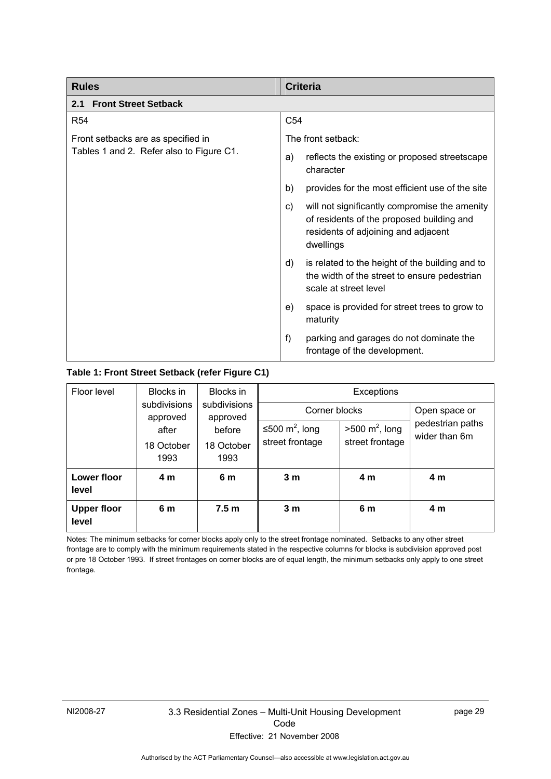<span id="page-34-0"></span>

| <b>Rules</b>                             | <b>Criteria</b>                                                                                                                                      |  |
|------------------------------------------|------------------------------------------------------------------------------------------------------------------------------------------------------|--|
| <b>Front Street Setback</b><br>2.1       |                                                                                                                                                      |  |
| <b>R54</b>                               | C <sub>54</sub>                                                                                                                                      |  |
| Front setbacks are as specified in       | The front setback:                                                                                                                                   |  |
| Tables 1 and 2. Refer also to Figure C1. | reflects the existing or proposed streetscape<br>a)<br>character                                                                                     |  |
|                                          | provides for the most efficient use of the site<br>b)                                                                                                |  |
|                                          | will not significantly compromise the amenity<br>C)<br>of residents of the proposed building and<br>residents of adjoining and adjacent<br>dwellings |  |
|                                          | is related to the height of the building and to<br>d)<br>the width of the street to ensure pedestrian<br>scale at street level                       |  |
|                                          | space is provided for street trees to grow to<br>e)<br>maturity                                                                                      |  |
|                                          | f)<br>parking and garages do not dominate the<br>frontage of the development.                                                                        |  |

#### **Table 1: Front Street Setback (refer Figure C1)**

| Floor level                 | Blocks in                | Blocks in                | Exceptions                 |                           |                                   |
|-----------------------------|--------------------------|--------------------------|----------------------------|---------------------------|-----------------------------------|
|                             | subdivisions<br>approved | subdivisions<br>approved | Corner blocks              |                           | Open space or                     |
|                             | after                    | before                   | ≤500 m <sup>2</sup> , long | $>500 \text{ m}^2$ , long | pedestrian paths<br>wider than 6m |
|                             | 18 October<br>1993       | 18 October<br>1993       | street frontage            | street frontage           |                                   |
| Lower floor<br>level        | 4 m                      | 6 m                      | 3 <sub>m</sub>             | 4 m                       | 4 <sub>m</sub>                    |
| <b>Upper floor</b><br>level | 6 m                      | 7.5 <sub>m</sub>         | 3 <sub>m</sub>             | 6 m                       | 4 m                               |

Notes: The minimum setbacks for corner blocks apply only to the street frontage nominated. Setbacks to any other street frontage are to comply with the minimum requirements stated in the respective columns for blocks is subdivision approved post or pre 18 October 1993. If street frontages on corner blocks are of equal length, the minimum setbacks only apply to one street frontage.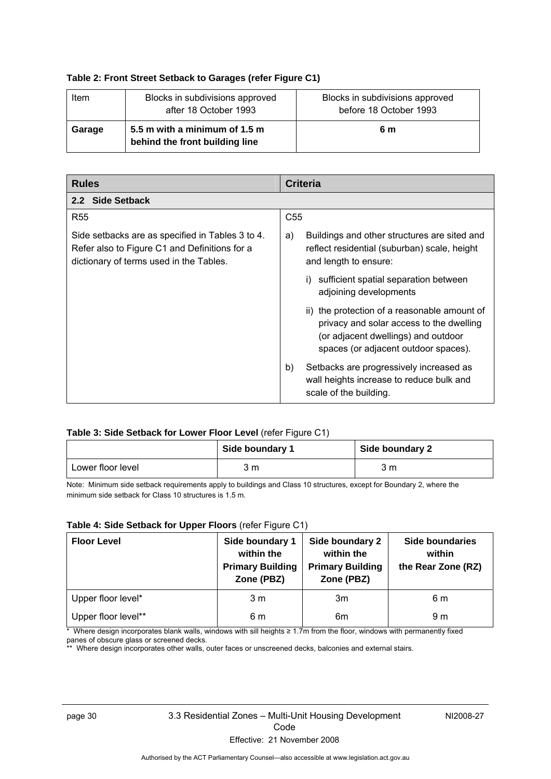#### <span id="page-35-0"></span>**Table 2: Front Street Setback to Garages (refer Figure C1)**

| Item   | Blocks in subdivisions approved<br>after 18 October 1993        | Blocks in subdivisions approved<br>before 18 October 1993 |
|--------|-----------------------------------------------------------------|-----------------------------------------------------------|
| Garage | 5.5 m with a minimum of 1.5 m<br>behind the front building line | 6 m                                                       |

| <b>Rules</b>                                                                                                                                 | <b>Criteria</b>                                                                                                                                                         |  |  |
|----------------------------------------------------------------------------------------------------------------------------------------------|-------------------------------------------------------------------------------------------------------------------------------------------------------------------------|--|--|
| 2.2 Side Setback                                                                                                                             |                                                                                                                                                                         |  |  |
| <b>R55</b>                                                                                                                                   | C <sub>55</sub>                                                                                                                                                         |  |  |
| Side setbacks are as specified in Tables 3 to 4.<br>Refer also to Figure C1 and Definitions for a<br>dictionary of terms used in the Tables. | Buildings and other structures are sited and<br>a)<br>reflect residential (suburban) scale, height<br>and length to ensure:                                             |  |  |
|                                                                                                                                              | sufficient spatial separation between<br>adjoining developments                                                                                                         |  |  |
|                                                                                                                                              | ii) the protection of a reasonable amount of<br>privacy and solar access to the dwelling<br>(or adjacent dwellings) and outdoor<br>spaces (or adjacent outdoor spaces). |  |  |
|                                                                                                                                              | Setbacks are progressively increased as<br>b)<br>wall heights increase to reduce bulk and<br>scale of the building.                                                     |  |  |

#### **Table 3: Side Setback for Lower Floor Level** (refer Figure C1)

| Side boundary 1   |     | Side boundary 2 |
|-------------------|-----|-----------------|
| Lower floor level | 3 m | 3 m             |

Note: Minimum side setback requirements apply to buildings and Class 10 structures, except for Boundary 2, where the minimum side setback for Class 10 structures is 1.5 m.

#### **Table 4: Side Setback for Upper Floors** (refer Figure C1)

| <b>Floor Level</b>  | Side boundary 1<br>within the<br><b>Primary Building</b><br>Zone (PBZ) | Side boundary 2<br>within the<br><b>Primary Building</b><br>Zone (PBZ) | <b>Side boundaries</b><br>within<br>the Rear Zone (RZ) |
|---------------------|------------------------------------------------------------------------|------------------------------------------------------------------------|--------------------------------------------------------|
| Upper floor level*  | 3 <sub>m</sub>                                                         | 3m                                                                     | 6 m                                                    |
| Upper floor level** | 6 m                                                                    | 6 <sub>m</sub>                                                         | 9 m                                                    |

\* Where design incorporates blank walls, windows with sill heights ≥ 1.7m from the floor, windows with permanently fixed panes of obscure glass or screened decks.

\*\* Where design incorporates other walls, outer faces or unscreened decks, balconies and external stairs.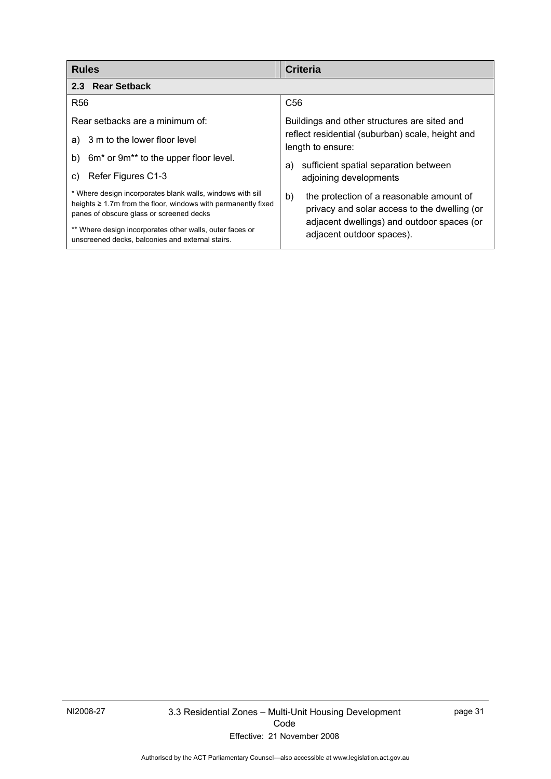| <b>Rules</b>                                                                                                                                                                  | Criteria                                                                                                                                     |  |
|-------------------------------------------------------------------------------------------------------------------------------------------------------------------------------|----------------------------------------------------------------------------------------------------------------------------------------------|--|
| 2.3 Rear Setback                                                                                                                                                              |                                                                                                                                              |  |
| <b>R56</b>                                                                                                                                                                    | C <sub>56</sub>                                                                                                                              |  |
| Rear setbacks are a minimum of:                                                                                                                                               | Buildings and other structures are sited and                                                                                                 |  |
| a) 3 m to the lower floor level                                                                                                                                               | reflect residential (suburban) scale, height and<br>length to ensure:                                                                        |  |
| 6m <sup>*</sup> or 9m <sup>**</sup> to the upper floor level.<br>b)                                                                                                           | sufficient spatial separation between<br>a)                                                                                                  |  |
| Refer Figures C1-3<br>C)                                                                                                                                                      | adjoining developments                                                                                                                       |  |
| * Where design incorporates blank walls, windows with sill<br>heights $\geq 1.7$ m from the floor, windows with permanently fixed<br>panes of obscure glass or screened decks | b)<br>the protection of a reasonable amount of<br>privacy and solar access to the dwelling (or<br>adjacent dwellings) and outdoor spaces (or |  |
| ** Where design incorporates other walls, outer faces or<br>unscreened decks, balconies and external stairs.                                                                  | adjacent outdoor spaces).                                                                                                                    |  |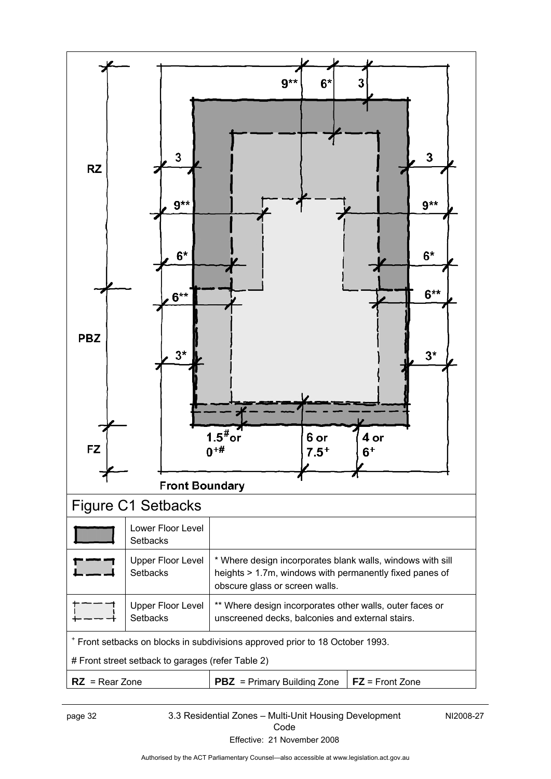

page 32 3.3 Residential Zones – Multi-Unit Housing Development Code

NI2008-27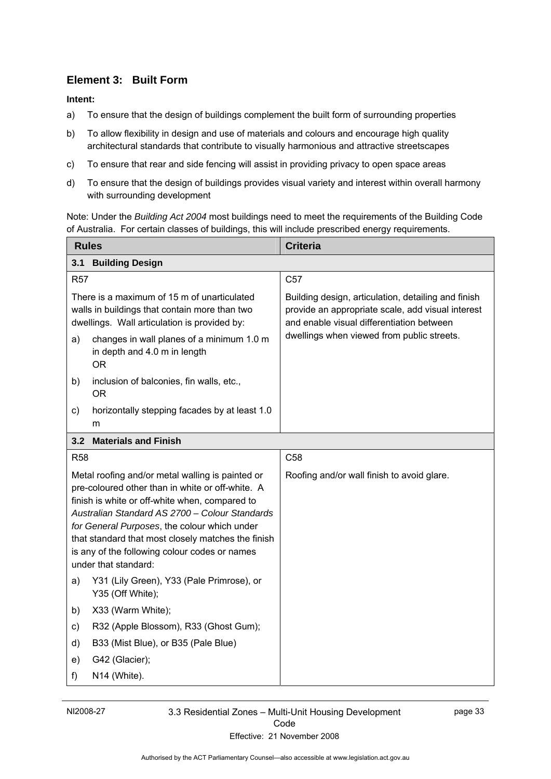## **Element 3: Built Form**

#### **Intent:**

- a) To ensure that the design of buildings complement the built form of surrounding properties
- b) To allow flexibility in design and use of materials and colours and encourage high quality architectural standards that contribute to visually harmonious and attractive streetscapes
- c) To ensure that rear and side fencing will assist in providing privacy to open space areas
- d) To ensure that the design of buildings provides visual variety and interest within overall harmony with surrounding development

Note: Under the *Building Act 2004* most buildings need to meet the requirements of the Building Code of Australia. For certain classes of buildings, this will include prescribed energy requirements.

| <b>Rules</b>                                                                                                                                                                                                                                                                                                                                                                            |                                                                                        | <b>Criteria</b>                                                                                                                                       |  |
|-----------------------------------------------------------------------------------------------------------------------------------------------------------------------------------------------------------------------------------------------------------------------------------------------------------------------------------------------------------------------------------------|----------------------------------------------------------------------------------------|-------------------------------------------------------------------------------------------------------------------------------------------------------|--|
| 3.1                                                                                                                                                                                                                                                                                                                                                                                     | <b>Building Design</b>                                                                 |                                                                                                                                                       |  |
| <b>R57</b>                                                                                                                                                                                                                                                                                                                                                                              |                                                                                        | C <sub>57</sub>                                                                                                                                       |  |
| There is a maximum of 15 m of unarticulated<br>walls in buildings that contain more than two<br>dwellings. Wall articulation is provided by:                                                                                                                                                                                                                                            |                                                                                        | Building design, articulation, detailing and finish<br>provide an appropriate scale, add visual interest<br>and enable visual differentiation between |  |
| a)                                                                                                                                                                                                                                                                                                                                                                                      | changes in wall planes of a minimum 1.0 m<br>in depth and 4.0 m in length<br><b>OR</b> | dwellings when viewed from public streets.                                                                                                            |  |
| b)                                                                                                                                                                                                                                                                                                                                                                                      | inclusion of balconies, fin walls, etc.,<br><b>OR</b>                                  |                                                                                                                                                       |  |
| c)                                                                                                                                                                                                                                                                                                                                                                                      | horizontally stepping facades by at least 1.0<br>m                                     |                                                                                                                                                       |  |
| 3.2 <sub>2</sub>                                                                                                                                                                                                                                                                                                                                                                        | <b>Materials and Finish</b>                                                            |                                                                                                                                                       |  |
| <b>R58</b>                                                                                                                                                                                                                                                                                                                                                                              |                                                                                        | C <sub>58</sub>                                                                                                                                       |  |
| Metal roofing and/or metal walling is painted or<br>pre-coloured other than in white or off-white. A<br>finish is white or off-white when, compared to<br>Australian Standard AS 2700 - Colour Standards<br>for General Purposes, the colour which under<br>that standard that most closely matches the finish<br>is any of the following colour codes or names<br>under that standard: |                                                                                        | Roofing and/or wall finish to avoid glare.                                                                                                            |  |
| a)                                                                                                                                                                                                                                                                                                                                                                                      | Y31 (Lily Green), Y33 (Pale Primrose), or<br>Y35 (Off White);                          |                                                                                                                                                       |  |
| b)                                                                                                                                                                                                                                                                                                                                                                                      | X33 (Warm White);                                                                      |                                                                                                                                                       |  |
| c)                                                                                                                                                                                                                                                                                                                                                                                      | R32 (Apple Blossom), R33 (Ghost Gum);                                                  |                                                                                                                                                       |  |
| d)                                                                                                                                                                                                                                                                                                                                                                                      | B33 (Mist Blue), or B35 (Pale Blue)                                                    |                                                                                                                                                       |  |
| e)                                                                                                                                                                                                                                                                                                                                                                                      | G42 (Glacier);                                                                         |                                                                                                                                                       |  |
| f)<br>N14 (White).                                                                                                                                                                                                                                                                                                                                                                      |                                                                                        |                                                                                                                                                       |  |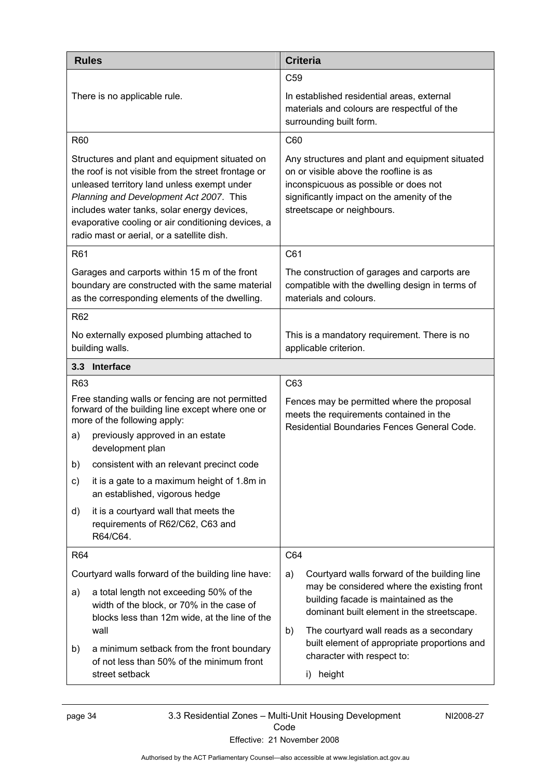| <b>Rules</b>                                                                                                                                                                                                                                                                                                                                       | <b>Criteria</b>                                                                                                                                                                                                |  |
|----------------------------------------------------------------------------------------------------------------------------------------------------------------------------------------------------------------------------------------------------------------------------------------------------------------------------------------------------|----------------------------------------------------------------------------------------------------------------------------------------------------------------------------------------------------------------|--|
|                                                                                                                                                                                                                                                                                                                                                    | C <sub>59</sub>                                                                                                                                                                                                |  |
| There is no applicable rule.                                                                                                                                                                                                                                                                                                                       | In established residential areas, external<br>materials and colours are respectful of the<br>surrounding built form.                                                                                           |  |
| R60                                                                                                                                                                                                                                                                                                                                                | C60                                                                                                                                                                                                            |  |
| Structures and plant and equipment situated on<br>the roof is not visible from the street frontage or<br>unleased territory land unless exempt under<br>Planning and Development Act 2007. This<br>includes water tanks, solar energy devices,<br>evaporative cooling or air conditioning devices, a<br>radio mast or aerial, or a satellite dish. | Any structures and plant and equipment situated<br>on or visible above the roofline is as<br>inconspicuous as possible or does not<br>significantly impact on the amenity of the<br>streetscape or neighbours. |  |
| R61                                                                                                                                                                                                                                                                                                                                                | C61                                                                                                                                                                                                            |  |
| Garages and carports within 15 m of the front<br>boundary are constructed with the same material<br>as the corresponding elements of the dwelling.                                                                                                                                                                                                 | The construction of garages and carports are<br>compatible with the dwelling design in terms of<br>materials and colours.                                                                                      |  |
| R <sub>62</sub>                                                                                                                                                                                                                                                                                                                                    |                                                                                                                                                                                                                |  |
| No externally exposed plumbing attached to<br>building walls.                                                                                                                                                                                                                                                                                      | This is a mandatory requirement. There is no<br>applicable criterion.                                                                                                                                          |  |
| 3.3 Interface                                                                                                                                                                                                                                                                                                                                      |                                                                                                                                                                                                                |  |
| R <sub>63</sub>                                                                                                                                                                                                                                                                                                                                    | C63                                                                                                                                                                                                            |  |
| Free standing walls or fencing are not permitted<br>forward of the building line except where one or<br>more of the following apply:                                                                                                                                                                                                               | Fences may be permitted where the proposal<br>meets the requirements contained in the<br>Residential Boundaries Fences General Code.                                                                           |  |
| previously approved in an estate<br>a)<br>development plan                                                                                                                                                                                                                                                                                         |                                                                                                                                                                                                                |  |
| consistent with an relevant precinct code<br>b)                                                                                                                                                                                                                                                                                                    |                                                                                                                                                                                                                |  |
| it is a gate to a maximum height of 1.8m in<br>C)<br>an established, vigorous hedge                                                                                                                                                                                                                                                                |                                                                                                                                                                                                                |  |
| it is a courtyard wall that meets the<br>d)<br>requirements of R62/C62, C63 and<br>R64/C64.                                                                                                                                                                                                                                                        |                                                                                                                                                                                                                |  |
| <b>R64</b>                                                                                                                                                                                                                                                                                                                                         | C64                                                                                                                                                                                                            |  |
| Courtyard walls forward of the building line have:                                                                                                                                                                                                                                                                                                 | Courtyard walls forward of the building line<br>a)                                                                                                                                                             |  |
| a total length not exceeding 50% of the<br>a)<br>width of the block, or 70% in the case of<br>blocks less than 12m wide, at the line of the                                                                                                                                                                                                        | may be considered where the existing front<br>building facade is maintained as the<br>dominant built element in the streetscape.                                                                               |  |
| wall<br>a minimum setback from the front boundary<br>b)<br>of not less than 50% of the minimum front                                                                                                                                                                                                                                               | The courtyard wall reads as a secondary<br>b)<br>built element of appropriate proportions and<br>character with respect to:                                                                                    |  |
| street setback                                                                                                                                                                                                                                                                                                                                     | i) height                                                                                                                                                                                                      |  |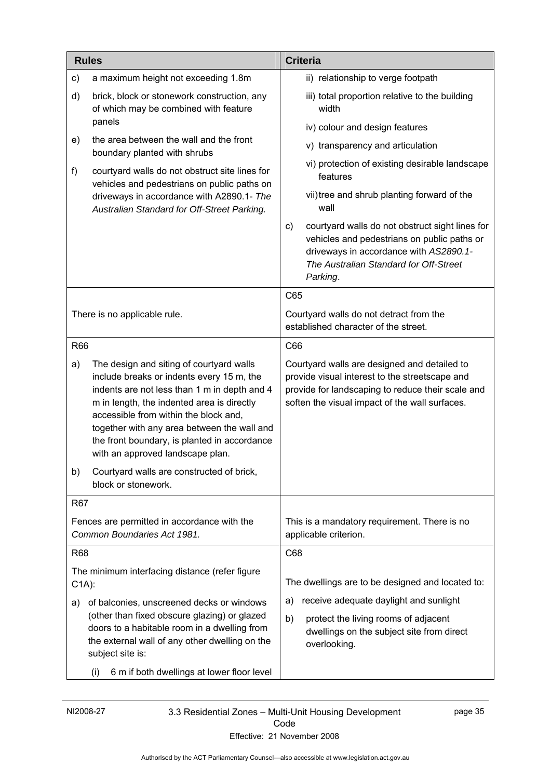| <b>Rules</b>                                                               |                                                                                                                                                                                                                                                                                                                                                                 | <b>Criteria</b>                                                                                                                                                                                       |  |
|----------------------------------------------------------------------------|-----------------------------------------------------------------------------------------------------------------------------------------------------------------------------------------------------------------------------------------------------------------------------------------------------------------------------------------------------------------|-------------------------------------------------------------------------------------------------------------------------------------------------------------------------------------------------------|--|
| c)                                                                         | a maximum height not exceeding 1.8m                                                                                                                                                                                                                                                                                                                             | ii) relationship to verge footpath                                                                                                                                                                    |  |
| d)                                                                         | brick, block or stonework construction, any<br>of which may be combined with feature                                                                                                                                                                                                                                                                            | iii) total proportion relative to the building<br>width                                                                                                                                               |  |
|                                                                            | panels                                                                                                                                                                                                                                                                                                                                                          | iv) colour and design features                                                                                                                                                                        |  |
| e)                                                                         | the area between the wall and the front<br>boundary planted with shrubs                                                                                                                                                                                                                                                                                         | v) transparency and articulation                                                                                                                                                                      |  |
| f)                                                                         | courtyard walls do not obstruct site lines for<br>vehicles and pedestrians on public paths on                                                                                                                                                                                                                                                                   | vi) protection of existing desirable landscape<br>features                                                                                                                                            |  |
|                                                                            | driveways in accordance with A2890.1- The<br>Australian Standard for Off-Street Parking.                                                                                                                                                                                                                                                                        | vii) tree and shrub planting forward of the<br>wall                                                                                                                                                   |  |
|                                                                            |                                                                                                                                                                                                                                                                                                                                                                 | courtyard walls do not obstruct sight lines for<br>C)<br>vehicles and pedestrians on public paths or<br>driveways in accordance with AS2890.1-<br>The Australian Standard for Off-Street<br>Parking.  |  |
|                                                                            |                                                                                                                                                                                                                                                                                                                                                                 | C65                                                                                                                                                                                                   |  |
|                                                                            | There is no applicable rule.                                                                                                                                                                                                                                                                                                                                    | Courtyard walls do not detract from the<br>established character of the street.                                                                                                                       |  |
| <b>R66</b>                                                                 |                                                                                                                                                                                                                                                                                                                                                                 | C66                                                                                                                                                                                                   |  |
| a)                                                                         | The design and siting of courtyard walls<br>include breaks or indents every 15 m, the<br>indents are not less than 1 m in depth and 4<br>m in length, the indented area is directly<br>accessible from within the block and,<br>together with any area between the wall and<br>the front boundary, is planted in accordance<br>with an approved landscape plan. | Courtyard walls are designed and detailed to<br>provide visual interest to the streetscape and<br>provide for landscaping to reduce their scale and<br>soften the visual impact of the wall surfaces. |  |
| b)                                                                         | Courtyard walls are constructed of brick,<br>block or stonework.                                                                                                                                                                                                                                                                                                |                                                                                                                                                                                                       |  |
| <b>R67</b>                                                                 |                                                                                                                                                                                                                                                                                                                                                                 |                                                                                                                                                                                                       |  |
| Fences are permitted in accordance with the<br>Common Boundaries Act 1981. |                                                                                                                                                                                                                                                                                                                                                                 | This is a mandatory requirement. There is no<br>applicable criterion.                                                                                                                                 |  |
| R68                                                                        |                                                                                                                                                                                                                                                                                                                                                                 | C68                                                                                                                                                                                                   |  |
| $C1A)$ :                                                                   | The minimum interfacing distance (refer figure                                                                                                                                                                                                                                                                                                                  | The dwellings are to be designed and located to:                                                                                                                                                      |  |
| a)                                                                         | of balconies, unscreened decks or windows                                                                                                                                                                                                                                                                                                                       | receive adequate daylight and sunlight<br>a)                                                                                                                                                          |  |
|                                                                            | (other than fixed obscure glazing) or glazed<br>doors to a habitable room in a dwelling from<br>the external wall of any other dwelling on the<br>subject site is:                                                                                                                                                                                              | protect the living rooms of adjacent<br>b)<br>dwellings on the subject site from direct<br>overlooking.                                                                                               |  |
|                                                                            | 6 m if both dwellings at lower floor level<br>(i)                                                                                                                                                                                                                                                                                                               |                                                                                                                                                                                                       |  |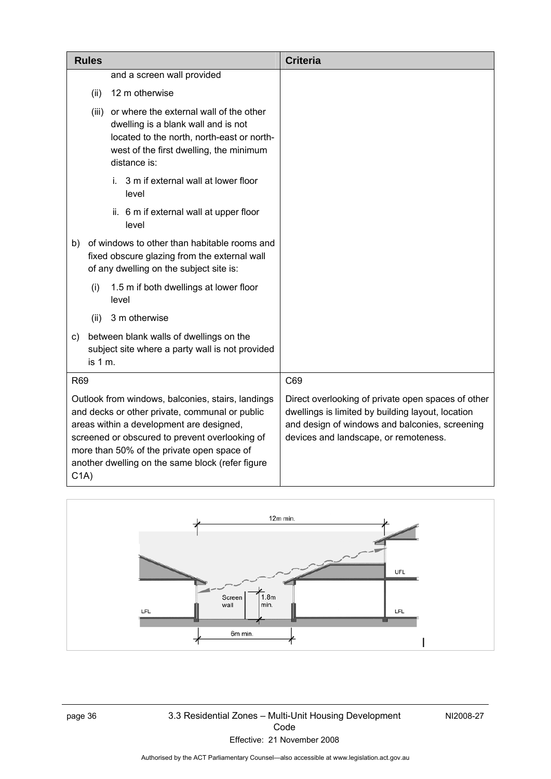|            | <b>Rules</b> |                                                                                                                                                                                                                                                                                                     | <b>Criteria</b>                                                                                                                                                                                    |
|------------|--------------|-----------------------------------------------------------------------------------------------------------------------------------------------------------------------------------------------------------------------------------------------------------------------------------------------------|----------------------------------------------------------------------------------------------------------------------------------------------------------------------------------------------------|
|            |              | and a screen wall provided                                                                                                                                                                                                                                                                          |                                                                                                                                                                                                    |
|            | (ii)         | 12 m otherwise                                                                                                                                                                                                                                                                                      |                                                                                                                                                                                                    |
|            |              | (iii) or where the external wall of the other<br>dwelling is a blank wall and is not<br>located to the north, north-east or north-<br>west of the first dwelling, the minimum<br>distance is:                                                                                                       |                                                                                                                                                                                                    |
|            |              | 3 m if external wall at lower floor<br>i.<br>level                                                                                                                                                                                                                                                  |                                                                                                                                                                                                    |
|            |              | ii. 6 m if external wall at upper floor<br>level                                                                                                                                                                                                                                                    |                                                                                                                                                                                                    |
| b)         |              | of windows to other than habitable rooms and<br>fixed obscure glazing from the external wall<br>of any dwelling on the subject site is:                                                                                                                                                             |                                                                                                                                                                                                    |
|            | (i)          | 1.5 m if both dwellings at lower floor<br>level                                                                                                                                                                                                                                                     |                                                                                                                                                                                                    |
|            | (ii)         | 3 m otherwise                                                                                                                                                                                                                                                                                       |                                                                                                                                                                                                    |
| C)         | is 1 m.      | between blank walls of dwellings on the<br>subject site where a party wall is not provided                                                                                                                                                                                                          |                                                                                                                                                                                                    |
| <b>R69</b> |              |                                                                                                                                                                                                                                                                                                     | C69                                                                                                                                                                                                |
| C1A)       |              | Outlook from windows, balconies, stairs, landings<br>and decks or other private, communal or public<br>areas within a development are designed,<br>screened or obscured to prevent overlooking of<br>more than 50% of the private open space of<br>another dwelling on the same block (refer figure | Direct overlooking of private open spaces of other<br>dwellings is limited by building layout, location<br>and design of windows and balconies, screening<br>devices and landscape, or remoteness. |



page 36 3.3 Residential Zones – Multi-Unit Housing Development Code Effective: 21 November 2008

NI2008-27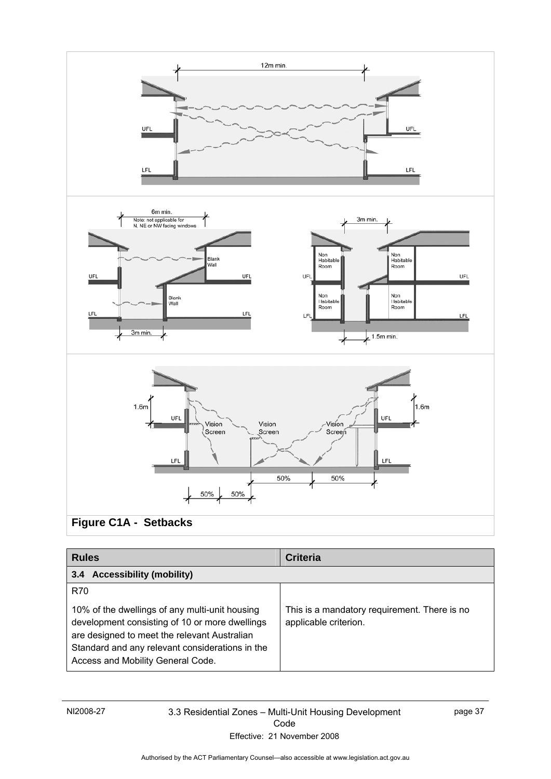

| <b>Rules</b>                                                                                                                                                                                                                                           | <b>Criteria</b>                                                       |  |
|--------------------------------------------------------------------------------------------------------------------------------------------------------------------------------------------------------------------------------------------------------|-----------------------------------------------------------------------|--|
| <b>Accessibility (mobility)</b><br>3.4                                                                                                                                                                                                                 |                                                                       |  |
| <b>R70</b><br>10% of the dwellings of any multi-unit housing<br>development consisting of 10 or more dwellings<br>are designed to meet the relevant Australian<br>Standard and any relevant considerations in the<br>Access and Mobility General Code. | This is a mandatory requirement. There is no<br>applicable criterion. |  |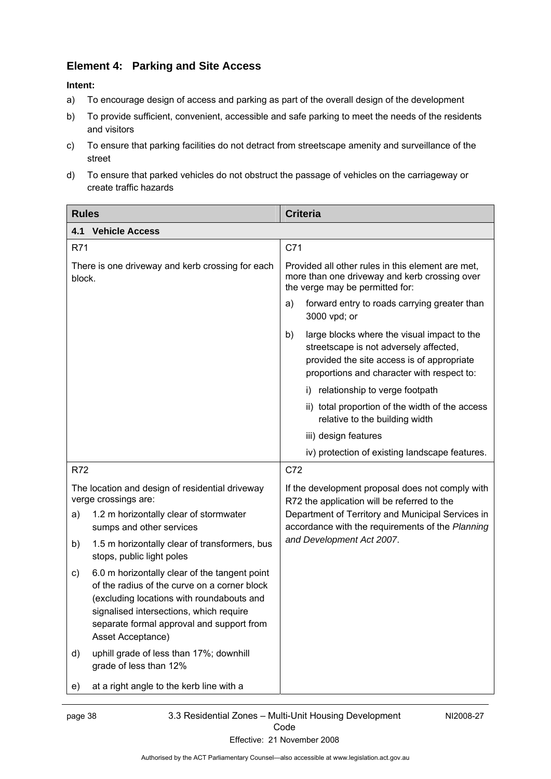### **Element 4: Parking and Site Access**

- a) To encourage design of access and parking as part of the overall design of the development
- b) To provide sufficient, convenient, accessible and safe parking to meet the needs of the residents and visitors
- c) To ensure that parking facilities do not detract from streetscape amenity and surveillance of the street
- d) To ensure that parked vehicles do not obstruct the passage of vehicles on the carriageway or create traffic hazards

| <b>Rules</b>                                                                                                                                                                                                                                                  | <b>Criteria</b>                                                                                                                                                                         |  |
|---------------------------------------------------------------------------------------------------------------------------------------------------------------------------------------------------------------------------------------------------------------|-----------------------------------------------------------------------------------------------------------------------------------------------------------------------------------------|--|
| 4.1<br><b>Vehicle Access</b>                                                                                                                                                                                                                                  |                                                                                                                                                                                         |  |
| R71                                                                                                                                                                                                                                                           | C71                                                                                                                                                                                     |  |
| There is one driveway and kerb crossing for each<br>block.                                                                                                                                                                                                    | Provided all other rules in this element are met.<br>more than one driveway and kerb crossing over<br>the verge may be permitted for:                                                   |  |
|                                                                                                                                                                                                                                                               | forward entry to roads carrying greater than<br>a)<br>3000 vpd; or                                                                                                                      |  |
|                                                                                                                                                                                                                                                               | large blocks where the visual impact to the<br>b)<br>streetscape is not adversely affected,<br>provided the site access is of appropriate<br>proportions and character with respect to: |  |
|                                                                                                                                                                                                                                                               | i) relationship to verge footpath                                                                                                                                                       |  |
|                                                                                                                                                                                                                                                               | ii) total proportion of the width of the access<br>relative to the building width                                                                                                       |  |
|                                                                                                                                                                                                                                                               | iii) design features                                                                                                                                                                    |  |
|                                                                                                                                                                                                                                                               | iv) protection of existing landscape features.                                                                                                                                          |  |
| R72                                                                                                                                                                                                                                                           | C72                                                                                                                                                                                     |  |
| The location and design of residential driveway<br>verge crossings are:                                                                                                                                                                                       | If the development proposal does not comply with<br>R72 the application will be referred to the                                                                                         |  |
| 1.2 m horizontally clear of stormwater<br>a)<br>sumps and other services                                                                                                                                                                                      | Department of Territory and Municipal Services in<br>accordance with the requirements of the Planning                                                                                   |  |
| 1.5 m horizontally clear of transformers, bus<br>b)<br>stops, public light poles                                                                                                                                                                              | and Development Act 2007.                                                                                                                                                               |  |
| 6.0 m horizontally clear of the tangent point<br>C)<br>of the radius of the curve on a corner block<br>(excluding locations with roundabouts and<br>signalised intersections, which require<br>separate formal approval and support from<br>Asset Acceptance) |                                                                                                                                                                                         |  |
| uphill grade of less than 17%; downhill<br>d)<br>grade of less than 12%                                                                                                                                                                                       |                                                                                                                                                                                         |  |
| at a right angle to the kerb line with a<br>e)                                                                                                                                                                                                                |                                                                                                                                                                                         |  |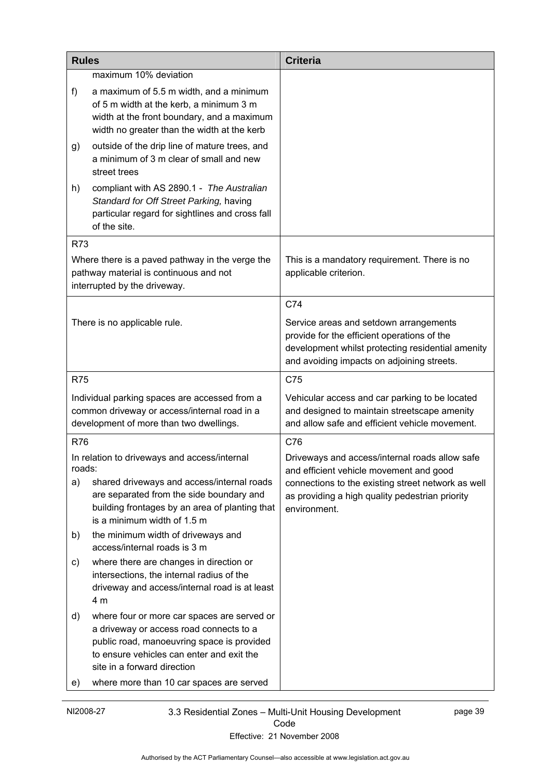| <b>Rules</b>                                                                                                                             |                                                                                                                                                                                                                  | <b>Criteria</b>                                                                                                                                                                          |
|------------------------------------------------------------------------------------------------------------------------------------------|------------------------------------------------------------------------------------------------------------------------------------------------------------------------------------------------------------------|------------------------------------------------------------------------------------------------------------------------------------------------------------------------------------------|
|                                                                                                                                          | maximum 10% deviation                                                                                                                                                                                            |                                                                                                                                                                                          |
| f)                                                                                                                                       | a maximum of 5.5 m width, and a minimum<br>of 5 m width at the kerb, a minimum 3 m<br>width at the front boundary, and a maximum<br>width no greater than the width at the kerb                                  |                                                                                                                                                                                          |
| g)                                                                                                                                       | outside of the drip line of mature trees, and<br>a minimum of 3 m clear of small and new<br>street trees                                                                                                         |                                                                                                                                                                                          |
| h)                                                                                                                                       | compliant with AS 2890.1 - The Australian<br>Standard for Off Street Parking, having<br>particular regard for sightlines and cross fall<br>of the site.                                                          |                                                                                                                                                                                          |
| <b>R73</b>                                                                                                                               |                                                                                                                                                                                                                  |                                                                                                                                                                                          |
|                                                                                                                                          | Where there is a paved pathway in the verge the<br>pathway material is continuous and not<br>interrupted by the driveway.                                                                                        | This is a mandatory requirement. There is no<br>applicable criterion.                                                                                                                    |
|                                                                                                                                          |                                                                                                                                                                                                                  | C74                                                                                                                                                                                      |
| There is no applicable rule.                                                                                                             |                                                                                                                                                                                                                  | Service areas and setdown arrangements<br>provide for the efficient operations of the<br>development whilst protecting residential amenity<br>and avoiding impacts on adjoining streets. |
| <b>R75</b>                                                                                                                               |                                                                                                                                                                                                                  | C75                                                                                                                                                                                      |
| Individual parking spaces are accessed from a<br>common driveway or access/internal road in a<br>development of more than two dwellings. |                                                                                                                                                                                                                  | Vehicular access and car parking to be located<br>and designed to maintain streetscape amenity<br>and allow safe and efficient vehicle movement.                                         |
| <b>R76</b>                                                                                                                               |                                                                                                                                                                                                                  | C76                                                                                                                                                                                      |
| roads:                                                                                                                                   | In relation to driveways and access/internal                                                                                                                                                                     | Driveways and access/internal roads allow safe<br>and efficient vehicle movement and good                                                                                                |
| a)                                                                                                                                       | shared driveways and access/internal roads<br>are separated from the side boundary and<br>building frontages by an area of planting that<br>is a minimum width of 1.5 m                                          | connections to the existing street network as well<br>as providing a high quality pedestrian priority<br>environment.                                                                    |
| b)                                                                                                                                       | the minimum width of driveways and<br>access/internal roads is 3 m                                                                                                                                               |                                                                                                                                                                                          |
| c)                                                                                                                                       | where there are changes in direction or<br>intersections, the internal radius of the<br>driveway and access/internal road is at least<br>4 m                                                                     |                                                                                                                                                                                          |
| d)                                                                                                                                       | where four or more car spaces are served or<br>a driveway or access road connects to a<br>public road, manoeuvring space is provided<br>to ensure vehicles can enter and exit the<br>site in a forward direction |                                                                                                                                                                                          |
| e)                                                                                                                                       | where more than 10 car spaces are served                                                                                                                                                                         |                                                                                                                                                                                          |

NI2008-27 3.3 Residential Zones – Multi-Unit Housing Development Code Effective: 21 November 2008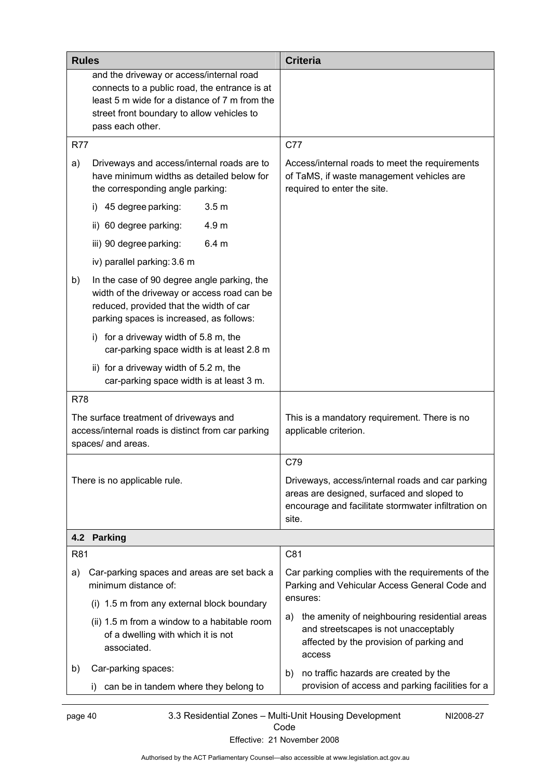| <b>Rules</b>                                                                                                                                                                                                 | <b>Criteria</b>                                                                                                                                                |  |
|--------------------------------------------------------------------------------------------------------------------------------------------------------------------------------------------------------------|----------------------------------------------------------------------------------------------------------------------------------------------------------------|--|
| and the driveway or access/internal road<br>connects to a public road, the entrance is at<br>least 5 m wide for a distance of 7 m from the<br>street front boundary to allow vehicles to<br>pass each other. |                                                                                                                                                                |  |
| <b>R77</b>                                                                                                                                                                                                   | C77                                                                                                                                                            |  |
| a)<br>Driveways and access/internal roads are to<br>have minimum widths as detailed below for<br>the corresponding angle parking:                                                                            | Access/internal roads to meet the requirements<br>of TaMS, if waste management vehicles are<br>required to enter the site.                                     |  |
| 3.5 <sub>m</sub><br>i) 45 degree parking:                                                                                                                                                                    |                                                                                                                                                                |  |
| 4.9 m<br>ii) 60 degree parking:                                                                                                                                                                              |                                                                                                                                                                |  |
| iii) 90 degree parking:<br>6.4 <sub>m</sub>                                                                                                                                                                  |                                                                                                                                                                |  |
| iv) parallel parking: 3.6 m                                                                                                                                                                                  |                                                                                                                                                                |  |
| In the case of 90 degree angle parking, the<br>b)<br>width of the driveway or access road can be<br>reduced, provided that the width of car<br>parking spaces is increased, as follows:                      |                                                                                                                                                                |  |
| i) for a driveway width of 5.8 m, the<br>car-parking space width is at least 2.8 m                                                                                                                           |                                                                                                                                                                |  |
| ii) for a driveway width of 5.2 m, the<br>car-parking space width is at least 3 m.                                                                                                                           |                                                                                                                                                                |  |
| <b>R78</b>                                                                                                                                                                                                   |                                                                                                                                                                |  |
| The surface treatment of driveways and<br>access/internal roads is distinct from car parking<br>spaces/ and areas.                                                                                           | This is a mandatory requirement. There is no<br>applicable criterion.                                                                                          |  |
|                                                                                                                                                                                                              | C79                                                                                                                                                            |  |
| There is no applicable rule.                                                                                                                                                                                 | Driveways, access/internal roads and car parking<br>areas are designed, surfaced and sloped to<br>encourage and facilitate stormwater infiltration on<br>site. |  |
| 4.2 Parking                                                                                                                                                                                                  |                                                                                                                                                                |  |
| R81                                                                                                                                                                                                          | C81                                                                                                                                                            |  |
| Car-parking spaces and areas are set back a<br>a)<br>minimum distance of:                                                                                                                                    | Car parking complies with the requirements of the<br>Parking and Vehicular Access General Code and                                                             |  |
| (i) 1.5 m from any external block boundary                                                                                                                                                                   | ensures:                                                                                                                                                       |  |
| (ii) 1.5 m from a window to a habitable room<br>of a dwelling with which it is not<br>associated.                                                                                                            | the amenity of neighbouring residential areas<br>a)<br>and streetscapes is not unacceptably<br>affected by the provision of parking and<br>access              |  |
| b)<br>Car-parking spaces:<br>can be in tandem where they belong to<br>i)                                                                                                                                     | no traffic hazards are created by the<br>b)<br>provision of access and parking facilities for a                                                                |  |

# page 40 3.3 Residential Zones – Multi-Unit Housing Development Code

NI2008-27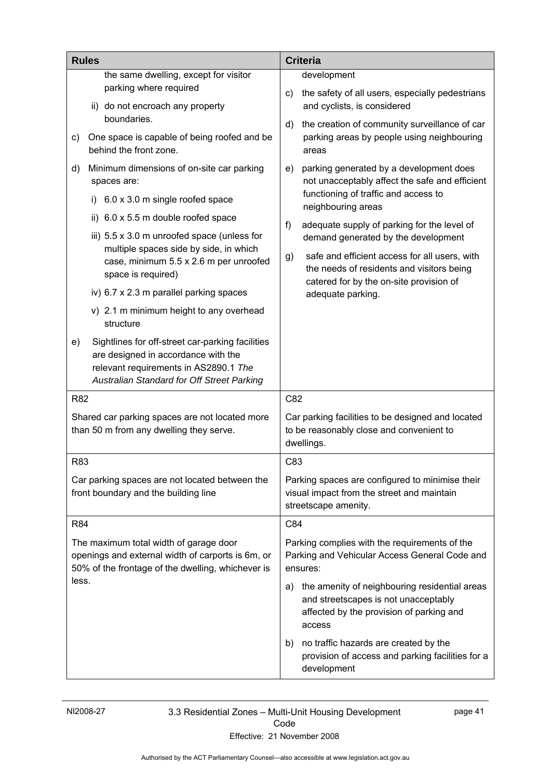| <b>Rules</b>                                                                           |                                                                                                                                                                                | <b>Criteria</b>                                                                                                                                |  |
|----------------------------------------------------------------------------------------|--------------------------------------------------------------------------------------------------------------------------------------------------------------------------------|------------------------------------------------------------------------------------------------------------------------------------------------|--|
|                                                                                        | the same dwelling, except for visitor<br>parking where required<br>ii) do not encroach any property                                                                            | development<br>the safety of all users, especially pedestrians<br>C)<br>and cyclists, is considered                                            |  |
|                                                                                        | boundaries.                                                                                                                                                                    | the creation of community surveillance of car<br>d)                                                                                            |  |
| C)                                                                                     | One space is capable of being roofed and be<br>behind the front zone.                                                                                                          | parking areas by people using neighbouring<br>areas                                                                                            |  |
| d)                                                                                     | Minimum dimensions of on-site car parking<br>spaces are:                                                                                                                       | parking generated by a development does<br>e)<br>not unacceptably affect the safe and efficient                                                |  |
|                                                                                        | 6.0 x 3.0 m single roofed space<br>i)                                                                                                                                          | functioning of traffic and access to<br>neighbouring areas                                                                                     |  |
|                                                                                        | ii) 6.0 x 5.5 m double roofed space                                                                                                                                            | adequate supply of parking for the level of<br>f)                                                                                              |  |
|                                                                                        | iii) $5.5 \times 3.0$ m unroofed space (unless for                                                                                                                             | demand generated by the development                                                                                                            |  |
|                                                                                        | multiple spaces side by side, in which<br>case, minimum 5.5 x 2.6 m per unroofed<br>space is required)                                                                         | safe and efficient access for all users, with<br>g)<br>the needs of residents and visitors being<br>catered for by the on-site provision of    |  |
|                                                                                        | iv) 6.7 x 2.3 m parallel parking spaces                                                                                                                                        | adequate parking.                                                                                                                              |  |
|                                                                                        | v) 2.1 m minimum height to any overhead<br>structure                                                                                                                           |                                                                                                                                                |  |
| e)                                                                                     | Sightlines for off-street car-parking facilities<br>are designed in accordance with the<br>relevant requirements in AS2890.1 The<br>Australian Standard for Off Street Parking |                                                                                                                                                |  |
| <b>R82</b>                                                                             |                                                                                                                                                                                | C82                                                                                                                                            |  |
|                                                                                        | Shared car parking spaces are not located more<br>than 50 m from any dwelling they serve.                                                                                      | Car parking facilities to be designed and located<br>to be reasonably close and convenient to<br>dwellings.                                    |  |
| R83                                                                                    |                                                                                                                                                                                | C83                                                                                                                                            |  |
| Car parking spaces are not located between the<br>front boundary and the building line |                                                                                                                                                                                | Parking spaces are configured to minimise their<br>visual impact from the street and maintain<br>streetscape amenity.                          |  |
| <b>R84</b>                                                                             |                                                                                                                                                                                | C84                                                                                                                                            |  |
|                                                                                        | The maximum total width of garage door<br>openings and external width of carports is 6m, or<br>50% of the frontage of the dwelling, whichever is                               | Parking complies with the requirements of the<br>Parking and Vehicular Access General Code and<br>ensures:                                     |  |
| less.                                                                                  |                                                                                                                                                                                | a) the amenity of neighbouring residential areas<br>and streetscapes is not unacceptably<br>affected by the provision of parking and<br>access |  |
|                                                                                        |                                                                                                                                                                                | no traffic hazards are created by the<br>b)<br>provision of access and parking facilities for a<br>development                                 |  |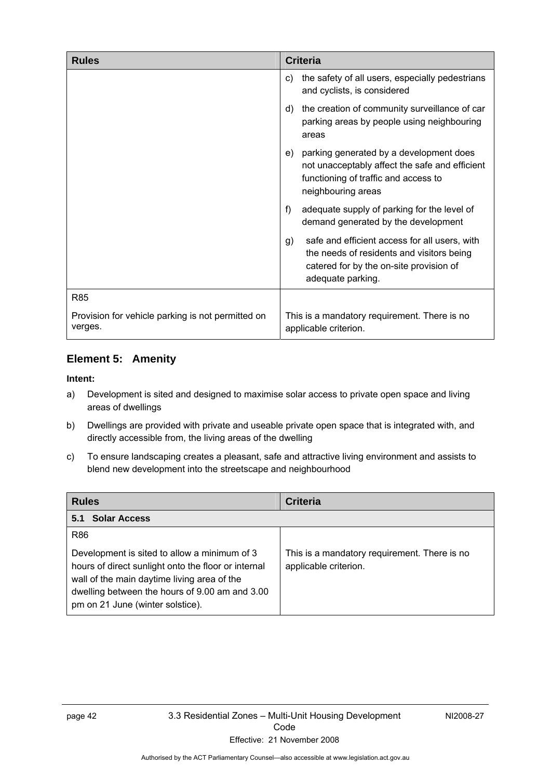| <b>Rules</b>                                                 | <b>Criteria</b>                                                                                                                                                  |
|--------------------------------------------------------------|------------------------------------------------------------------------------------------------------------------------------------------------------------------|
|                                                              | the safety of all users, especially pedestrians<br>C)<br>and cyclists, is considered                                                                             |
|                                                              | the creation of community surveillance of car<br>d)<br>parking areas by people using neighbouring<br>areas                                                       |
|                                                              | parking generated by a development does<br>e)<br>not unacceptably affect the safe and efficient<br>functioning of traffic and access to<br>neighbouring areas    |
|                                                              | f)<br>adequate supply of parking for the level of<br>demand generated by the development                                                                         |
|                                                              | safe and efficient access for all users, with<br>g)<br>the needs of residents and visitors being<br>catered for by the on-site provision of<br>adequate parking. |
| <b>R85</b>                                                   |                                                                                                                                                                  |
| Provision for vehicle parking is not permitted on<br>verges. | This is a mandatory requirement. There is no<br>applicable criterion.                                                                                            |

### **Element 5: Amenity**

- a) Development is sited and designed to maximise solar access to private open space and living areas of dwellings
- b) Dwellings are provided with private and useable private open space that is integrated with, and directly accessible from, the living areas of the dwelling
- c) To ensure landscaping creates a pleasant, safe and attractive living environment and assists to blend new development into the streetscape and neighbourhood

| <b>Rules</b>                                                                                                                                                                                                                             | <b>Criteria</b>                                                       |  |
|------------------------------------------------------------------------------------------------------------------------------------------------------------------------------------------------------------------------------------------|-----------------------------------------------------------------------|--|
| <b>Solar Access</b><br>5.1                                                                                                                                                                                                               |                                                                       |  |
| R86                                                                                                                                                                                                                                      |                                                                       |  |
| Development is sited to allow a minimum of 3<br>hours of direct sunlight onto the floor or internal<br>wall of the main daytime living area of the<br>dwelling between the hours of 9.00 am and 3.00<br>pm on 21 June (winter solstice). | This is a mandatory requirement. There is no<br>applicable criterion. |  |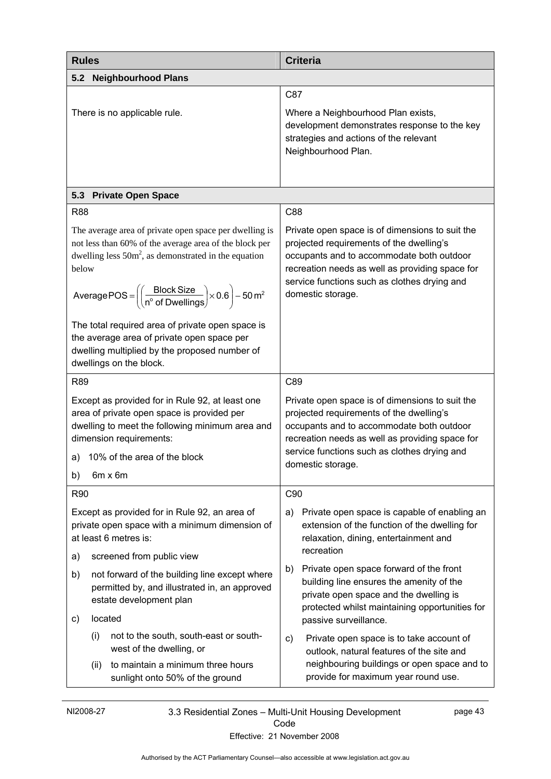| <b>Rules</b>                                                                                                                                                                                                                                                                                                           |                                                                                                                                                                            | <b>Criteria</b>                                                                                                                                                                                                                                                  |                                                                                                                                                                                             |
|------------------------------------------------------------------------------------------------------------------------------------------------------------------------------------------------------------------------------------------------------------------------------------------------------------------------|----------------------------------------------------------------------------------------------------------------------------------------------------------------------------|------------------------------------------------------------------------------------------------------------------------------------------------------------------------------------------------------------------------------------------------------------------|---------------------------------------------------------------------------------------------------------------------------------------------------------------------------------------------|
| 5.2                                                                                                                                                                                                                                                                                                                    | <b>Neighbourhood Plans</b>                                                                                                                                                 |                                                                                                                                                                                                                                                                  |                                                                                                                                                                                             |
|                                                                                                                                                                                                                                                                                                                        |                                                                                                                                                                            | C87                                                                                                                                                                                                                                                              |                                                                                                                                                                                             |
| There is no applicable rule.                                                                                                                                                                                                                                                                                           |                                                                                                                                                                            | Where a Neighbourhood Plan exists,<br>development demonstrates response to the key<br>strategies and actions of the relevant<br>Neighbourhood Plan.                                                                                                              |                                                                                                                                                                                             |
|                                                                                                                                                                                                                                                                                                                        |                                                                                                                                                                            |                                                                                                                                                                                                                                                                  |                                                                                                                                                                                             |
|                                                                                                                                                                                                                                                                                                                        | 5.3 Private Open Space                                                                                                                                                     |                                                                                                                                                                                                                                                                  |                                                                                                                                                                                             |
| <b>R88</b>                                                                                                                                                                                                                                                                                                             |                                                                                                                                                                            | C88                                                                                                                                                                                                                                                              |                                                                                                                                                                                             |
| The average area of private open space per dwelling is<br>not less than 60% of the average area of the block per<br>dwelling less $50m^2$ , as demonstrated in the equation<br>below<br>Average POS = $\left(\left(\frac{\text{Block Size}}{n^{\circ} \text{ of Dwellings}}\right) \times 0.6\right) - 50 \text{ m}^2$ |                                                                                                                                                                            | Private open space is of dimensions to suit the<br>projected requirements of the dwelling's<br>occupants and to accommodate both outdoor<br>recreation needs as well as providing space for<br>service functions such as clothes drying and<br>domestic storage. |                                                                                                                                                                                             |
|                                                                                                                                                                                                                                                                                                                        | The total required area of private open space is<br>the average area of private open space per<br>dwelling multiplied by the proposed number of<br>dwellings on the block. |                                                                                                                                                                                                                                                                  |                                                                                                                                                                                             |
| <b>R89</b>                                                                                                                                                                                                                                                                                                             |                                                                                                                                                                            | C89                                                                                                                                                                                                                                                              |                                                                                                                                                                                             |
| Except as provided for in Rule 92, at least one<br>area of private open space is provided per<br>dwelling to meet the following minimum area and<br>dimension requirements:                                                                                                                                            |                                                                                                                                                                            |                                                                                                                                                                                                                                                                  | Private open space is of dimensions to suit the<br>projected requirements of the dwelling's<br>occupants and to accommodate both outdoor<br>recreation needs as well as providing space for |
| a)                                                                                                                                                                                                                                                                                                                     | 10% of the area of the block                                                                                                                                               |                                                                                                                                                                                                                                                                  | service functions such as clothes drying and                                                                                                                                                |
| b)                                                                                                                                                                                                                                                                                                                     | $6m \times 6m$                                                                                                                                                             | domestic storage.                                                                                                                                                                                                                                                |                                                                                                                                                                                             |
| R90                                                                                                                                                                                                                                                                                                                    |                                                                                                                                                                            | C90                                                                                                                                                                                                                                                              |                                                                                                                                                                                             |
| Except as provided for in Rule 92, an area of<br>private open space with a minimum dimension of<br>at least 6 metres is:                                                                                                                                                                                               |                                                                                                                                                                            | a)                                                                                                                                                                                                                                                               | Private open space is capable of enabling an<br>extension of the function of the dwelling for<br>relaxation, dining, entertainment and<br>recreation                                        |
| a)                                                                                                                                                                                                                                                                                                                     | screened from public view                                                                                                                                                  |                                                                                                                                                                                                                                                                  |                                                                                                                                                                                             |
| b)                                                                                                                                                                                                                                                                                                                     | not forward of the building line except where<br>permitted by, and illustrated in, an approved<br>estate development plan                                                  | b)                                                                                                                                                                                                                                                               | Private open space forward of the front<br>building line ensures the amenity of the<br>private open space and the dwelling is<br>protected whilst maintaining opportunities for             |
| located<br>c)                                                                                                                                                                                                                                                                                                          |                                                                                                                                                                            |                                                                                                                                                                                                                                                                  | passive surveillance.                                                                                                                                                                       |
| (i)                                                                                                                                                                                                                                                                                                                    | not to the south, south-east or south-<br>west of the dwelling, or                                                                                                         | C)                                                                                                                                                                                                                                                               | Private open space is to take account of<br>outlook, natural features of the site and                                                                                                       |
| (ii)                                                                                                                                                                                                                                                                                                                   | to maintain a minimum three hours<br>sunlight onto 50% of the ground                                                                                                       |                                                                                                                                                                                                                                                                  | neighbouring buildings or open space and to<br>provide for maximum year round use.                                                                                                          |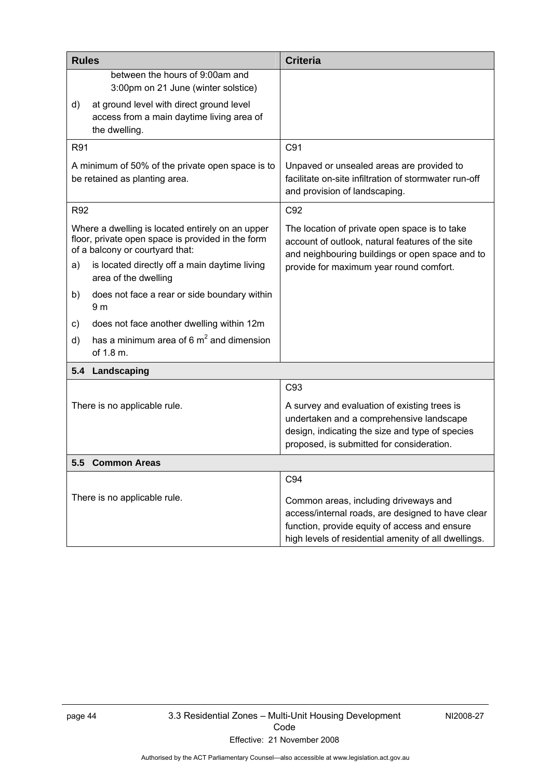| <b>Rules</b>                                                                                                                             |                                                                                                        | <b>Criteria</b>                                                                                                                                                                                     |
|------------------------------------------------------------------------------------------------------------------------------------------|--------------------------------------------------------------------------------------------------------|-----------------------------------------------------------------------------------------------------------------------------------------------------------------------------------------------------|
|                                                                                                                                          | between the hours of 9:00am and<br>3:00pm on 21 June (winter solstice)                                 |                                                                                                                                                                                                     |
| d)                                                                                                                                       | at ground level with direct ground level<br>access from a main daytime living area of<br>the dwelling. |                                                                                                                                                                                                     |
| R91                                                                                                                                      |                                                                                                        | C91                                                                                                                                                                                                 |
| A minimum of 50% of the private open space is to<br>be retained as planting area.                                                        |                                                                                                        | Unpaved or unsealed areas are provided to<br>facilitate on-site infiltration of stormwater run-off<br>and provision of landscaping.                                                                 |
| R92                                                                                                                                      |                                                                                                        | C92                                                                                                                                                                                                 |
| Where a dwelling is located entirely on an upper<br>floor, private open space is provided in the form<br>of a balcony or courtyard that: |                                                                                                        | The location of private open space is to take<br>account of outlook, natural features of the site<br>and neighbouring buildings or open space and to                                                |
| a)                                                                                                                                       | is located directly off a main daytime living<br>area of the dwelling                                  | provide for maximum year round comfort.                                                                                                                                                             |
| b)                                                                                                                                       | does not face a rear or side boundary within<br>9 <sub>m</sub>                                         |                                                                                                                                                                                                     |
| C)                                                                                                                                       | does not face another dwelling within 12m                                                              |                                                                                                                                                                                                     |
| d)                                                                                                                                       | has a minimum area of 6 $m2$ and dimension<br>of 1.8 m.                                                |                                                                                                                                                                                                     |
| 5.4                                                                                                                                      | Landscaping                                                                                            |                                                                                                                                                                                                     |
|                                                                                                                                          |                                                                                                        | C93                                                                                                                                                                                                 |
| There is no applicable rule.                                                                                                             |                                                                                                        | A survey and evaluation of existing trees is<br>undertaken and a comprehensive landscape<br>design, indicating the size and type of species<br>proposed, is submitted for consideration.            |
| 5.5 Common Areas                                                                                                                         |                                                                                                        |                                                                                                                                                                                                     |
|                                                                                                                                          |                                                                                                        | C94                                                                                                                                                                                                 |
| There is no applicable rule.                                                                                                             |                                                                                                        | Common areas, including driveways and<br>access/internal roads, are designed to have clear<br>function, provide equity of access and ensure<br>high levels of residential amenity of all dwellings. |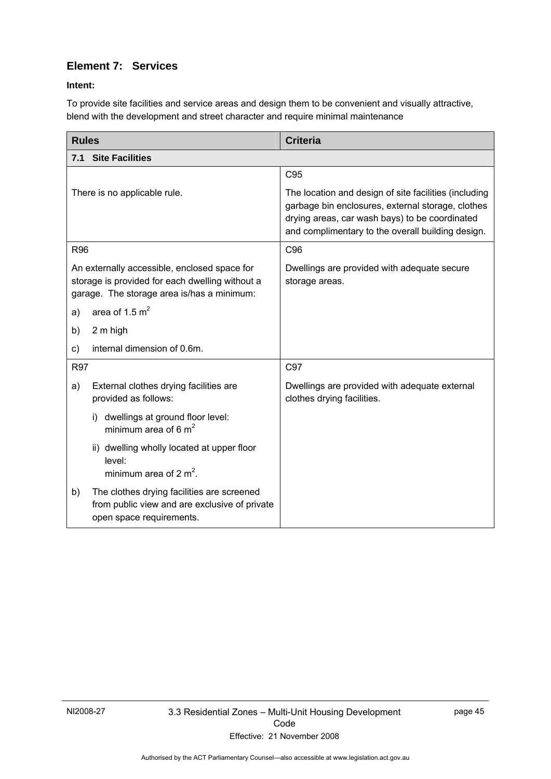# **Element 7: Services**

### **Intent:**

To provide site facilities and service areas and design them to be convenient and visually attractive, blend with the development and street character and require minimal maintenance

| <b>Rules</b>                                                                                                                                  | <b>Criteria</b>                                                                                                                                                                                                   |
|-----------------------------------------------------------------------------------------------------------------------------------------------|-------------------------------------------------------------------------------------------------------------------------------------------------------------------------------------------------------------------|
| <b>Site Facilities</b><br>7.1                                                                                                                 |                                                                                                                                                                                                                   |
|                                                                                                                                               | C95                                                                                                                                                                                                               |
| There is no applicable rule.                                                                                                                  | The location and design of site facilities (including<br>garbage bin enclosures, external storage, clothes<br>drying areas, car wash bays) to be coordinated<br>and complimentary to the overall building design. |
| <b>R96</b>                                                                                                                                    | C96                                                                                                                                                                                                               |
| An externally accessible, enclosed space for<br>storage is provided for each dwelling without a<br>garage. The storage area is/has a minimum: | Dwellings are provided with adequate secure<br>storage areas.                                                                                                                                                     |
| area of 1.5 $m2$<br>a)                                                                                                                        |                                                                                                                                                                                                                   |
| 2 m high<br>b)                                                                                                                                |                                                                                                                                                                                                                   |
| internal dimension of 0.6m.<br>C)                                                                                                             |                                                                                                                                                                                                                   |
| <b>R97</b>                                                                                                                                    | C97                                                                                                                                                                                                               |
| External clothes drying facilities are<br>a)<br>provided as follows:                                                                          | Dwellings are provided with adequate external<br>clothes drying facilities.                                                                                                                                       |
| dwellings at ground floor level:<br>i)<br>minimum area of 6 $m2$                                                                              |                                                                                                                                                                                                                   |
| ii) dwelling wholly located at upper floor<br>level:<br>minimum area of 2 $m^2$ .                                                             |                                                                                                                                                                                                                   |
| b)<br>The clothes drying facilities are screened<br>from public view and are exclusive of private<br>open space requirements.                 |                                                                                                                                                                                                                   |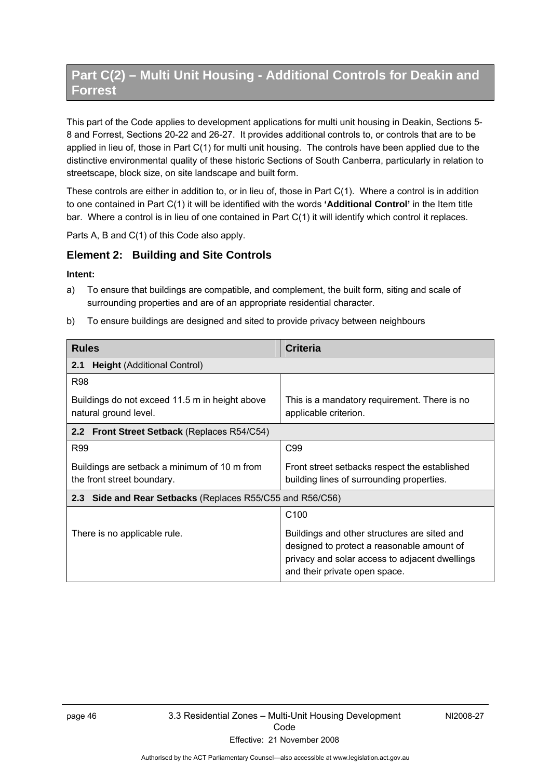# **Part C(2) – Multi Unit Housing - Additional Controls for Deakin and Forrest**

This part of the Code applies to development applications for multi unit housing in Deakin, Sections 5- 8 and Forrest, Sections 20-22 and 26-27. It provides additional controls to, or controls that are to be applied in lieu of, those in Part C(1) for multi unit housing. The controls have been applied due to the distinctive environmental quality of these historic Sections of South Canberra, particularly in relation to streetscape, block size, on site landscape and built form.

These controls are either in addition to, or in lieu of, those in Part C(1). Where a control is in addition to one contained in Part C(1) it will be identified with the words **'Additional Control'** in the Item title bar. Where a control is in lieu of one contained in Part C(1) it will identify which control it replaces.

Parts A, B and C(1) of this Code also apply.

### **Element 2: Building and Site Controls**

- a) To ensure that buildings are compatible, and complement, the built form, siting and scale of surrounding properties and are of an appropriate residential character.
- b) To ensure buildings are designed and sited to provide privacy between neighbours

| <b>Rules</b>                                                               | <b>Criteria</b>                                                                                                                                                               |  |
|----------------------------------------------------------------------------|-------------------------------------------------------------------------------------------------------------------------------------------------------------------------------|--|
| <b>Height (Additional Control)</b><br>2.1                                  |                                                                                                                                                                               |  |
| <b>R98</b>                                                                 |                                                                                                                                                                               |  |
| Buildings do not exceed 11.5 m in height above<br>natural ground level.    | This is a mandatory requirement. There is no<br>applicable criterion.                                                                                                         |  |
| 2.2 Front Street Setback (Replaces R54/C54)                                |                                                                                                                                                                               |  |
| <b>R99</b>                                                                 | C <sub>99</sub>                                                                                                                                                               |  |
| Buildings are setback a minimum of 10 m from<br>the front street boundary. | Front street setbacks respect the established<br>building lines of surrounding properties.                                                                                    |  |
| 2.3 Side and Rear Setbacks (Replaces R55/C55 and R56/C56)                  |                                                                                                                                                                               |  |
|                                                                            | C <sub>100</sub>                                                                                                                                                              |  |
| There is no applicable rule.                                               | Buildings and other structures are sited and<br>designed to protect a reasonable amount of<br>privacy and solar access to adjacent dwellings<br>and their private open space. |  |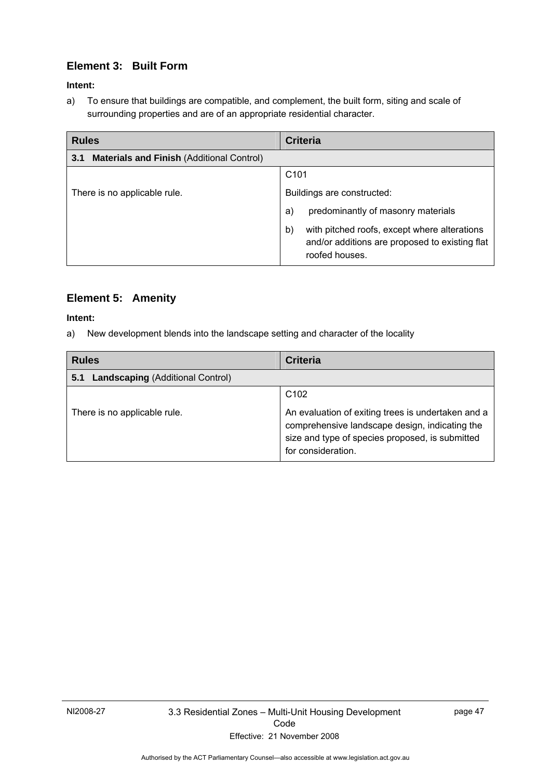# **Element 3: Built Form**

### **Intent:**

a) To ensure that buildings are compatible, and complement, the built form, siting and scale of surrounding properties and are of an appropriate residential character.

| <b>Rules</b>                                            | <b>Criteria</b>                                                                                                        |  |  |
|---------------------------------------------------------|------------------------------------------------------------------------------------------------------------------------|--|--|
| <b>Materials and Finish (Additional Control)</b><br>3.1 |                                                                                                                        |  |  |
|                                                         | C <sub>101</sub>                                                                                                       |  |  |
| There is no applicable rule.                            | Buildings are constructed:                                                                                             |  |  |
|                                                         | predominantly of masonry materials<br>a)                                                                               |  |  |
|                                                         | with pitched roofs, except where alterations<br>b)<br>and/or additions are proposed to existing flat<br>roofed houses. |  |  |

## **Element 5: Amenity**

#### **Intent:**

a) New development blends into the landscape setting and character of the locality

| <b>Rules</b>                                   | <b>Criteria</b>                                                                                                                                                                                   |  |
|------------------------------------------------|---------------------------------------------------------------------------------------------------------------------------------------------------------------------------------------------------|--|
| <b>Landscaping (Additional Control)</b><br>5.1 |                                                                                                                                                                                                   |  |
| There is no applicable rule.                   | C <sub>102</sub><br>An evaluation of exiting trees is undertaken and a<br>comprehensive landscape design, indicating the<br>size and type of species proposed, is submitted<br>for consideration. |  |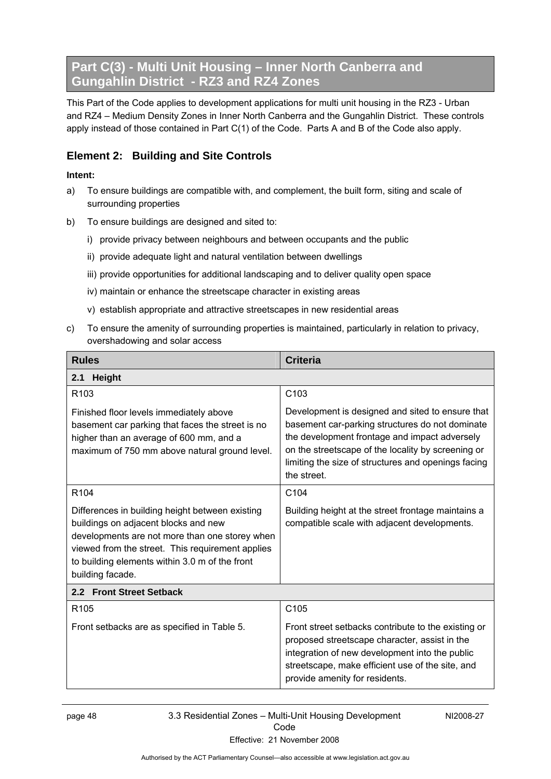# **Part C(3) - Multi Unit Housing – Inner North Canberra and Gungahlin District - RZ3 and RZ4 Zones**

This Part of the Code applies to development applications for multi unit housing in the RZ3 - Urban and RZ4 – Medium Density Zones in Inner North Canberra and the Gungahlin District. These controls apply instead of those contained in Part C(1) of the Code. Parts A and B of the Code also apply.

## **Element 2: Building and Site Controls**

- a) To ensure buildings are compatible with, and complement, the built form, siting and scale of surrounding properties
- b) To ensure buildings are designed and sited to:
	- i) provide privacy between neighbours and between occupants and the public
	- ii) provide adequate light and natural ventilation between dwellings
	- iii) provide opportunities for additional landscaping and to deliver quality open space
	- iv) maintain or enhance the streetscape character in existing areas
	- v) establish appropriate and attractive streetscapes in new residential areas
- c) To ensure the amenity of surrounding properties is maintained, particularly in relation to privacy, overshadowing and solar access

| <b>Rules</b>                                                                                                                                                                                                                                                        | <b>Criteria</b>                                                                                                                                                                                                                                                                  |  |  |
|---------------------------------------------------------------------------------------------------------------------------------------------------------------------------------------------------------------------------------------------------------------------|----------------------------------------------------------------------------------------------------------------------------------------------------------------------------------------------------------------------------------------------------------------------------------|--|--|
| <b>Height</b><br>2.1                                                                                                                                                                                                                                                |                                                                                                                                                                                                                                                                                  |  |  |
| R <sub>103</sub>                                                                                                                                                                                                                                                    | C <sub>103</sub>                                                                                                                                                                                                                                                                 |  |  |
| Finished floor levels immediately above<br>basement car parking that faces the street is no<br>higher than an average of 600 mm, and a<br>maximum of 750 mm above natural ground level.                                                                             | Development is designed and sited to ensure that<br>basement car-parking structures do not dominate<br>the development frontage and impact adversely<br>on the streetscape of the locality by screening or<br>limiting the size of structures and openings facing<br>the street. |  |  |
| R <sub>104</sub>                                                                                                                                                                                                                                                    | C <sub>104</sub>                                                                                                                                                                                                                                                                 |  |  |
| Differences in building height between existing<br>buildings on adjacent blocks and new<br>developments are not more than one storey when<br>viewed from the street. This requirement applies<br>to building elements within 3.0 m of the front<br>building facade. | Building height at the street frontage maintains a<br>compatible scale with adjacent developments.                                                                                                                                                                               |  |  |
| 2.2 Front Street Setback                                                                                                                                                                                                                                            |                                                                                                                                                                                                                                                                                  |  |  |
| R <sub>105</sub>                                                                                                                                                                                                                                                    | C <sub>105</sub>                                                                                                                                                                                                                                                                 |  |  |
| Front setbacks are as specified in Table 5.                                                                                                                                                                                                                         | Front street setbacks contribute to the existing or<br>proposed streetscape character, assist in the<br>integration of new development into the public<br>streetscape, make efficient use of the site, and<br>provide amenity for residents.                                     |  |  |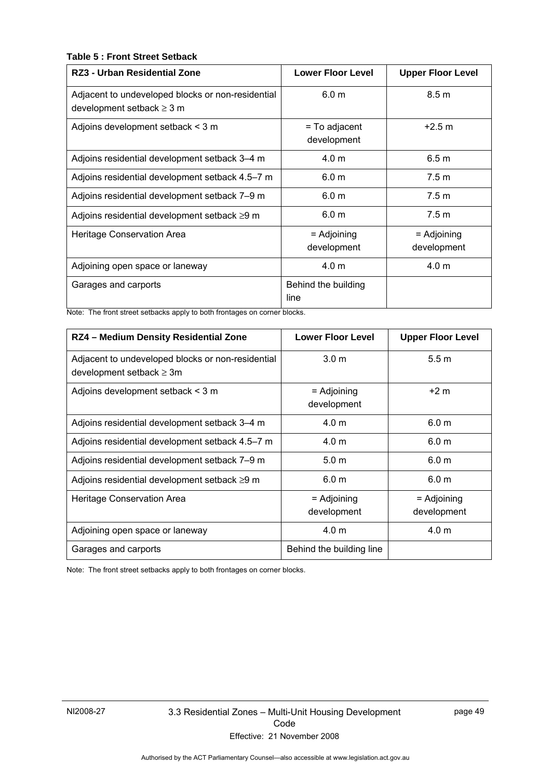### **Table 5 : Front Street Setback**

| RZ3 - Urban Residential Zone                                                        | <b>Lower Floor Level</b>       | <b>Upper Floor Level</b>     |
|-------------------------------------------------------------------------------------|--------------------------------|------------------------------|
| Adjacent to undeveloped blocks or non-residential<br>development setback $\geq$ 3 m | 6.0 <sub>m</sub>               | 8.5 m                        |
| Adjoins development setback < 3 m                                                   | $=$ To adjacent<br>development | $+2.5 m$                     |
| Adjoins residential development setback 3-4 m                                       | 4.0 <sub>m</sub>               | 6.5 m                        |
| Adjoins residential development setback 4.5–7 m                                     | 6.0 <sub>m</sub>               | 7.5 <sub>m</sub>             |
| Adjoins residential development setback 7-9 m                                       | 6.0 <sub>m</sub>               | 7.5 <sub>m</sub>             |
| Adjoins residential development setback ≥9 m                                        | 6.0 <sub>m</sub>               | 7.5 m                        |
| Heritage Conservation Area                                                          | = Adjoining<br>development     | $=$ Adjoining<br>development |
| Adjoining open space or laneway                                                     | 4.0 <sub>m</sub>               | 4.0 <sub>m</sub>             |
| Garages and carports                                                                | Behind the building<br>line    |                              |

Note: The front street setbacks apply to both frontages on corner blocks.

| RZ4 - Medium Density Residential Zone                                              | <b>Lower Floor Level</b>     | <b>Upper Floor Level</b>     |
|------------------------------------------------------------------------------------|------------------------------|------------------------------|
| Adjacent to undeveloped blocks or non-residential<br>development setback $\geq 3m$ | 3.0 <sub>m</sub>             | 5.5 <sub>m</sub>             |
| Adjoins development setback < 3 m                                                  | $=$ Adjoining<br>development | $+2m$                        |
| Adjoins residential development setback 3-4 m                                      | 4.0 <sub>m</sub>             | 6.0 <sub>m</sub>             |
| Adjoins residential development setback 4.5–7 m                                    | 4.0 m                        | 6.0 <sub>m</sub>             |
| Adjoins residential development setback 7-9 m                                      | 5.0 <sub>m</sub>             | 6.0 <sub>m</sub>             |
| Adjoins residential development setback ≥9 m                                       | 6.0 <sub>m</sub>             | 6.0 <sub>m</sub>             |
| Heritage Conservation Area                                                         | $=$ Adjoining<br>development | $=$ Adjoining<br>development |
| Adjoining open space or laneway                                                    | 4.0 <sub>m</sub>             | 4.0 <sub>m</sub>             |
| Garages and carports                                                               | Behind the building line     |                              |

Note: The front street setbacks apply to both frontages on corner blocks.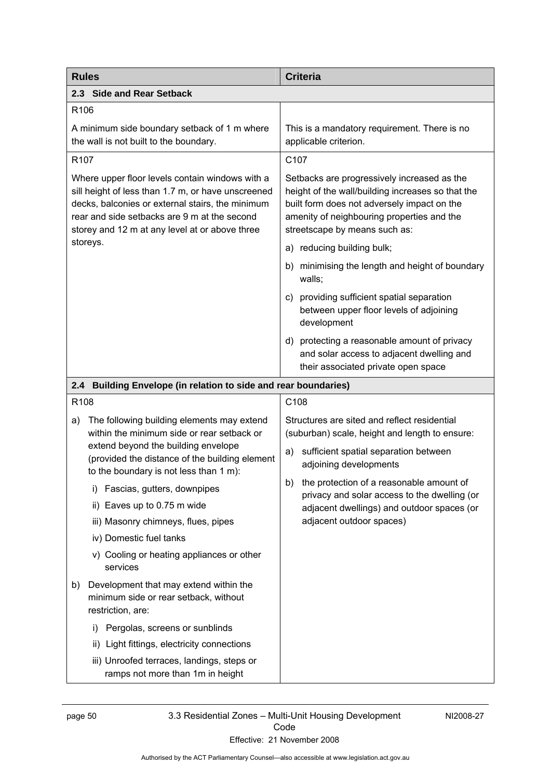| <b>Rules</b>                                                                                                                                                                                                                                                           | <b>Criteria</b>                                                                                                                                                                                                                |
|------------------------------------------------------------------------------------------------------------------------------------------------------------------------------------------------------------------------------------------------------------------------|--------------------------------------------------------------------------------------------------------------------------------------------------------------------------------------------------------------------------------|
| 2.3 Side and Rear Setback                                                                                                                                                                                                                                              |                                                                                                                                                                                                                                |
| R <sub>106</sub>                                                                                                                                                                                                                                                       |                                                                                                                                                                                                                                |
| A minimum side boundary setback of 1 m where<br>the wall is not built to the boundary.                                                                                                                                                                                 | This is a mandatory requirement. There is no<br>applicable criterion.                                                                                                                                                          |
| R <sub>107</sub>                                                                                                                                                                                                                                                       | C <sub>107</sub>                                                                                                                                                                                                               |
| Where upper floor levels contain windows with a<br>sill height of less than 1.7 m, or have unscreened<br>decks, balconies or external stairs, the minimum<br>rear and side setbacks are 9 m at the second<br>storey and 12 m at any level at or above three            | Setbacks are progressively increased as the<br>height of the wall/building increases so that the<br>built form does not adversely impact on the<br>amenity of neighbouring properties and the<br>streetscape by means such as: |
| storeys.                                                                                                                                                                                                                                                               | a) reducing building bulk;                                                                                                                                                                                                     |
|                                                                                                                                                                                                                                                                        | b) minimising the length and height of boundary<br>walls:                                                                                                                                                                      |
|                                                                                                                                                                                                                                                                        | c) providing sufficient spatial separation<br>between upper floor levels of adjoining<br>development                                                                                                                           |
|                                                                                                                                                                                                                                                                        | d) protecting a reasonable amount of privacy<br>and solar access to adjacent dwelling and<br>their associated private open space                                                                                               |
| 2.4 Building Envelope (in relation to side and rear boundaries)                                                                                                                                                                                                        |                                                                                                                                                                                                                                |
| R <sub>108</sub>                                                                                                                                                                                                                                                       | C108                                                                                                                                                                                                                           |
| The following building elements may extend<br>a)<br>within the minimum side or rear setback or<br>extend beyond the building envelope<br>(provided the distance of the building element<br>to the boundary is not less than 1 m):<br>Fascias, gutters, downpipes<br>i) | Structures are sited and reflect residential<br>(suburban) scale, height and length to ensure:<br>sufficient spatial separation between<br>a)<br>adjoining developments                                                        |
|                                                                                                                                                                                                                                                                        | b) the protection of a reasonable amount of<br>privacy and solar access to the dwelling (or                                                                                                                                    |
| Eaves up to 0.75 m wide<br>ii)<br>iii) Masonry chimneys, flues, pipes                                                                                                                                                                                                  | adjacent dwellings) and outdoor spaces (or<br>adjacent outdoor spaces)                                                                                                                                                         |
| iv) Domestic fuel tanks                                                                                                                                                                                                                                                |                                                                                                                                                                                                                                |
| v) Cooling or heating appliances or other<br>services                                                                                                                                                                                                                  |                                                                                                                                                                                                                                |
| Development that may extend within the<br>b)<br>minimum side or rear setback, without<br>restriction, are:                                                                                                                                                             |                                                                                                                                                                                                                                |
| Pergolas, screens or sunblinds<br>I)                                                                                                                                                                                                                                   |                                                                                                                                                                                                                                |
| Light fittings, electricity connections<br>ii)                                                                                                                                                                                                                         |                                                                                                                                                                                                                                |
| iii) Unroofed terraces, landings, steps or<br>ramps not more than 1m in height                                                                                                                                                                                         |                                                                                                                                                                                                                                |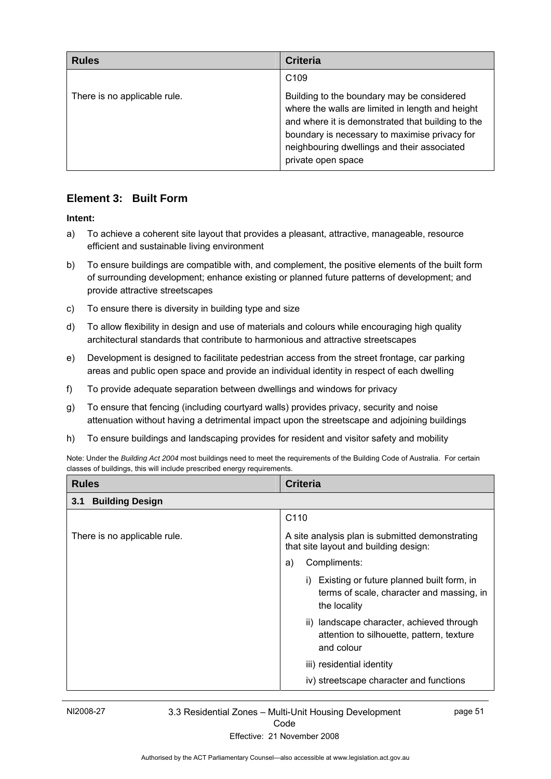| <b>Rules</b>                 | <b>Criteria</b>                                                                                                                                                                                                                                                           |
|------------------------------|---------------------------------------------------------------------------------------------------------------------------------------------------------------------------------------------------------------------------------------------------------------------------|
|                              | C <sub>109</sub>                                                                                                                                                                                                                                                          |
| There is no applicable rule. | Building to the boundary may be considered<br>where the walls are limited in length and height<br>and where it is demonstrated that building to the<br>boundary is necessary to maximise privacy for<br>neighbouring dwellings and their associated<br>private open space |

## **Element 3: Built Form**

#### **Intent:**

- a) To achieve a coherent site layout that provides a pleasant, attractive, manageable, resource efficient and sustainable living environment
- b) To ensure buildings are compatible with, and complement, the positive elements of the built form of surrounding development; enhance existing or planned future patterns of development; and provide attractive streetscapes
- c) To ensure there is diversity in building type and size
- d) To allow flexibility in design and use of materials and colours while encouraging high quality architectural standards that contribute to harmonious and attractive streetscapes
- e) Development is designed to facilitate pedestrian access from the street frontage, car parking areas and public open space and provide an individual identity in respect of each dwelling
- f) To provide adequate separation between dwellings and windows for privacy
- g) To ensure that fencing (including courtyard walls) provides privacy, security and noise attenuation without having a detrimental impact upon the streetscape and adjoining buildings
- h) To ensure buildings and landscaping provides for resident and visitor safety and mobility

Note: Under the *Building Act 2004* most buildings need to meet the requirements of the Building Code of Australia. For certain classes of buildings, this will include prescribed energy requirements.

| <b>Rules</b>                  | <b>Criteria</b>                                                                                        |  |
|-------------------------------|--------------------------------------------------------------------------------------------------------|--|
| <b>Building Design</b><br>3.1 |                                                                                                        |  |
|                               | C <sub>110</sub>                                                                                       |  |
| There is no applicable rule.  | A site analysis plan is submitted demonstrating<br>that site layout and building design:               |  |
|                               | Compliments:<br>a)                                                                                     |  |
|                               | Existing or future planned built form, in<br>terms of scale, character and massing, in<br>the locality |  |
|                               | ii) landscape character, achieved through<br>attention to silhouette, pattern, texture<br>and colour   |  |
|                               | iii) residential identity                                                                              |  |
|                               | iv) streetscape character and functions                                                                |  |

NI2008-27 3.3 Residential Zones – Multi-Unit Housing Development Code

page 51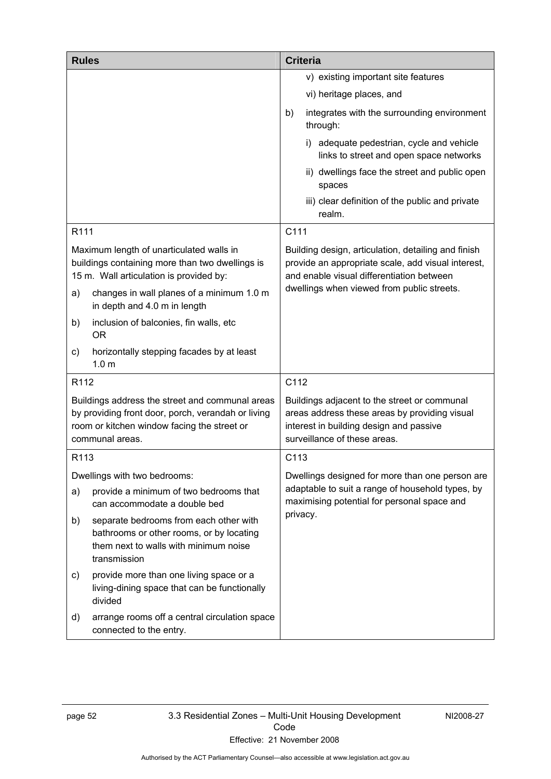| <b>Rules</b>                                                                                                                                                            |                                                                                                                                                                                     | <b>Criteria</b>                                                                                                                                                                                      |                                                                                                                                                                          |
|-------------------------------------------------------------------------------------------------------------------------------------------------------------------------|-------------------------------------------------------------------------------------------------------------------------------------------------------------------------------------|------------------------------------------------------------------------------------------------------------------------------------------------------------------------------------------------------|--------------------------------------------------------------------------------------------------------------------------------------------------------------------------|
|                                                                                                                                                                         |                                                                                                                                                                                     |                                                                                                                                                                                                      | v) existing important site features                                                                                                                                      |
|                                                                                                                                                                         |                                                                                                                                                                                     |                                                                                                                                                                                                      | vi) heritage places, and                                                                                                                                                 |
|                                                                                                                                                                         |                                                                                                                                                                                     | b)                                                                                                                                                                                                   | integrates with the surrounding environment<br>through:                                                                                                                  |
|                                                                                                                                                                         |                                                                                                                                                                                     |                                                                                                                                                                                                      | i) adequate pedestrian, cycle and vehicle<br>links to street and open space networks                                                                                     |
|                                                                                                                                                                         |                                                                                                                                                                                     |                                                                                                                                                                                                      | ii) dwellings face the street and public open<br>spaces                                                                                                                  |
|                                                                                                                                                                         |                                                                                                                                                                                     |                                                                                                                                                                                                      | iii) clear definition of the public and private<br>realm.                                                                                                                |
| R111                                                                                                                                                                    |                                                                                                                                                                                     | C111                                                                                                                                                                                                 |                                                                                                                                                                          |
| a)                                                                                                                                                                      | Maximum length of unarticulated walls in<br>buildings containing more than two dwellings is<br>15 m. Wall articulation is provided by:<br>changes in wall planes of a minimum 1.0 m | Building design, articulation, detailing and finish<br>provide an appropriate scale, add visual interest,<br>and enable visual differentiation between<br>dwellings when viewed from public streets. |                                                                                                                                                                          |
|                                                                                                                                                                         | in depth and 4.0 m in length                                                                                                                                                        |                                                                                                                                                                                                      |                                                                                                                                                                          |
| b)                                                                                                                                                                      | inclusion of balconies, fin walls, etc<br><b>OR</b>                                                                                                                                 |                                                                                                                                                                                                      |                                                                                                                                                                          |
| C)                                                                                                                                                                      | horizontally stepping facades by at least<br>1.0 <sub>m</sub>                                                                                                                       |                                                                                                                                                                                                      |                                                                                                                                                                          |
| R112                                                                                                                                                                    |                                                                                                                                                                                     | C112                                                                                                                                                                                                 |                                                                                                                                                                          |
| Buildings address the street and communal areas<br>by providing front door, porch, verandah or living<br>room or kitchen window facing the street or<br>communal areas. |                                                                                                                                                                                     |                                                                                                                                                                                                      | Buildings adjacent to the street or communal<br>areas address these areas by providing visual<br>interest in building design and passive<br>surveillance of these areas. |
| R <sub>113</sub>                                                                                                                                                        |                                                                                                                                                                                     | C113                                                                                                                                                                                                 |                                                                                                                                                                          |
|                                                                                                                                                                         | Dwellings with two bedrooms:                                                                                                                                                        |                                                                                                                                                                                                      | Dwellings designed for more than one person are                                                                                                                          |
| a)                                                                                                                                                                      | provide a minimum of two bedrooms that<br>can accommodate a double bed                                                                                                              |                                                                                                                                                                                                      | adaptable to suit a range of household types, by<br>maximising potential for personal space and                                                                          |
| b)                                                                                                                                                                      | separate bedrooms from each other with<br>bathrooms or other rooms, or by locating<br>them next to walls with minimum noise<br>transmission                                         | privacy.                                                                                                                                                                                             |                                                                                                                                                                          |
| C)                                                                                                                                                                      | provide more than one living space or a<br>living-dining space that can be functionally<br>divided                                                                                  |                                                                                                                                                                                                      |                                                                                                                                                                          |
| d)                                                                                                                                                                      | arrange rooms off a central circulation space<br>connected to the entry.                                                                                                            |                                                                                                                                                                                                      |                                                                                                                                                                          |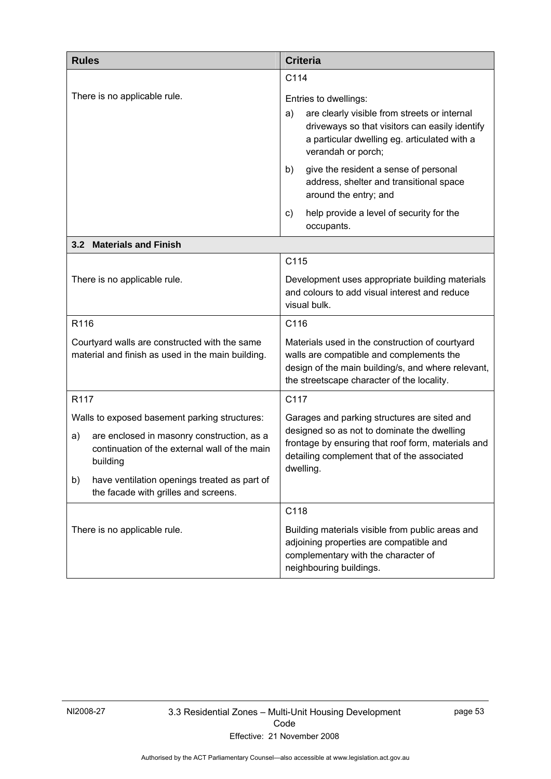| <b>Rules</b>                                                                                                  | <b>Criteria</b>                                                                                                                                                                                     |  |
|---------------------------------------------------------------------------------------------------------------|-----------------------------------------------------------------------------------------------------------------------------------------------------------------------------------------------------|--|
|                                                                                                               | C114                                                                                                                                                                                                |  |
| There is no applicable rule.                                                                                  | Entries to dwellings:<br>are clearly visible from streets or internal<br>a)<br>driveways so that visitors can easily identify<br>a particular dwelling eg. articulated with a<br>verandah or porch; |  |
|                                                                                                               | give the resident a sense of personal<br>b)<br>address, shelter and transitional space<br>around the entry; and                                                                                     |  |
|                                                                                                               | help provide a level of security for the<br>C)<br>occupants.                                                                                                                                        |  |
| 3.2 Materials and Finish                                                                                      |                                                                                                                                                                                                     |  |
|                                                                                                               | C115                                                                                                                                                                                                |  |
| There is no applicable rule.                                                                                  | Development uses appropriate building materials<br>and colours to add visual interest and reduce<br>visual bulk.                                                                                    |  |
| R116                                                                                                          | C116                                                                                                                                                                                                |  |
| Courtyard walls are constructed with the same<br>material and finish as used in the main building.            | Materials used in the construction of courtyard<br>walls are compatible and complements the<br>design of the main building/s, and where relevant,<br>the streetscape character of the locality.     |  |
| R117                                                                                                          | C117                                                                                                                                                                                                |  |
| Walls to exposed basement parking structures:                                                                 | Garages and parking structures are sited and                                                                                                                                                        |  |
| are enclosed in masonry construction, as a<br>a)<br>continuation of the external wall of the main<br>building | designed so as not to dominate the dwelling<br>frontage by ensuring that roof form, materials and<br>detailing complement that of the associated<br>dwelling.                                       |  |
| have ventilation openings treated as part of<br>b)<br>the facade with grilles and screens.                    |                                                                                                                                                                                                     |  |
|                                                                                                               | C118                                                                                                                                                                                                |  |
| There is no applicable rule.                                                                                  | Building materials visible from public areas and<br>adjoining properties are compatible and<br>complementary with the character of<br>neighbouring buildings.                                       |  |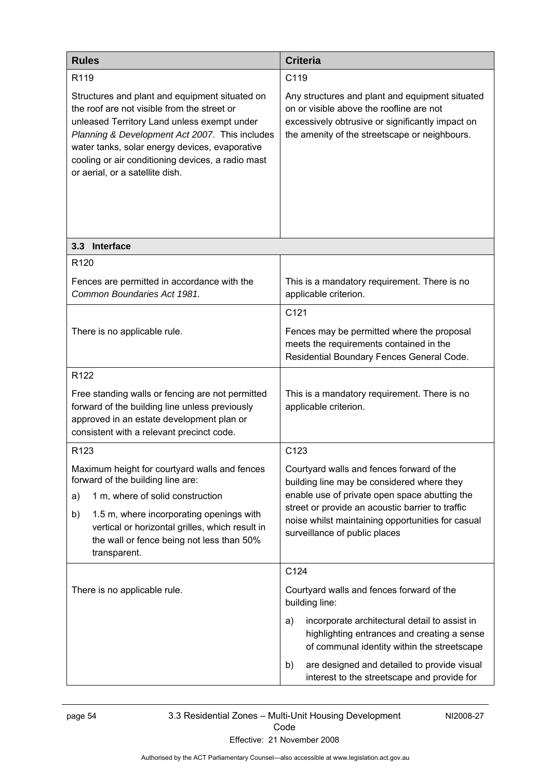| <b>Rules</b>                                                                                                                                                                                                                                                                                                                             | <b>Criteria</b>                                                                                                                                                                                                                                                                    |  |
|------------------------------------------------------------------------------------------------------------------------------------------------------------------------------------------------------------------------------------------------------------------------------------------------------------------------------------------|------------------------------------------------------------------------------------------------------------------------------------------------------------------------------------------------------------------------------------------------------------------------------------|--|
| R <sub>119</sub>                                                                                                                                                                                                                                                                                                                         | C119                                                                                                                                                                                                                                                                               |  |
| Structures and plant and equipment situated on<br>the roof are not visible from the street or<br>unleased Territory Land unless exempt under<br>Planning & Development Act 2007. This includes<br>water tanks, solar energy devices, evaporative<br>cooling or air conditioning devices, a radio mast<br>or aerial, or a satellite dish. | Any structures and plant and equipment situated<br>on or visible above the roofline are not<br>excessively obtrusive or significantly impact on<br>the amenity of the streetscape or neighbours.                                                                                   |  |
| 3.3 Interface                                                                                                                                                                                                                                                                                                                            |                                                                                                                                                                                                                                                                                    |  |
| R <sub>120</sub>                                                                                                                                                                                                                                                                                                                         |                                                                                                                                                                                                                                                                                    |  |
| Fences are permitted in accordance with the<br>Common Boundaries Act 1981.                                                                                                                                                                                                                                                               | This is a mandatory requirement. There is no<br>applicable criterion.                                                                                                                                                                                                              |  |
|                                                                                                                                                                                                                                                                                                                                          | C121                                                                                                                                                                                                                                                                               |  |
| There is no applicable rule.                                                                                                                                                                                                                                                                                                             | Fences may be permitted where the proposal<br>meets the requirements contained in the<br>Residential Boundary Fences General Code.                                                                                                                                                 |  |
| R <sub>122</sub>                                                                                                                                                                                                                                                                                                                         |                                                                                                                                                                                                                                                                                    |  |
| Free standing walls or fencing are not permitted<br>forward of the building line unless previously<br>approved in an estate development plan or<br>consistent with a relevant precinct code.                                                                                                                                             | This is a mandatory requirement. There is no<br>applicable criterion.                                                                                                                                                                                                              |  |
| R <sub>123</sub>                                                                                                                                                                                                                                                                                                                         | C123                                                                                                                                                                                                                                                                               |  |
| Maximum height for courtyard walls and fences<br>forward of the building line are:<br>1 m, where of solid construction<br>a)<br>1.5 m, where incorporating openings with<br>b)<br>vertical or horizontal grilles, which result in<br>the wall or fence being not less than 50%<br>transparent.                                           | Courtyard walls and fences forward of the<br>building line may be considered where they<br>enable use of private open space abutting the<br>street or provide an acoustic barrier to traffic<br>noise whilst maintaining opportunities for casual<br>surveillance of public places |  |
|                                                                                                                                                                                                                                                                                                                                          | C124                                                                                                                                                                                                                                                                               |  |
| There is no applicable rule.                                                                                                                                                                                                                                                                                                             | Courtyard walls and fences forward of the<br>building line:                                                                                                                                                                                                                        |  |
|                                                                                                                                                                                                                                                                                                                                          | incorporate architectural detail to assist in<br>a)<br>highlighting entrances and creating a sense<br>of communal identity within the streetscape                                                                                                                                  |  |
|                                                                                                                                                                                                                                                                                                                                          | are designed and detailed to provide visual<br>b)<br>interest to the streetscape and provide for                                                                                                                                                                                   |  |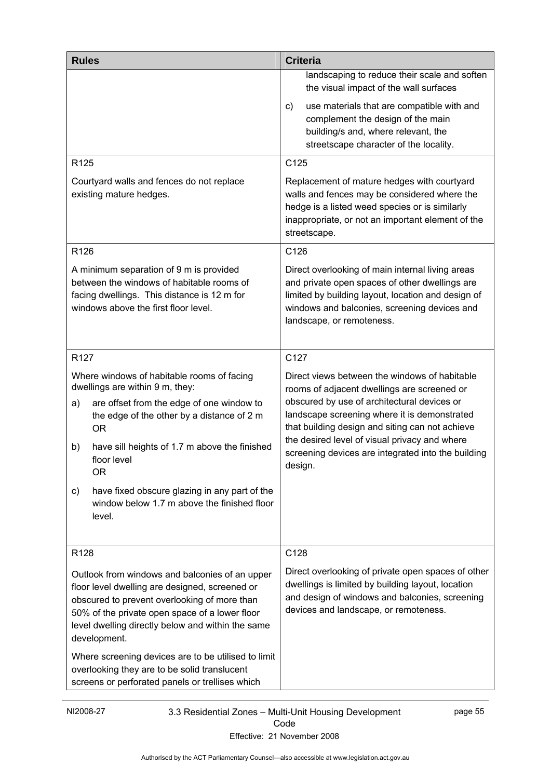| <b>Rules</b>                                                                                                                                                                                                                                                            | <b>Criteria</b>                                                                                                                                                                                                                       |  |
|-------------------------------------------------------------------------------------------------------------------------------------------------------------------------------------------------------------------------------------------------------------------------|---------------------------------------------------------------------------------------------------------------------------------------------------------------------------------------------------------------------------------------|--|
|                                                                                                                                                                                                                                                                         | landscaping to reduce their scale and soften<br>the visual impact of the wall surfaces                                                                                                                                                |  |
|                                                                                                                                                                                                                                                                         | use materials that are compatible with and<br>C)<br>complement the design of the main<br>building/s and, where relevant, the<br>streetscape character of the locality.                                                                |  |
| R <sub>125</sub>                                                                                                                                                                                                                                                        | C125                                                                                                                                                                                                                                  |  |
| Courtyard walls and fences do not replace<br>existing mature hedges.                                                                                                                                                                                                    | Replacement of mature hedges with courtyard<br>walls and fences may be considered where the<br>hedge is a listed weed species or is similarly<br>inappropriate, or not an important element of the<br>streetscape.                    |  |
| R126                                                                                                                                                                                                                                                                    | C126                                                                                                                                                                                                                                  |  |
| A minimum separation of 9 m is provided<br>between the windows of habitable rooms of<br>facing dwellings. This distance is 12 m for<br>windows above the first floor level.                                                                                             | Direct overlooking of main internal living areas<br>and private open spaces of other dwellings are<br>limited by building layout, location and design of<br>windows and balconies, screening devices and<br>landscape, or remoteness. |  |
| R <sub>127</sub>                                                                                                                                                                                                                                                        | C127                                                                                                                                                                                                                                  |  |
| Where windows of habitable rooms of facing<br>dwellings are within 9 m, they:                                                                                                                                                                                           | Direct views between the windows of habitable<br>rooms of adjacent dwellings are screened or                                                                                                                                          |  |
| are offset from the edge of one window to<br>a)<br>the edge of the other by a distance of 2 m<br><b>OR</b>                                                                                                                                                              | obscured by use of architectural devices or<br>landscape screening where it is demonstrated<br>that building design and siting can not achieve                                                                                        |  |
| have sill heights of 1.7 m above the finished<br>b)<br>floor level<br>0R                                                                                                                                                                                                | the desired level of visual privacy and where<br>screening devices are integrated into the building<br>design.                                                                                                                        |  |
| have fixed obscure glazing in any part of the<br>C)<br>window below 1.7 m above the finished floor<br>level.                                                                                                                                                            |                                                                                                                                                                                                                                       |  |
| R <sub>128</sub>                                                                                                                                                                                                                                                        | C128                                                                                                                                                                                                                                  |  |
| Outlook from windows and balconies of an upper<br>floor level dwelling are designed, screened or<br>obscured to prevent overlooking of more than<br>50% of the private open space of a lower floor<br>level dwelling directly below and within the same<br>development. | Direct overlooking of private open spaces of other<br>dwellings is limited by building layout, location<br>and design of windows and balconies, screening<br>devices and landscape, or remoteness.                                    |  |
| Where screening devices are to be utilised to limit<br>overlooking they are to be solid translucent<br>screens or perforated panels or trellises which                                                                                                                  |                                                                                                                                                                                                                                       |  |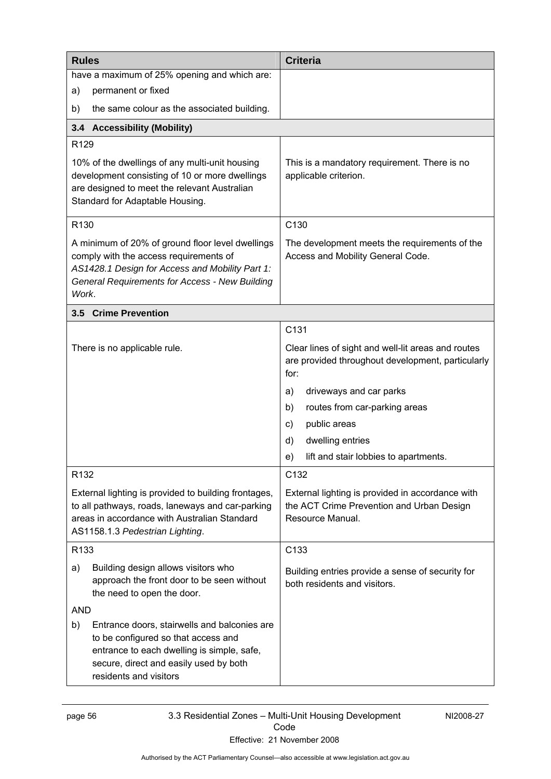| <b>Rules</b>                                                                                                                                                                                |                                                                                                                                                                                                        | <b>Criteria</b>                                                                                                   |  |
|---------------------------------------------------------------------------------------------------------------------------------------------------------------------------------------------|--------------------------------------------------------------------------------------------------------------------------------------------------------------------------------------------------------|-------------------------------------------------------------------------------------------------------------------|--|
|                                                                                                                                                                                             | have a maximum of 25% opening and which are:                                                                                                                                                           |                                                                                                                   |  |
| a)                                                                                                                                                                                          | permanent or fixed                                                                                                                                                                                     |                                                                                                                   |  |
| b)                                                                                                                                                                                          | the same colour as the associated building.                                                                                                                                                            |                                                                                                                   |  |
|                                                                                                                                                                                             | 3.4 Accessibility (Mobility)                                                                                                                                                                           |                                                                                                                   |  |
| R129                                                                                                                                                                                        |                                                                                                                                                                                                        |                                                                                                                   |  |
|                                                                                                                                                                                             | 10% of the dwellings of any multi-unit housing<br>development consisting of 10 or more dwellings<br>are designed to meet the relevant Australian<br>Standard for Adaptable Housing.                    | This is a mandatory requirement. There is no<br>applicable criterion.                                             |  |
| R130                                                                                                                                                                                        |                                                                                                                                                                                                        | C130                                                                                                              |  |
| Work.                                                                                                                                                                                       | A minimum of 20% of ground floor level dwellings<br>comply with the access requirements of<br>AS1428.1 Design for Access and Mobility Part 1:<br><b>General Requirements for Access - New Building</b> | The development meets the requirements of the<br>Access and Mobility General Code.                                |  |
|                                                                                                                                                                                             | 3.5 Crime Prevention                                                                                                                                                                                   |                                                                                                                   |  |
|                                                                                                                                                                                             |                                                                                                                                                                                                        | C131                                                                                                              |  |
|                                                                                                                                                                                             | There is no applicable rule.                                                                                                                                                                           | Clear lines of sight and well-lit areas and routes<br>are provided throughout development, particularly<br>for:   |  |
|                                                                                                                                                                                             |                                                                                                                                                                                                        | driveways and car parks<br>a)                                                                                     |  |
|                                                                                                                                                                                             |                                                                                                                                                                                                        | routes from car-parking areas<br>b)                                                                               |  |
|                                                                                                                                                                                             |                                                                                                                                                                                                        | public areas<br>C)                                                                                                |  |
|                                                                                                                                                                                             |                                                                                                                                                                                                        | dwelling entries<br>d)                                                                                            |  |
|                                                                                                                                                                                             |                                                                                                                                                                                                        | lift and stair lobbies to apartments.<br>e)                                                                       |  |
| R132                                                                                                                                                                                        |                                                                                                                                                                                                        | C132                                                                                                              |  |
| External lighting is provided to building frontages,<br>to all pathways, roads, laneways and car-parking<br>areas in accordance with Australian Standard<br>AS1158.1.3 Pedestrian Lighting. |                                                                                                                                                                                                        | External lighting is provided in accordance with<br>the ACT Crime Prevention and Urban Design<br>Resource Manual. |  |
| R133                                                                                                                                                                                        |                                                                                                                                                                                                        | C133                                                                                                              |  |
| a)                                                                                                                                                                                          | Building design allows visitors who<br>approach the front door to be seen without<br>the need to open the door.                                                                                        | Building entries provide a sense of security for<br>both residents and visitors.                                  |  |
| <b>AND</b>                                                                                                                                                                                  |                                                                                                                                                                                                        |                                                                                                                   |  |
| b)                                                                                                                                                                                          | Entrance doors, stairwells and balconies are<br>to be configured so that access and<br>entrance to each dwelling is simple, safe,<br>secure, direct and easily used by both<br>residents and visitors  |                                                                                                                   |  |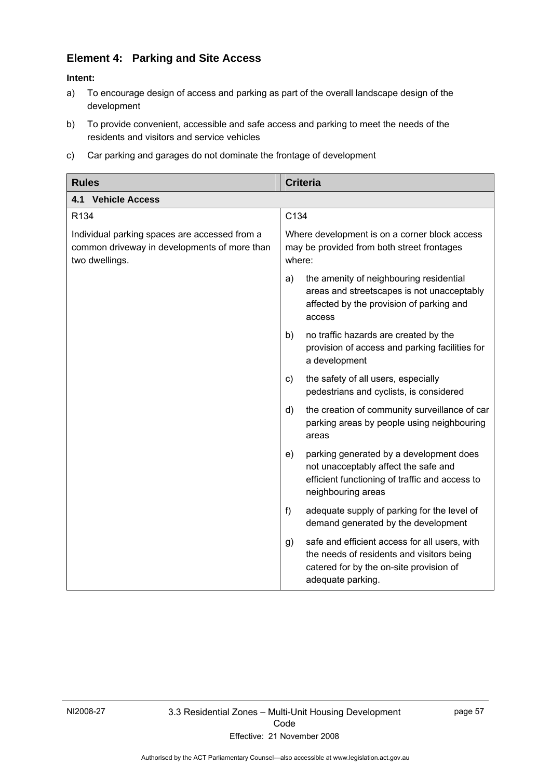# **Element 4: Parking and Site Access**

- a) To encourage design of access and parking as part of the overall landscape design of the development
- b) To provide convenient, accessible and safe access and parking to meet the needs of the residents and visitors and service vehicles

| c) Car parking and garages do not dominate the frontage of development |  |  |
|------------------------------------------------------------------------|--|--|

| <b>Rules</b>                                                                                                    | <b>Criteria</b>                                                                                                                                                  |  |
|-----------------------------------------------------------------------------------------------------------------|------------------------------------------------------------------------------------------------------------------------------------------------------------------|--|
| <b>4.1 Vehicle Access</b>                                                                                       |                                                                                                                                                                  |  |
| R <sub>134</sub>                                                                                                | C134                                                                                                                                                             |  |
| Individual parking spaces are accessed from a<br>common driveway in developments of more than<br>two dwellings. | Where development is on a corner block access<br>may be provided from both street frontages<br>where:                                                            |  |
|                                                                                                                 | the amenity of neighbouring residential<br>a)<br>areas and streetscapes is not unacceptably<br>affected by the provision of parking and<br>access                |  |
|                                                                                                                 | no traffic hazards are created by the<br>b)<br>provision of access and parking facilities for<br>a development                                                   |  |
|                                                                                                                 | the safety of all users, especially<br>c)<br>pedestrians and cyclists, is considered                                                                             |  |
|                                                                                                                 | the creation of community surveillance of car<br>d)<br>parking areas by people using neighbouring<br>areas                                                       |  |
|                                                                                                                 | parking generated by a development does<br>e)<br>not unacceptably affect the safe and<br>efficient functioning of traffic and access to<br>neighbouring areas    |  |
|                                                                                                                 | adequate supply of parking for the level of<br>f)<br>demand generated by the development                                                                         |  |
|                                                                                                                 | safe and efficient access for all users, with<br>g)<br>the needs of residents and visitors being<br>catered for by the on-site provision of<br>adequate parking. |  |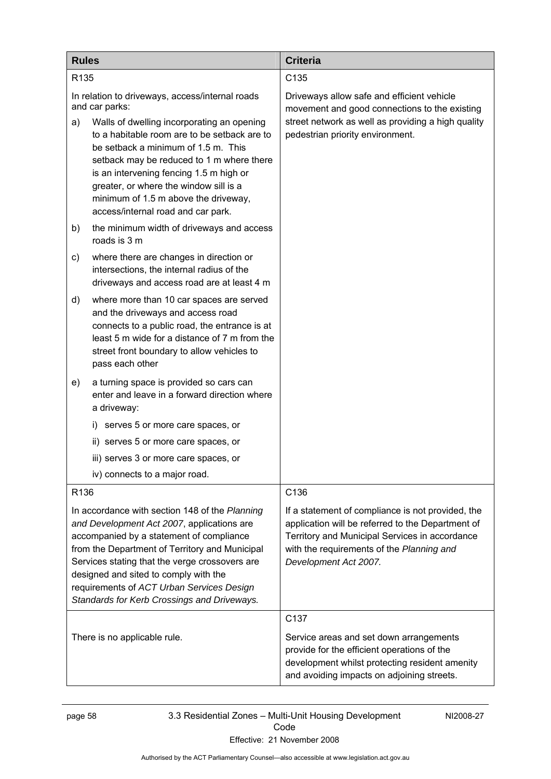| <b>Rules</b>                                                                                                                                                                                                                                                                                                                                                                      |                                                                                                                                                                                                                                                                                                                                                   | <b>Criteria</b>                                                                                                                                                                                                                |
|-----------------------------------------------------------------------------------------------------------------------------------------------------------------------------------------------------------------------------------------------------------------------------------------------------------------------------------------------------------------------------------|---------------------------------------------------------------------------------------------------------------------------------------------------------------------------------------------------------------------------------------------------------------------------------------------------------------------------------------------------|--------------------------------------------------------------------------------------------------------------------------------------------------------------------------------------------------------------------------------|
| R <sub>135</sub>                                                                                                                                                                                                                                                                                                                                                                  |                                                                                                                                                                                                                                                                                                                                                   | C135                                                                                                                                                                                                                           |
| In relation to driveways, access/internal roads<br>and car parks:                                                                                                                                                                                                                                                                                                                 |                                                                                                                                                                                                                                                                                                                                                   | Driveways allow safe and efficient vehicle<br>movement and good connections to the existing                                                                                                                                    |
| a)                                                                                                                                                                                                                                                                                                                                                                                | Walls of dwelling incorporating an opening<br>to a habitable room are to be setback are to<br>be setback a minimum of 1.5 m. This<br>setback may be reduced to 1 m where there<br>is an intervening fencing 1.5 m high or<br>greater, or where the window sill is a<br>minimum of 1.5 m above the driveway,<br>access/internal road and car park. | street network as well as providing a high quality<br>pedestrian priority environment.                                                                                                                                         |
| b)                                                                                                                                                                                                                                                                                                                                                                                | the minimum width of driveways and access<br>roads is 3 m                                                                                                                                                                                                                                                                                         |                                                                                                                                                                                                                                |
| C)                                                                                                                                                                                                                                                                                                                                                                                | where there are changes in direction or<br>intersections, the internal radius of the<br>driveways and access road are at least 4 m                                                                                                                                                                                                                |                                                                                                                                                                                                                                |
| d)                                                                                                                                                                                                                                                                                                                                                                                | where more than 10 car spaces are served<br>and the driveways and access road<br>connects to a public road, the entrance is at<br>least 5 m wide for a distance of 7 m from the<br>street front boundary to allow vehicles to<br>pass each other                                                                                                  |                                                                                                                                                                                                                                |
| e)                                                                                                                                                                                                                                                                                                                                                                                | a turning space is provided so cars can<br>enter and leave in a forward direction where<br>a driveway:                                                                                                                                                                                                                                            |                                                                                                                                                                                                                                |
|                                                                                                                                                                                                                                                                                                                                                                                   | i) serves 5 or more care spaces, or                                                                                                                                                                                                                                                                                                               |                                                                                                                                                                                                                                |
|                                                                                                                                                                                                                                                                                                                                                                                   | ii) serves 5 or more care spaces, or                                                                                                                                                                                                                                                                                                              |                                                                                                                                                                                                                                |
|                                                                                                                                                                                                                                                                                                                                                                                   | iii) serves 3 or more care spaces, or                                                                                                                                                                                                                                                                                                             |                                                                                                                                                                                                                                |
|                                                                                                                                                                                                                                                                                                                                                                                   | iv) connects to a major road.                                                                                                                                                                                                                                                                                                                     |                                                                                                                                                                                                                                |
| R <sub>136</sub>                                                                                                                                                                                                                                                                                                                                                                  |                                                                                                                                                                                                                                                                                                                                                   | C136                                                                                                                                                                                                                           |
| In accordance with section 148 of the Planning<br>and Development Act 2007, applications are<br>accompanied by a statement of compliance<br>from the Department of Territory and Municipal<br>Services stating that the verge crossovers are<br>designed and sited to comply with the<br>requirements of ACT Urban Services Design<br>Standards for Kerb Crossings and Driveways. |                                                                                                                                                                                                                                                                                                                                                   | If a statement of compliance is not provided, the<br>application will be referred to the Department of<br>Territory and Municipal Services in accordance<br>with the requirements of the Planning and<br>Development Act 2007. |
| There is no applicable rule.                                                                                                                                                                                                                                                                                                                                                      |                                                                                                                                                                                                                                                                                                                                                   | C137<br>Service areas and set down arrangements<br>provide for the efficient operations of the<br>development whilst protecting resident amenity<br>and avoiding impacts on adjoining streets.                                 |

page 58 3.3 Residential Zones – Multi-Unit Housing Development Code Effective: 21 November 2008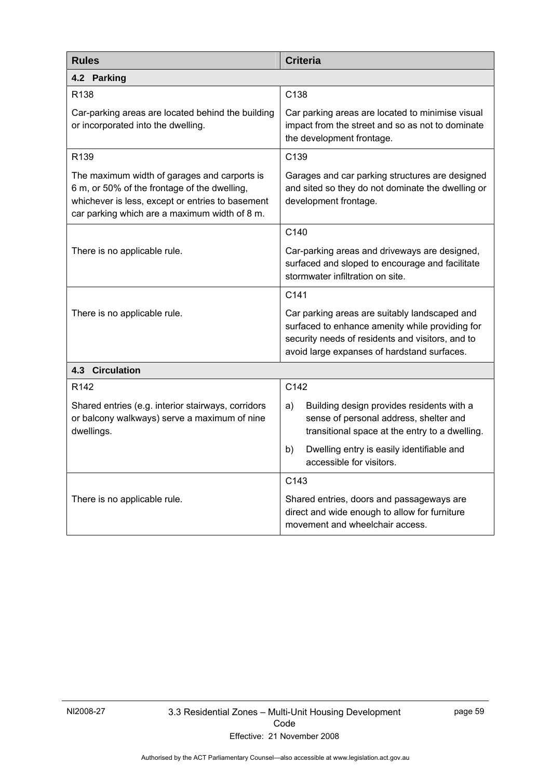| <b>Rules</b>                                                                                                                                                                                      | <b>Criteria</b>                                                                                                                                                                                     |  |  |
|---------------------------------------------------------------------------------------------------------------------------------------------------------------------------------------------------|-----------------------------------------------------------------------------------------------------------------------------------------------------------------------------------------------------|--|--|
| 4.2 Parking                                                                                                                                                                                       |                                                                                                                                                                                                     |  |  |
| R <sub>138</sub>                                                                                                                                                                                  | C138                                                                                                                                                                                                |  |  |
| Car-parking areas are located behind the building<br>or incorporated into the dwelling.                                                                                                           | Car parking areas are located to minimise visual<br>impact from the street and so as not to dominate<br>the development frontage.                                                                   |  |  |
| R <sub>139</sub>                                                                                                                                                                                  | C139                                                                                                                                                                                                |  |  |
| The maximum width of garages and carports is<br>6 m, or 50% of the frontage of the dwelling,<br>whichever is less, except or entries to basement<br>car parking which are a maximum width of 8 m. | Garages and car parking structures are designed<br>and sited so they do not dominate the dwelling or<br>development frontage.                                                                       |  |  |
|                                                                                                                                                                                                   | C140                                                                                                                                                                                                |  |  |
| There is no applicable rule.                                                                                                                                                                      | Car-parking areas and driveways are designed,<br>surfaced and sloped to encourage and facilitate<br>stormwater infiltration on site.                                                                |  |  |
|                                                                                                                                                                                                   | C141                                                                                                                                                                                                |  |  |
| There is no applicable rule.                                                                                                                                                                      | Car parking areas are suitably landscaped and<br>surfaced to enhance amenity while providing for<br>security needs of residents and visitors, and to<br>avoid large expanses of hardstand surfaces. |  |  |
| <b>4.3 Circulation</b>                                                                                                                                                                            |                                                                                                                                                                                                     |  |  |
| R <sub>142</sub>                                                                                                                                                                                  | C142                                                                                                                                                                                                |  |  |
| Shared entries (e.g. interior stairways, corridors<br>or balcony walkways) serve a maximum of nine<br>dwellings.                                                                                  | Building design provides residents with a<br>a)<br>sense of personal address, shelter and<br>transitional space at the entry to a dwelling.                                                         |  |  |
|                                                                                                                                                                                                   | Dwelling entry is easily identifiable and<br>b)<br>accessible for visitors.                                                                                                                         |  |  |
|                                                                                                                                                                                                   | C143                                                                                                                                                                                                |  |  |
| There is no applicable rule.                                                                                                                                                                      | Shared entries, doors and passageways are<br>direct and wide enough to allow for furniture<br>movement and wheelchair access.                                                                       |  |  |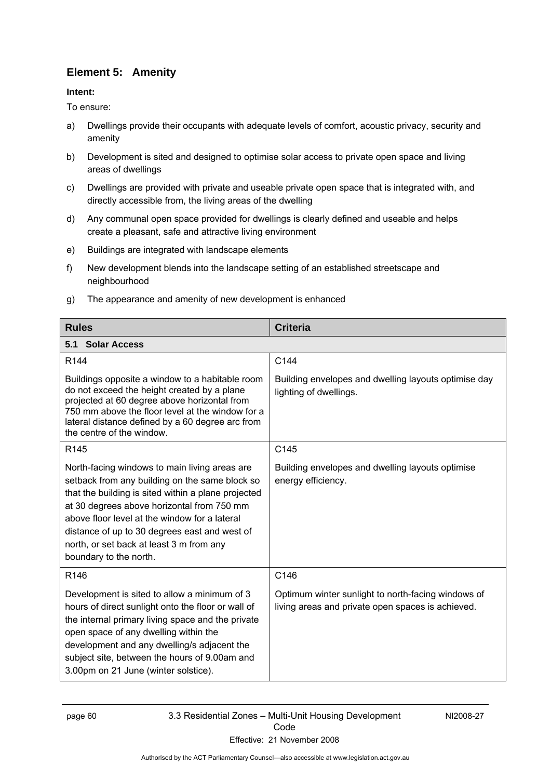# **Element 5: Amenity**

#### **Intent:**

To ensure:

- a) Dwellings provide their occupants with adequate levels of comfort, acoustic privacy, security and amenity
- b) Development is sited and designed to optimise solar access to private open space and living areas of dwellings
- c) Dwellings are provided with private and useable private open space that is integrated with, and directly accessible from, the living areas of the dwelling
- d) Any communal open space provided for dwellings is clearly defined and useable and helps create a pleasant, safe and attractive living environment
- e) Buildings are integrated with landscape elements
- f) New development blends into the landscape setting of an established streetscape and neighbourhood
- g) The appearance and amenity of new development is enhanced

| <b>Rules</b>                                                                                                                                                                                                                                                                                                                                                                 | <b>Criteria</b>                                                                                         |  |
|------------------------------------------------------------------------------------------------------------------------------------------------------------------------------------------------------------------------------------------------------------------------------------------------------------------------------------------------------------------------------|---------------------------------------------------------------------------------------------------------|--|
| 5.1 Solar Access                                                                                                                                                                                                                                                                                                                                                             |                                                                                                         |  |
| R <sub>144</sub>                                                                                                                                                                                                                                                                                                                                                             | C144                                                                                                    |  |
| Buildings opposite a window to a habitable room<br>do not exceed the height created by a plane<br>projected at 60 degree above horizontal from<br>750 mm above the floor level at the window for a<br>lateral distance defined by a 60 degree arc from<br>the centre of the window.                                                                                          | Building envelopes and dwelling layouts optimise day<br>lighting of dwellings.                          |  |
| R <sub>145</sub>                                                                                                                                                                                                                                                                                                                                                             | C145                                                                                                    |  |
| North-facing windows to main living areas are<br>setback from any building on the same block so<br>that the building is sited within a plane projected<br>at 30 degrees above horizontal from 750 mm<br>above floor level at the window for a lateral<br>distance of up to 30 degrees east and west of<br>north, or set back at least 3 m from any<br>boundary to the north. | Building envelopes and dwelling layouts optimise<br>energy efficiency.                                  |  |
| R146                                                                                                                                                                                                                                                                                                                                                                         | C146                                                                                                    |  |
| Development is sited to allow a minimum of 3<br>hours of direct sunlight onto the floor or wall of<br>the internal primary living space and the private<br>open space of any dwelling within the<br>development and any dwelling/s adjacent the<br>subject site, between the hours of 9.00am and<br>3.00pm on 21 June (winter solstice).                                     | Optimum winter sunlight to north-facing windows of<br>living areas and private open spaces is achieved. |  |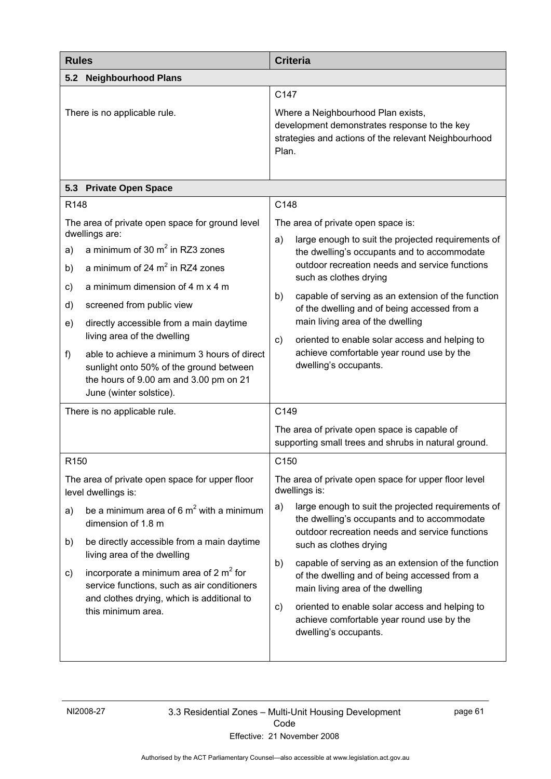| <b>Rules</b>                      |                                                                                                                                                                                                                                                                                                                                                                                                                                                       | <b>Criteria</b>                                                                                                                                             |                                                                                                                                                                                                                                                                                                                                                                                                                                                                                       |  |
|-----------------------------------|-------------------------------------------------------------------------------------------------------------------------------------------------------------------------------------------------------------------------------------------------------------------------------------------------------------------------------------------------------------------------------------------------------------------------------------------------------|-------------------------------------------------------------------------------------------------------------------------------------------------------------|---------------------------------------------------------------------------------------------------------------------------------------------------------------------------------------------------------------------------------------------------------------------------------------------------------------------------------------------------------------------------------------------------------------------------------------------------------------------------------------|--|
| <b>Neighbourhood Plans</b><br>5.2 |                                                                                                                                                                                                                                                                                                                                                                                                                                                       |                                                                                                                                                             |                                                                                                                                                                                                                                                                                                                                                                                                                                                                                       |  |
| There is no applicable rule.      |                                                                                                                                                                                                                                                                                                                                                                                                                                                       | C147<br>Where a Neighbourhood Plan exists,<br>development demonstrates response to the key<br>strategies and actions of the relevant Neighbourhood<br>Plan. |                                                                                                                                                                                                                                                                                                                                                                                                                                                                                       |  |
|                                   | 5.3 Private Open Space                                                                                                                                                                                                                                                                                                                                                                                                                                |                                                                                                                                                             |                                                                                                                                                                                                                                                                                                                                                                                                                                                                                       |  |
| R148                              |                                                                                                                                                                                                                                                                                                                                                                                                                                                       | C148                                                                                                                                                        |                                                                                                                                                                                                                                                                                                                                                                                                                                                                                       |  |
| a)<br>b)<br>c)<br>d)<br>e)<br>f)  | The area of private open space for ground level<br>dwellings are:<br>a minimum of 30 $m2$ in RZ3 zones<br>a minimum of 24 $m2$ in RZ4 zones<br>a minimum dimension of 4 m x 4 m<br>screened from public view<br>directly accessible from a main daytime<br>living area of the dwelling<br>able to achieve a minimum 3 hours of direct<br>sunlight onto 50% of the ground between<br>the hours of 9.00 am and 3.00 pm on 21<br>June (winter solstice). | a)<br>b)<br>C)                                                                                                                                              | The area of private open space is:<br>large enough to suit the projected requirements of<br>the dwelling's occupants and to accommodate<br>outdoor recreation needs and service functions<br>such as clothes drying<br>capable of serving as an extension of the function<br>of the dwelling and of being accessed from a<br>main living area of the dwelling<br>oriented to enable solar access and helping to<br>achieve comfortable year round use by the<br>dwelling's occupants. |  |
|                                   | There is no applicable rule.                                                                                                                                                                                                                                                                                                                                                                                                                          | C149                                                                                                                                                        |                                                                                                                                                                                                                                                                                                                                                                                                                                                                                       |  |
|                                   |                                                                                                                                                                                                                                                                                                                                                                                                                                                       |                                                                                                                                                             | The area of private open space is capable of<br>supporting small trees and shrubs in natural ground.                                                                                                                                                                                                                                                                                                                                                                                  |  |
| R <sub>150</sub>                  |                                                                                                                                                                                                                                                                                                                                                                                                                                                       | C <sub>150</sub>                                                                                                                                            |                                                                                                                                                                                                                                                                                                                                                                                                                                                                                       |  |
|                                   | The area of private open space for upper floor<br>level dwellings is:                                                                                                                                                                                                                                                                                                                                                                                 |                                                                                                                                                             | The area of private open space for upper floor level<br>dwellings is:                                                                                                                                                                                                                                                                                                                                                                                                                 |  |
| a)<br>b)<br>c)                    | be a minimum area of 6 $m2$ with a minimum<br>dimension of 1.8 m<br>be directly accessible from a main daytime<br>living area of the dwelling<br>incorporate a minimum area of 2 $m2$ for<br>service functions, such as air conditioners<br>and clothes drying, which is additional to<br>this minimum area.                                                                                                                                          | a)<br>b)<br>c)                                                                                                                                              | large enough to suit the projected requirements of<br>the dwelling's occupants and to accommodate<br>outdoor recreation needs and service functions<br>such as clothes drying<br>capable of serving as an extension of the function<br>of the dwelling and of being accessed from a<br>main living area of the dwelling<br>oriented to enable solar access and helping to<br>achieve comfortable year round use by the<br>dwelling's occupants.                                       |  |
|                                   |                                                                                                                                                                                                                                                                                                                                                                                                                                                       |                                                                                                                                                             |                                                                                                                                                                                                                                                                                                                                                                                                                                                                                       |  |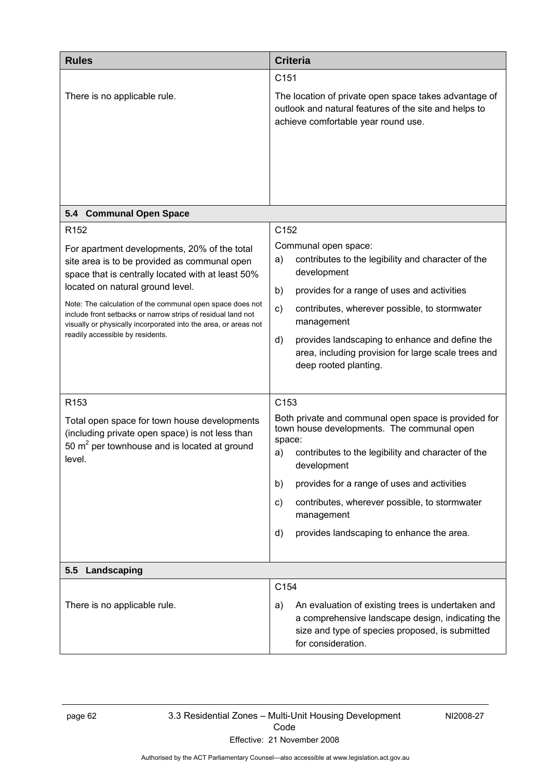| <b>Rules</b>                                                                                                                                                                                                                                                                                                                                                                                                                                  | <b>Criteria</b>                                                                                                                                                                                                                                                                                                                                                                      |
|-----------------------------------------------------------------------------------------------------------------------------------------------------------------------------------------------------------------------------------------------------------------------------------------------------------------------------------------------------------------------------------------------------------------------------------------------|--------------------------------------------------------------------------------------------------------------------------------------------------------------------------------------------------------------------------------------------------------------------------------------------------------------------------------------------------------------------------------------|
| There is no applicable rule.                                                                                                                                                                                                                                                                                                                                                                                                                  | C151<br>The location of private open space takes advantage of<br>outlook and natural features of the site and helps to<br>achieve comfortable year round use.                                                                                                                                                                                                                        |
| 5.4 Communal Open Space                                                                                                                                                                                                                                                                                                                                                                                                                       |                                                                                                                                                                                                                                                                                                                                                                                      |
| R <sub>152</sub><br>For apartment developments, 20% of the total<br>site area is to be provided as communal open<br>space that is centrally located with at least 50%<br>located on natural ground level.<br>Note: The calculation of the communal open space does not<br>include front setbacks or narrow strips of residual land not<br>visually or physically incorporated into the area, or areas not<br>readily accessible by residents. | C152<br>Communal open space:<br>contributes to the legibility and character of the<br>a)<br>development<br>b)<br>provides for a range of uses and activities<br>$\mathsf{c})$<br>contributes, wherever possible, to stormwater<br>management<br>provides landscaping to enhance and define the<br>d)<br>area, including provision for large scale trees and<br>deep rooted planting. |
| R <sub>153</sub><br>Total open space for town house developments<br>(including private open space) is not less than<br>50 $m2$ per townhouse and is located at ground<br>level.                                                                                                                                                                                                                                                               | C153<br>Both private and communal open space is provided for<br>town house developments. The communal open<br>space:<br>contributes to the legibility and character of the<br>a)<br>development<br>provides for a range of uses and activities<br>b)<br>contributes, wherever possible, to stormwater<br>C)<br>management<br>provides landscaping to enhance the area.<br>d)         |
| Landscaping<br>5.5                                                                                                                                                                                                                                                                                                                                                                                                                            |                                                                                                                                                                                                                                                                                                                                                                                      |
| There is no applicable rule.                                                                                                                                                                                                                                                                                                                                                                                                                  | C154<br>An evaluation of existing trees is undertaken and<br>a)<br>a comprehensive landscape design, indicating the<br>size and type of species proposed, is submitted<br>for consideration.                                                                                                                                                                                         |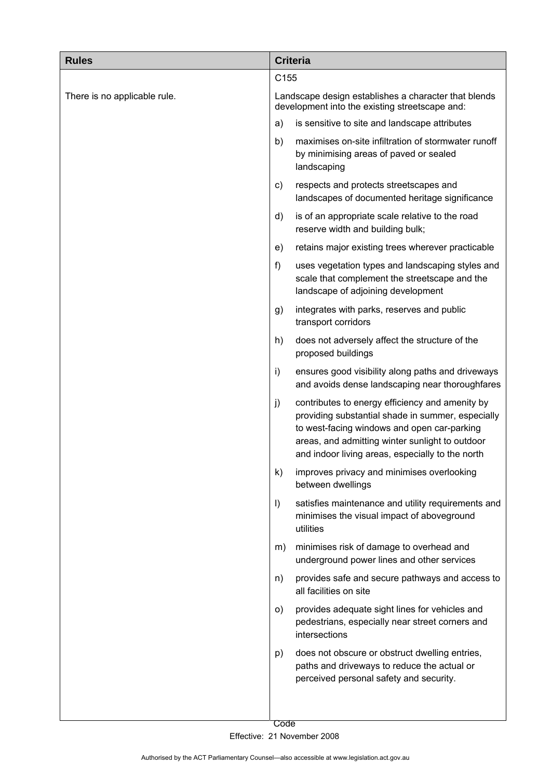| <b>Rules</b>                 |                                                                                                        | <b>Criteria</b>                                                                                                                                                                                                                                            |
|------------------------------|--------------------------------------------------------------------------------------------------------|------------------------------------------------------------------------------------------------------------------------------------------------------------------------------------------------------------------------------------------------------------|
|                              | C155                                                                                                   |                                                                                                                                                                                                                                                            |
| There is no applicable rule. | Landscape design establishes a character that blends<br>development into the existing streetscape and: |                                                                                                                                                                                                                                                            |
|                              | a)                                                                                                     | is sensitive to site and landscape attributes                                                                                                                                                                                                              |
|                              | b)                                                                                                     | maximises on-site infiltration of stormwater runoff<br>by minimising areas of paved or sealed<br>landscaping                                                                                                                                               |
|                              | $\mathsf{c})$                                                                                          | respects and protects streetscapes and<br>landscapes of documented heritage significance                                                                                                                                                                   |
|                              | d)                                                                                                     | is of an appropriate scale relative to the road<br>reserve width and building bulk;                                                                                                                                                                        |
|                              | e)                                                                                                     | retains major existing trees wherever practicable                                                                                                                                                                                                          |
|                              | f                                                                                                      | uses vegetation types and landscaping styles and<br>scale that complement the streetscape and the<br>landscape of adjoining development                                                                                                                    |
|                              | g)                                                                                                     | integrates with parks, reserves and public<br>transport corridors                                                                                                                                                                                          |
|                              | h)                                                                                                     | does not adversely affect the structure of the<br>proposed buildings                                                                                                                                                                                       |
|                              | i)                                                                                                     | ensures good visibility along paths and driveways<br>and avoids dense landscaping near thoroughfares                                                                                                                                                       |
|                              | j)                                                                                                     | contributes to energy efficiency and amenity by<br>providing substantial shade in summer, especially<br>to west-facing windows and open car-parking<br>areas, and admitting winter sunlight to outdoor<br>and indoor living areas, especially to the north |
|                              | k)                                                                                                     | improves privacy and minimises overlooking<br>between dwellings                                                                                                                                                                                            |
|                              | $\vert$                                                                                                | satisfies maintenance and utility requirements and<br>minimises the visual impact of aboveground<br>utilities                                                                                                                                              |
|                              | m)                                                                                                     | minimises risk of damage to overhead and<br>underground power lines and other services                                                                                                                                                                     |
|                              | n)                                                                                                     | provides safe and secure pathways and access to<br>all facilities on site                                                                                                                                                                                  |
|                              | O()                                                                                                    | provides adequate sight lines for vehicles and<br>pedestrians, especially near street corners and<br>intersections                                                                                                                                         |
|                              | p)                                                                                                     | does not obscure or obstruct dwelling entries,<br>paths and driveways to reduce the actual or<br>perceived personal safety and security.                                                                                                                   |
|                              |                                                                                                        |                                                                                                                                                                                                                                                            |

**Code**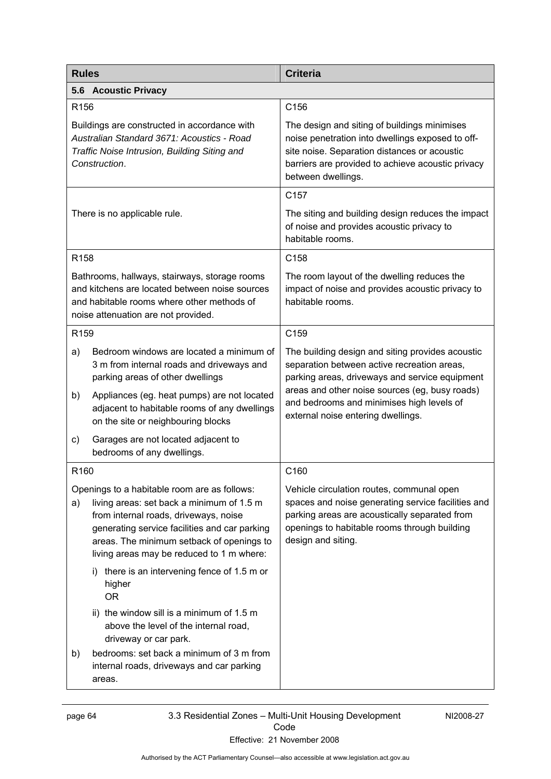| <b>Rules</b>                                                                                                                                                |                                                                                                                                                                                                                                                                               | <b>Criteria</b>                                                                                                                                                                                                             |  |  |
|-------------------------------------------------------------------------------------------------------------------------------------------------------------|-------------------------------------------------------------------------------------------------------------------------------------------------------------------------------------------------------------------------------------------------------------------------------|-----------------------------------------------------------------------------------------------------------------------------------------------------------------------------------------------------------------------------|--|--|
| 5.6 Acoustic Privacy                                                                                                                                        |                                                                                                                                                                                                                                                                               |                                                                                                                                                                                                                             |  |  |
| R <sub>156</sub>                                                                                                                                            |                                                                                                                                                                                                                                                                               | C156                                                                                                                                                                                                                        |  |  |
| Buildings are constructed in accordance with<br>Australian Standard 3671: Acoustics - Road<br>Traffic Noise Intrusion, Building Siting and<br>Construction. |                                                                                                                                                                                                                                                                               | The design and siting of buildings minimises<br>noise penetration into dwellings exposed to off-<br>site noise. Separation distances or acoustic<br>barriers are provided to achieve acoustic privacy<br>between dwellings. |  |  |
|                                                                                                                                                             |                                                                                                                                                                                                                                                                               | C157                                                                                                                                                                                                                        |  |  |
| There is no applicable rule.                                                                                                                                |                                                                                                                                                                                                                                                                               | The siting and building design reduces the impact<br>of noise and provides acoustic privacy to<br>habitable rooms.                                                                                                          |  |  |
| R <sub>158</sub>                                                                                                                                            |                                                                                                                                                                                                                                                                               | C <sub>158</sub>                                                                                                                                                                                                            |  |  |
|                                                                                                                                                             | Bathrooms, hallways, stairways, storage rooms<br>and kitchens are located between noise sources<br>and habitable rooms where other methods of<br>noise attenuation are not provided.                                                                                          | The room layout of the dwelling reduces the<br>impact of noise and provides acoustic privacy to<br>habitable rooms.                                                                                                         |  |  |
| R <sub>159</sub>                                                                                                                                            |                                                                                                                                                                                                                                                                               | C <sub>159</sub>                                                                                                                                                                                                            |  |  |
| a)                                                                                                                                                          | Bedroom windows are located a minimum of<br>3 m from internal roads and driveways and<br>parking areas of other dwellings                                                                                                                                                     | The building design and siting provides acoustic<br>separation between active recreation areas,<br>parking areas, driveways and service equipment                                                                           |  |  |
| b)                                                                                                                                                          | Appliances (eg. heat pumps) are not located<br>adjacent to habitable rooms of any dwellings<br>on the site or neighbouring blocks                                                                                                                                             | areas and other noise sources (eg, busy roads)<br>and bedrooms and minimises high levels of<br>external noise entering dwellings.                                                                                           |  |  |
| c)                                                                                                                                                          | Garages are not located adjacent to<br>bedrooms of any dwellings.                                                                                                                                                                                                             |                                                                                                                                                                                                                             |  |  |
| R <sub>160</sub>                                                                                                                                            |                                                                                                                                                                                                                                                                               | C160                                                                                                                                                                                                                        |  |  |
| a)                                                                                                                                                          | Openings to a habitable room are as follows:<br>living areas: set back a minimum of 1.5 m<br>from internal roads, driveways, noise<br>generating service facilities and car parking<br>areas. The minimum setback of openings to<br>living areas may be reduced to 1 m where: | Vehicle circulation routes, communal open<br>spaces and noise generating service facilities and<br>parking areas are acoustically separated from<br>openings to habitable rooms through building<br>design and siting.      |  |  |
|                                                                                                                                                             | there is an intervening fence of 1.5 m or<br>i)<br>higher<br><b>OR</b>                                                                                                                                                                                                        |                                                                                                                                                                                                                             |  |  |
|                                                                                                                                                             | ii) the window sill is a minimum of 1.5 m<br>above the level of the internal road,<br>driveway or car park.                                                                                                                                                                   |                                                                                                                                                                                                                             |  |  |
| b)                                                                                                                                                          | bedrooms: set back a minimum of 3 m from<br>internal roads, driveways and car parking<br>areas.                                                                                                                                                                               |                                                                                                                                                                                                                             |  |  |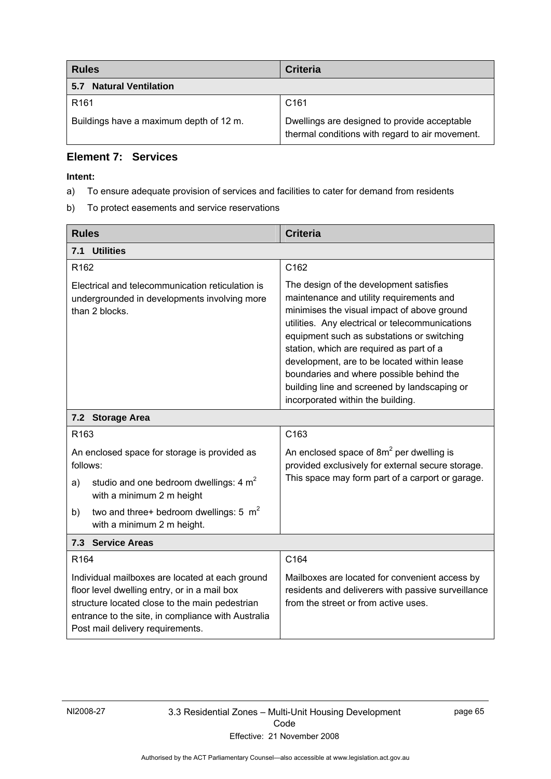| <b>Rules</b>                            | <b>Criteria</b>                                                                                 |
|-----------------------------------------|-------------------------------------------------------------------------------------------------|
| <b>Natural Ventilation</b><br>5.7       |                                                                                                 |
| R <sub>161</sub>                        | C <sub>161</sub>                                                                                |
| Buildings have a maximum depth of 12 m. | Dwellings are designed to provide acceptable<br>thermal conditions with regard to air movement. |

### **Element 7: Services**

- a) To ensure adequate provision of services and facilities to cater for demand from residents
- b) To protect easements and service reservations

| <b>Rules</b>                                                                                                                                                                                                                                | <b>Criteria</b>                                                                                                                                                                                                                                                                                                                                                                                                                                                 |  |  |
|---------------------------------------------------------------------------------------------------------------------------------------------------------------------------------------------------------------------------------------------|-----------------------------------------------------------------------------------------------------------------------------------------------------------------------------------------------------------------------------------------------------------------------------------------------------------------------------------------------------------------------------------------------------------------------------------------------------------------|--|--|
| <b>Utilities</b><br>7.1                                                                                                                                                                                                                     |                                                                                                                                                                                                                                                                                                                                                                                                                                                                 |  |  |
| R <sub>162</sub>                                                                                                                                                                                                                            | C162                                                                                                                                                                                                                                                                                                                                                                                                                                                            |  |  |
| Electrical and telecommunication reticulation is<br>undergrounded in developments involving more<br>than 2 blocks.                                                                                                                          | The design of the development satisfies<br>maintenance and utility requirements and<br>minimises the visual impact of above ground<br>utilities. Any electrical or telecommunications<br>equipment such as substations or switching<br>station, which are required as part of a<br>development, are to be located within lease<br>boundaries and where possible behind the<br>building line and screened by landscaping or<br>incorporated within the building. |  |  |
| 7.2 Storage Area                                                                                                                                                                                                                            |                                                                                                                                                                                                                                                                                                                                                                                                                                                                 |  |  |
| R <sub>163</sub>                                                                                                                                                                                                                            | C163                                                                                                                                                                                                                                                                                                                                                                                                                                                            |  |  |
| An enclosed space for storage is provided as<br>follows:                                                                                                                                                                                    | An enclosed space of $8m^2$ per dwelling is<br>provided exclusively for external secure storage.                                                                                                                                                                                                                                                                                                                                                                |  |  |
| studio and one bedroom dwellings: $4 m2$<br>a)<br>with a minimum 2 m height                                                                                                                                                                 | This space may form part of a carport or garage.                                                                                                                                                                                                                                                                                                                                                                                                                |  |  |
| two and three+ bedroom dwellings: 5 $m2$<br>b)<br>with a minimum 2 m height.                                                                                                                                                                |                                                                                                                                                                                                                                                                                                                                                                                                                                                                 |  |  |
| 7.3 Service Areas                                                                                                                                                                                                                           |                                                                                                                                                                                                                                                                                                                                                                                                                                                                 |  |  |
| R <sub>164</sub>                                                                                                                                                                                                                            | C164                                                                                                                                                                                                                                                                                                                                                                                                                                                            |  |  |
| Individual mailboxes are located at each ground<br>floor level dwelling entry, or in a mail box<br>structure located close to the main pedestrian<br>entrance to the site, in compliance with Australia<br>Post mail delivery requirements. | Mailboxes are located for convenient access by<br>residents and deliverers with passive surveillance<br>from the street or from active uses.                                                                                                                                                                                                                                                                                                                    |  |  |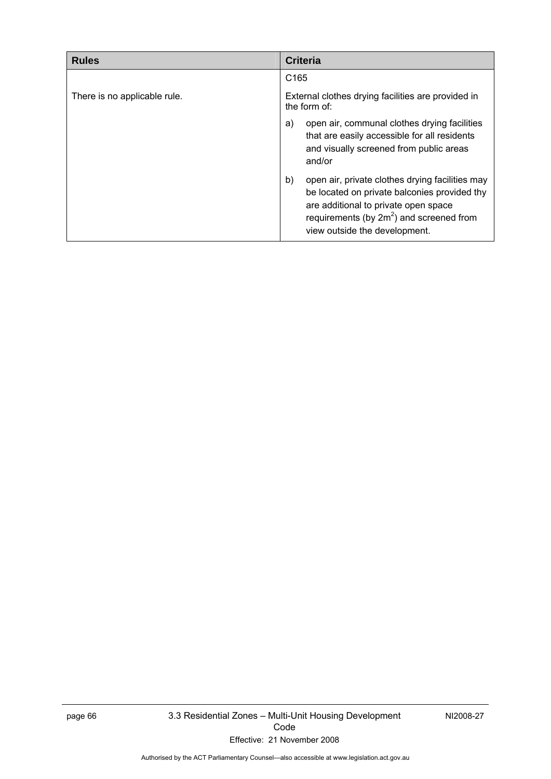| <b>Rules</b>                 | <b>Criteria</b>                                                                                                                                                                                                               |
|------------------------------|-------------------------------------------------------------------------------------------------------------------------------------------------------------------------------------------------------------------------------|
|                              | C <sub>165</sub>                                                                                                                                                                                                              |
| There is no applicable rule. | External clothes drying facilities are provided in<br>the form of:                                                                                                                                                            |
|                              | open air, communal clothes drying facilities<br>a)<br>that are easily accessible for all residents<br>and visually screened from public areas<br>and/or                                                                       |
|                              | b)<br>open air, private clothes drying facilities may<br>be located on private balconies provided thy<br>are additional to private open space<br>requirements (by $2m^2$ ) and screened from<br>view outside the development. |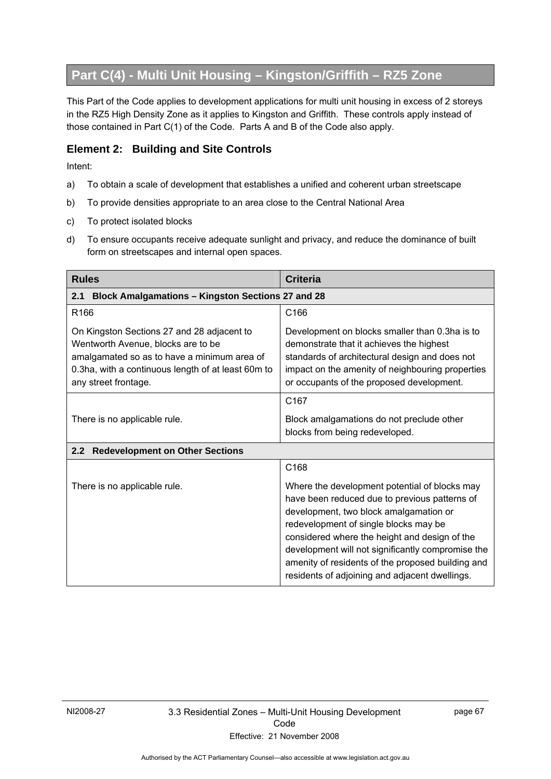# **Part C(4) - Multi Unit Housing – Kingston/Griffith – RZ5 Zone**

This Part of the Code applies to development applications for multi unit housing in excess of 2 storeys in the RZ5 High Density Zone as it applies to Kingston and Griffith. These controls apply instead of those contained in Part C(1) of the Code. Parts A and B of the Code also apply.

### **Element 2: Building and Site Controls**

- a) To obtain a scale of development that establishes a unified and coherent urban streetscape
- b) To provide densities appropriate to an area close to the Central National Area
- c) To protect isolated blocks
- d) To ensure occupants receive adequate sunlight and privacy, and reduce the dominance of built form on streetscapes and internal open spaces.

| <b>Rules</b>                                                                                                                                                                                                  | <b>Criteria</b>                                                                                                                                                                                                                                                                                                                                                                                |  |
|---------------------------------------------------------------------------------------------------------------------------------------------------------------------------------------------------------------|------------------------------------------------------------------------------------------------------------------------------------------------------------------------------------------------------------------------------------------------------------------------------------------------------------------------------------------------------------------------------------------------|--|
| <b>Block Amalgamations - Kingston Sections 27 and 28</b><br>2.1                                                                                                                                               |                                                                                                                                                                                                                                                                                                                                                                                                |  |
| R <sub>166</sub>                                                                                                                                                                                              | C <sub>166</sub>                                                                                                                                                                                                                                                                                                                                                                               |  |
| On Kingston Sections 27 and 28 adjacent to<br>Wentworth Avenue, blocks are to be<br>amalgamated so as to have a minimum area of<br>0.3ha, with a continuous length of at least 60m to<br>any street frontage. | Development on blocks smaller than 0.3ha is to<br>demonstrate that it achieves the highest<br>standards of architectural design and does not<br>impact on the amenity of neighbouring properties<br>or occupants of the proposed development.                                                                                                                                                  |  |
|                                                                                                                                                                                                               | C <sub>167</sub>                                                                                                                                                                                                                                                                                                                                                                               |  |
| There is no applicable rule.                                                                                                                                                                                  | Block amalgamations do not preclude other<br>blocks from being redeveloped.                                                                                                                                                                                                                                                                                                                    |  |
| 2.2<br><b>Redevelopment on Other Sections</b>                                                                                                                                                                 |                                                                                                                                                                                                                                                                                                                                                                                                |  |
|                                                                                                                                                                                                               | C <sub>168</sub>                                                                                                                                                                                                                                                                                                                                                                               |  |
| There is no applicable rule.                                                                                                                                                                                  | Where the development potential of blocks may<br>have been reduced due to previous patterns of<br>development, two block amalgamation or<br>redevelopment of single blocks may be<br>considered where the height and design of the<br>development will not significantly compromise the<br>amenity of residents of the proposed building and<br>residents of adjoining and adjacent dwellings. |  |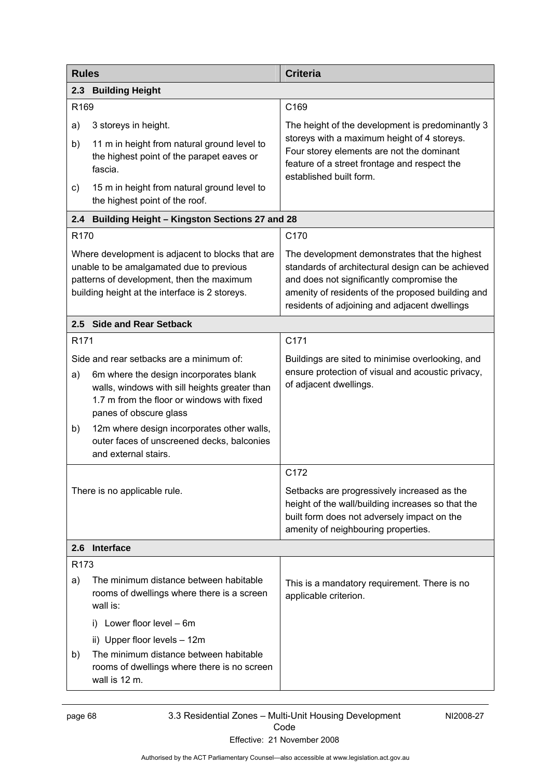| <b>Rules</b>     |                                                                                                                                                                                                             | <b>Criteria</b>                                                                                                                                                                                                                                       |
|------------------|-------------------------------------------------------------------------------------------------------------------------------------------------------------------------------------------------------------|-------------------------------------------------------------------------------------------------------------------------------------------------------------------------------------------------------------------------------------------------------|
|                  | 2.3 Building Height                                                                                                                                                                                         |                                                                                                                                                                                                                                                       |
| R169             |                                                                                                                                                                                                             | C169                                                                                                                                                                                                                                                  |
| a)               | 3 storeys in height.                                                                                                                                                                                        | The height of the development is predominantly 3                                                                                                                                                                                                      |
| b)               | 11 m in height from natural ground level to<br>the highest point of the parapet eaves or<br>fascia.                                                                                                         | storeys with a maximum height of 4 storeys.<br>Four storey elements are not the dominant<br>feature of a street frontage and respect the<br>established built form.                                                                                   |
| c)               | 15 m in height from natural ground level to<br>the highest point of the roof.                                                                                                                               |                                                                                                                                                                                                                                                       |
| 2.4              | <b>Building Height - Kingston Sections 27 and 28</b>                                                                                                                                                        |                                                                                                                                                                                                                                                       |
| R <sub>170</sub> |                                                                                                                                                                                                             | C170                                                                                                                                                                                                                                                  |
|                  | Where development is adjacent to blocks that are<br>unable to be amalgamated due to previous<br>patterns of development, then the maximum<br>building height at the interface is 2 storeys.                 | The development demonstrates that the highest<br>standards of architectural design can be achieved<br>and does not significantly compromise the<br>amenity of residents of the proposed building and<br>residents of adjoining and adjacent dwellings |
|                  | 2.5 Side and Rear Setback                                                                                                                                                                                   |                                                                                                                                                                                                                                                       |
| R <sub>171</sub> |                                                                                                                                                                                                             | C171                                                                                                                                                                                                                                                  |
| a)               | Side and rear setbacks are a minimum of:<br>6m where the design incorporates blank<br>walls, windows with sill heights greater than<br>1.7 m from the floor or windows with fixed<br>panes of obscure glass | Buildings are sited to minimise overlooking, and<br>ensure protection of visual and acoustic privacy,<br>of adjacent dwellings.                                                                                                                       |
| b)               | 12m where design incorporates other walls,<br>outer faces of unscreened decks, balconies<br>and external stairs.                                                                                            |                                                                                                                                                                                                                                                       |
|                  |                                                                                                                                                                                                             | C172                                                                                                                                                                                                                                                  |
|                  | There is no applicable rule.                                                                                                                                                                                | Setbacks are progressively increased as the<br>height of the wall/building increases so that the<br>built form does not adversely impact on the<br>amenity of neighbouring properties.                                                                |
| 2.6              | <b>Interface</b>                                                                                                                                                                                            |                                                                                                                                                                                                                                                       |
| R <sub>173</sub> |                                                                                                                                                                                                             |                                                                                                                                                                                                                                                       |
| a)               | The minimum distance between habitable<br>rooms of dwellings where there is a screen<br>wall is:                                                                                                            | This is a mandatory requirement. There is no<br>applicable criterion.                                                                                                                                                                                 |
|                  | i) Lower floor level - 6m                                                                                                                                                                                   |                                                                                                                                                                                                                                                       |
|                  | ii) Upper floor levels - 12m                                                                                                                                                                                |                                                                                                                                                                                                                                                       |
| b)               | The minimum distance between habitable<br>rooms of dwellings where there is no screen<br>wall is 12 m.                                                                                                      |                                                                                                                                                                                                                                                       |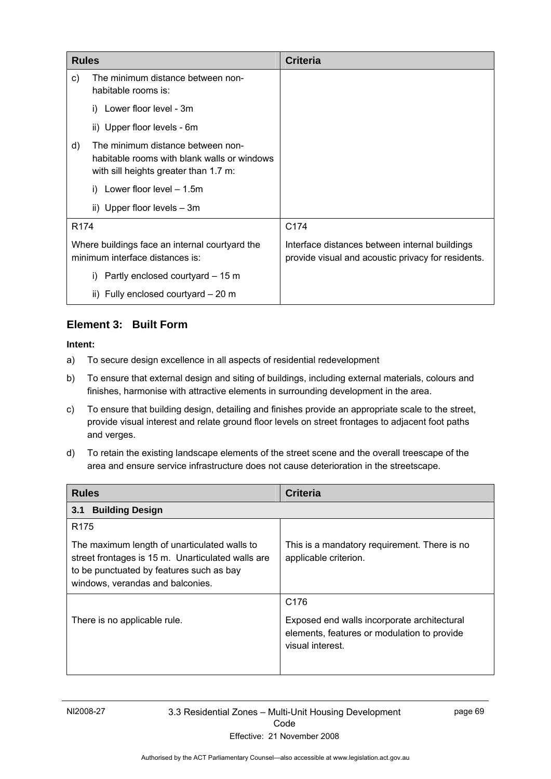| <b>Rules</b>     |                                                                                                                           | <b>Criteria</b>                                                                                      |
|------------------|---------------------------------------------------------------------------------------------------------------------------|------------------------------------------------------------------------------------------------------|
| C)               | The minimum distance between non-<br>habitable rooms is:                                                                  |                                                                                                      |
|                  | i) Lower floor level - 3m                                                                                                 |                                                                                                      |
|                  | ii) Upper floor levels - 6m                                                                                               |                                                                                                      |
| d)               | The minimum distance between non-<br>habitable rooms with blank walls or windows<br>with sill heights greater than 1.7 m: |                                                                                                      |
|                  | Lower floor level $-1.5m$                                                                                                 |                                                                                                      |
|                  | ii) Upper floor levels $-3m$                                                                                              |                                                                                                      |
| R <sub>174</sub> |                                                                                                                           | C174                                                                                                 |
|                  | Where buildings face an internal courtyard the<br>minimum interface distances is:                                         | Interface distances between internal buildings<br>provide visual and acoustic privacy for residents. |
|                  | Partly enclosed courtyard – 15 m<br>i)                                                                                    |                                                                                                      |
|                  | ii) Fully enclosed courtyard - 20 m                                                                                       |                                                                                                      |

### **Element 3: Built Form**

- a) To secure design excellence in all aspects of residential redevelopment
- b) To ensure that external design and siting of buildings, including external materials, colours and finishes, harmonise with attractive elements in surrounding development in the area.
- c) To ensure that building design, detailing and finishes provide an appropriate scale to the street, provide visual interest and relate ground floor levels on street frontages to adjacent foot paths and verges.
- d) To retain the existing landscape elements of the street scene and the overall treescape of the area and ensure service infrastructure does not cause deterioration in the streetscape.

| <b>Rules</b>                                                                                                                                                                                          | <b>Criteria</b>                                                                                                                    |
|-------------------------------------------------------------------------------------------------------------------------------------------------------------------------------------------------------|------------------------------------------------------------------------------------------------------------------------------------|
| <b>Building Design</b><br>3.1                                                                                                                                                                         |                                                                                                                                    |
| R <sub>175</sub><br>The maximum length of unarticulated walls to<br>street frontages is 15 m. Unarticulated walls are<br>to be punctuated by features such as bay<br>windows, verandas and balconies. | This is a mandatory requirement. There is no<br>applicable criterion.                                                              |
| There is no applicable rule.                                                                                                                                                                          | C <sub>176</sub><br>Exposed end walls incorporate architectural<br>elements, features or modulation to provide<br>visual interest. |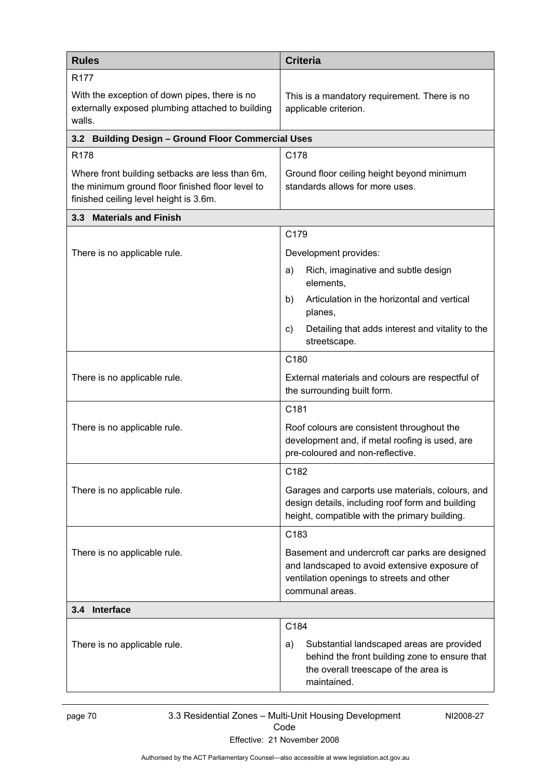| <b>Rules</b>                                                                                                                                  | <b>Criteria</b>                                                                                                                                                 |
|-----------------------------------------------------------------------------------------------------------------------------------------------|-----------------------------------------------------------------------------------------------------------------------------------------------------------------|
| R <sub>177</sub><br>With the exception of down pipes, there is no<br>externally exposed plumbing attached to building<br>walls.               | This is a mandatory requirement. There is no<br>applicable criterion.                                                                                           |
| 3.2 Building Design - Ground Floor Commercial Uses                                                                                            |                                                                                                                                                                 |
| R178                                                                                                                                          | C178                                                                                                                                                            |
| Where front building setbacks are less than 6m,<br>the minimum ground floor finished floor level to<br>finished ceiling level height is 3.6m. | Ground floor ceiling height beyond minimum<br>standards allows for more uses.                                                                                   |
| 3.3 Materials and Finish                                                                                                                      |                                                                                                                                                                 |
|                                                                                                                                               | C179                                                                                                                                                            |
| There is no applicable rule.                                                                                                                  | Development provides:                                                                                                                                           |
|                                                                                                                                               | Rich, imaginative and subtle design<br>a)<br>elements,                                                                                                          |
|                                                                                                                                               | Articulation in the horizontal and vertical<br>b)<br>planes,                                                                                                    |
|                                                                                                                                               | Detailing that adds interest and vitality to the<br>C)<br>streetscape.                                                                                          |
|                                                                                                                                               | C180                                                                                                                                                            |
| There is no applicable rule.                                                                                                                  | External materials and colours are respectful of<br>the surrounding built form.                                                                                 |
|                                                                                                                                               | C181                                                                                                                                                            |
| There is no applicable rule.                                                                                                                  | Roof colours are consistent throughout the<br>development and, if metal roofing is used, are<br>pre-coloured and non-reflective.                                |
|                                                                                                                                               | C182                                                                                                                                                            |
| There is no applicable rule.                                                                                                                  | Garages and carports use materials, colours, and<br>design details, including roof form and building<br>height, compatible with the primary building.           |
|                                                                                                                                               | C183                                                                                                                                                            |
| There is no applicable rule.                                                                                                                  | Basement and undercroft car parks are designed<br>and landscaped to avoid extensive exposure of<br>ventilation openings to streets and other<br>communal areas. |
| 3.4 Interface                                                                                                                                 |                                                                                                                                                                 |
|                                                                                                                                               | C184                                                                                                                                                            |
| There is no applicable rule.                                                                                                                  | Substantial landscaped areas are provided<br>a)<br>behind the front building zone to ensure that<br>the overall treescape of the area is<br>maintained.         |

page 70 3.3 Residential Zones – Multi-Unit Housing Development Code

NI2008-27

Effective: 21 November 2008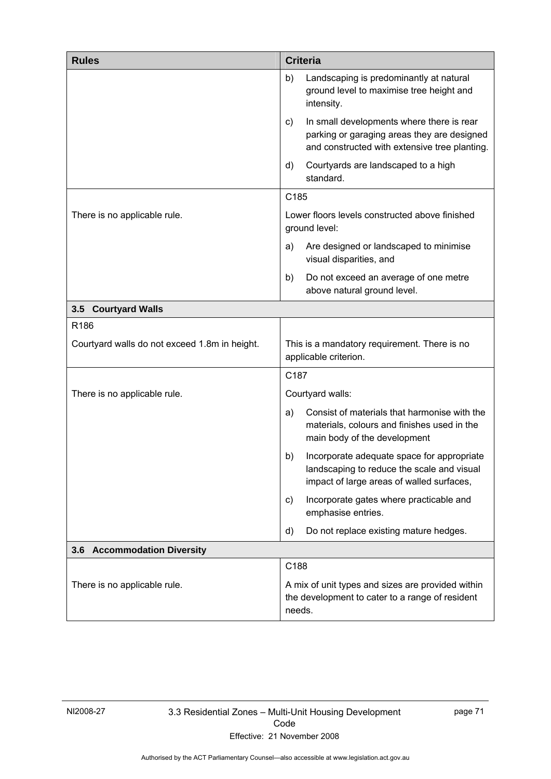| <b>Rules</b>                                  | <b>Criteria</b>                                                                                                                                 |
|-----------------------------------------------|-------------------------------------------------------------------------------------------------------------------------------------------------|
|                                               | Landscaping is predominantly at natural<br>b)<br>ground level to maximise tree height and<br>intensity.                                         |
|                                               | In small developments where there is rear<br>C)<br>parking or garaging areas they are designed<br>and constructed with extensive tree planting. |
|                                               | Courtyards are landscaped to a high<br>d)<br>standard.                                                                                          |
|                                               | C185                                                                                                                                            |
| There is no applicable rule.                  | Lower floors levels constructed above finished<br>ground level:                                                                                 |
|                                               | Are designed or landscaped to minimise<br>a)<br>visual disparities, and                                                                         |
|                                               | Do not exceed an average of one metre<br>b)<br>above natural ground level.                                                                      |
| 3.5 Courtyard Walls                           |                                                                                                                                                 |
| R186                                          |                                                                                                                                                 |
| Courtyard walls do not exceed 1.8m in height. | This is a mandatory requirement. There is no<br>applicable criterion.                                                                           |
|                                               | C <sub>187</sub>                                                                                                                                |
| There is no applicable rule.                  | Courtyard walls:                                                                                                                                |
|                                               | Consist of materials that harmonise with the<br>a)<br>materials, colours and finishes used in the<br>main body of the development               |
|                                               | Incorporate adequate space for appropriate<br>b)<br>landscaping to reduce the scale and visual<br>impact of large areas of walled surfaces,     |
|                                               | Incorporate gates where practicable and<br>C)<br>emphasise entries.                                                                             |
|                                               | Do not replace existing mature hedges.<br>d)                                                                                                    |
| 3.6 Accommodation Diversity                   |                                                                                                                                                 |
|                                               | C188                                                                                                                                            |
| There is no applicable rule.                  | A mix of unit types and sizes are provided within<br>the development to cater to a range of resident<br>needs.                                  |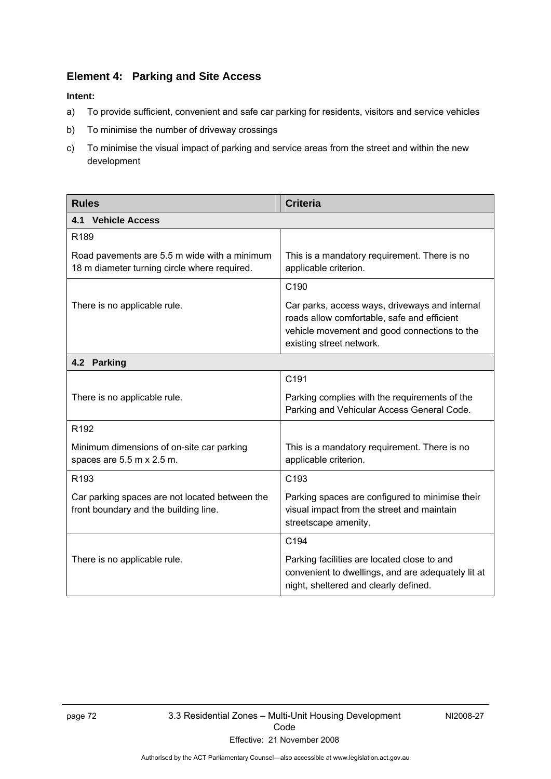### **Element 4: Parking and Site Access**

- a) To provide sufficient, convenient and safe car parking for residents, visitors and service vehicles
- b) To minimise the number of driveway crossings
- c) To minimise the visual impact of parking and service areas from the street and within the new development

| <b>Rules</b>                                                                                 | <b>Criteria</b>                                                                                                                                                           |
|----------------------------------------------------------------------------------------------|---------------------------------------------------------------------------------------------------------------------------------------------------------------------------|
| <b>4.1 Vehicle Access</b>                                                                    |                                                                                                                                                                           |
| R <sub>189</sub>                                                                             |                                                                                                                                                                           |
| Road pavements are 5.5 m wide with a minimum<br>18 m diameter turning circle where required. | This is a mandatory requirement. There is no<br>applicable criterion.                                                                                                     |
|                                                                                              | C190                                                                                                                                                                      |
| There is no applicable rule.                                                                 | Car parks, access ways, driveways and internal<br>roads allow comfortable, safe and efficient<br>vehicle movement and good connections to the<br>existing street network. |
| 4.2 Parking                                                                                  |                                                                                                                                                                           |
|                                                                                              | C191                                                                                                                                                                      |
| There is no applicable rule.                                                                 | Parking complies with the requirements of the<br>Parking and Vehicular Access General Code.                                                                               |
| R <sub>192</sub>                                                                             |                                                                                                                                                                           |
| Minimum dimensions of on-site car parking<br>spaces are 5.5 m x 2.5 m.                       | This is a mandatory requirement. There is no<br>applicable criterion.                                                                                                     |
| R <sub>193</sub>                                                                             | C <sub>193</sub>                                                                                                                                                          |
| Car parking spaces are not located between the<br>front boundary and the building line.      | Parking spaces are configured to minimise their<br>visual impact from the street and maintain<br>streetscape amenity.                                                     |
|                                                                                              | C194                                                                                                                                                                      |
| There is no applicable rule.                                                                 | Parking facilities are located close to and<br>convenient to dwellings, and are adequately lit at<br>night, sheltered and clearly defined.                                |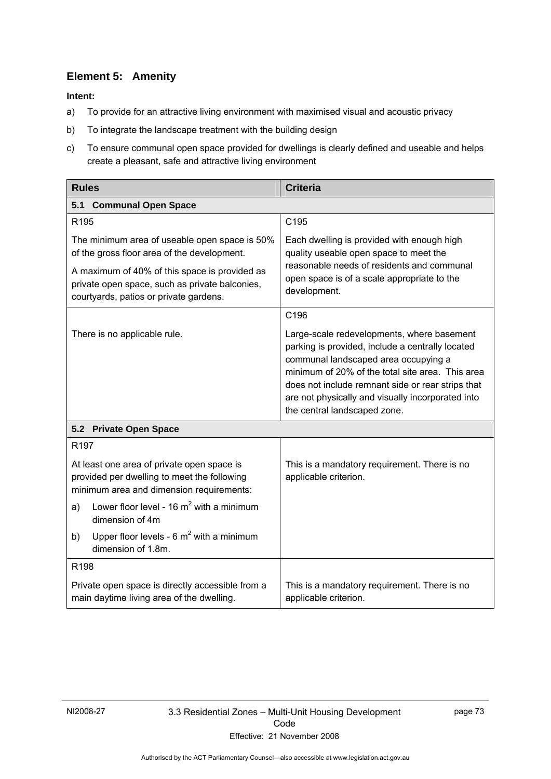## **Element 5: Amenity**

- a) To provide for an attractive living environment with maximised visual and acoustic privacy
- b) To integrate the landscape treatment with the building design
- c) To ensure communal open space provided for dwellings is clearly defined and useable and helps create a pleasant, safe and attractive living environment

| <b>Rules</b>                                                                                                                                                                                                                              | <b>Criteria</b>                                                                                                                                                                                                                                                                                                                      |
|-------------------------------------------------------------------------------------------------------------------------------------------------------------------------------------------------------------------------------------------|--------------------------------------------------------------------------------------------------------------------------------------------------------------------------------------------------------------------------------------------------------------------------------------------------------------------------------------|
| <b>Communal Open Space</b><br>5.1                                                                                                                                                                                                         |                                                                                                                                                                                                                                                                                                                                      |
| R <sub>195</sub>                                                                                                                                                                                                                          | C <sub>195</sub>                                                                                                                                                                                                                                                                                                                     |
| The minimum area of useable open space is 50%<br>of the gross floor area of the development.<br>A maximum of 40% of this space is provided as<br>private open space, such as private balconies,<br>courtyards, patios or private gardens. | Each dwelling is provided with enough high<br>quality useable open space to meet the<br>reasonable needs of residents and communal<br>open space is of a scale appropriate to the<br>development.                                                                                                                                    |
|                                                                                                                                                                                                                                           | C196                                                                                                                                                                                                                                                                                                                                 |
| There is no applicable rule.                                                                                                                                                                                                              | Large-scale redevelopments, where basement<br>parking is provided, include a centrally located<br>communal landscaped area occupying a<br>minimum of 20% of the total site area. This area<br>does not include remnant side or rear strips that<br>are not physically and visually incorporated into<br>the central landscaped zone. |
| 5.2 Private Open Space                                                                                                                                                                                                                    |                                                                                                                                                                                                                                                                                                                                      |
| R <sub>197</sub>                                                                                                                                                                                                                          |                                                                                                                                                                                                                                                                                                                                      |
| At least one area of private open space is<br>provided per dwelling to meet the following<br>minimum area and dimension requirements:                                                                                                     | This is a mandatory requirement. There is no<br>applicable criterion.                                                                                                                                                                                                                                                                |
| Lower floor level - 16 $m2$ with a minimum<br>a)<br>dimension of 4m                                                                                                                                                                       |                                                                                                                                                                                                                                                                                                                                      |
| Upper floor levels - $6 \text{ m}^2$ with a minimum<br>b)<br>dimension of 1.8m.                                                                                                                                                           |                                                                                                                                                                                                                                                                                                                                      |
| R <sub>198</sub>                                                                                                                                                                                                                          |                                                                                                                                                                                                                                                                                                                                      |
| Private open space is directly accessible from a<br>main daytime living area of the dwelling.                                                                                                                                             | This is a mandatory requirement. There is no<br>applicable criterion.                                                                                                                                                                                                                                                                |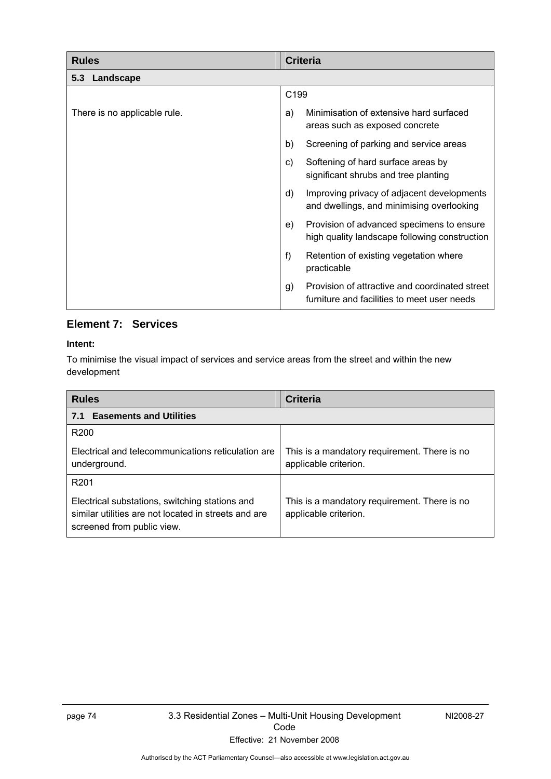| <b>Rules</b>                 | <b>Criteria</b>                                                                                     |
|------------------------------|-----------------------------------------------------------------------------------------------------|
| 5.3 Landscape                |                                                                                                     |
|                              | C199                                                                                                |
| There is no applicable rule. | Minimisation of extensive hard surfaced<br>a)<br>areas such as exposed concrete                     |
|                              | b)<br>Screening of parking and service areas                                                        |
|                              | Softening of hard surface areas by<br>C)<br>significant shrubs and tree planting                    |
|                              | d)<br>Improving privacy of adjacent developments<br>and dwellings, and minimising overlooking       |
|                              | Provision of advanced specimens to ensure<br>e)<br>high quality landscape following construction    |
|                              | f<br>Retention of existing vegetation where<br>practicable                                          |
|                              | Provision of attractive and coordinated street<br>g)<br>furniture and facilities to meet user needs |

### **Element 7: Services**

#### **Intent:**

To minimise the visual impact of services and service areas from the street and within the new development

| <b>Rules</b>                                                                                                                         | <b>Criteria</b>                                                       |  |
|--------------------------------------------------------------------------------------------------------------------------------------|-----------------------------------------------------------------------|--|
| <b>Easements and Utilities</b><br>7.1                                                                                                |                                                                       |  |
| R <sub>200</sub>                                                                                                                     |                                                                       |  |
| Electrical and telecommunications reticulation are<br>underground.                                                                   | This is a mandatory requirement. There is no<br>applicable criterion. |  |
| R <sub>201</sub>                                                                                                                     |                                                                       |  |
| Electrical substations, switching stations and<br>similar utilities are not located in streets and are<br>screened from public view. | This is a mandatory requirement. There is no<br>applicable criterion. |  |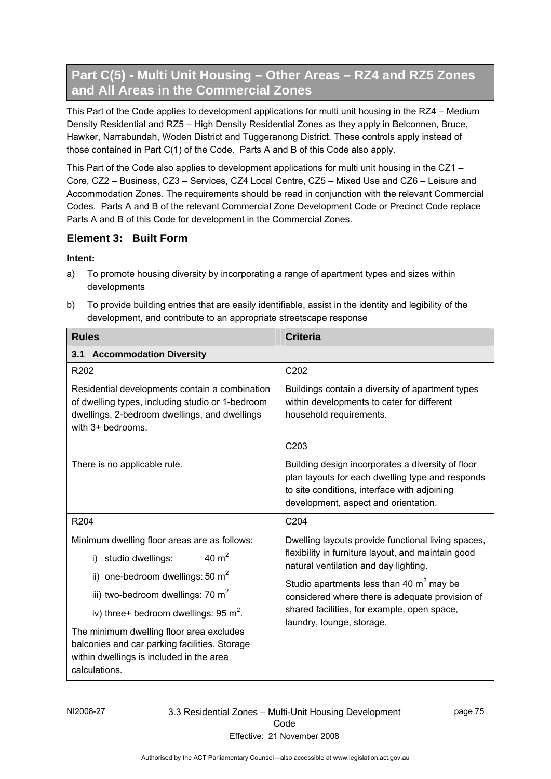# **Part C(5) - Multi Unit Housing – Other Areas – RZ4 and RZ5 Zones and All Areas in the Commercial Zones**

This Part of the Code applies to development applications for multi unit housing in the RZ4 – Medium Density Residential and RZ5 – High Density Residential Zones as they apply in Belconnen, Bruce, Hawker, Narrabundah, Woden District and Tuggeranong District. These controls apply instead of those contained in Part C(1) of the Code. Parts A and B of this Code also apply.

This Part of the Code also applies to development applications for multi unit housing in the CZ1 – Core, CZ2 – Business, CZ3 – Services, CZ4 Local Centre, CZ5 – Mixed Use and CZ6 – Leisure and Accommodation Zones. The requirements should be read in conjunction with the relevant Commercial Codes. Parts A and B of the relevant Commercial Zone Development Code or Precinct Code replace Parts A and B of this Code for development in the Commercial Zones.

### **Element 3: Built Form**

- a) To promote housing diversity by incorporating a range of apartment types and sizes within developments
- b) To provide building entries that are easily identifiable, assist in the identity and legibility of the development, and contribute to an appropriate streetscape response

| <b>Rules</b>                                                                                                                                                             | <b>Criteria</b>                                                                                                                                                                               |
|--------------------------------------------------------------------------------------------------------------------------------------------------------------------------|-----------------------------------------------------------------------------------------------------------------------------------------------------------------------------------------------|
| <b>Accommodation Diversity</b><br>3.1                                                                                                                                    |                                                                                                                                                                                               |
| R <sub>202</sub>                                                                                                                                                         | C202                                                                                                                                                                                          |
| Residential developments contain a combination<br>of dwelling types, including studio or 1-bedroom<br>dwellings, 2-bedroom dwellings, and dwellings<br>with 3+ bedrooms. | Buildings contain a diversity of apartment types<br>within developments to cater for different<br>household requirements.                                                                     |
|                                                                                                                                                                          | C203                                                                                                                                                                                          |
| There is no applicable rule.                                                                                                                                             | Building design incorporates a diversity of floor<br>plan layouts for each dwelling type and responds<br>to site conditions, interface with adjoining<br>development, aspect and orientation. |
| R204                                                                                                                                                                     | C204                                                                                                                                                                                          |
| Minimum dwelling floor areas are as follows:                                                                                                                             | Dwelling layouts provide functional living spaces,                                                                                                                                            |
| 40 $m2$<br>i) studio dwellings:                                                                                                                                          | flexibility in furniture layout, and maintain good<br>natural ventilation and day lighting.                                                                                                   |
| ii) one-bedroom dwellings: 50 $m2$                                                                                                                                       | Studio apartments less than 40 $m2$ may be                                                                                                                                                    |
| iii) two-bedroom dwellings: 70 m <sup>2</sup>                                                                                                                            | considered where there is adequate provision of                                                                                                                                               |
| iv) three+ bedroom dwellings: $95 \text{ m}^2$ .                                                                                                                         | shared facilities, for example, open space,<br>laundry, lounge, storage.                                                                                                                      |
| The minimum dwelling floor area excludes<br>balconies and car parking facilities. Storage<br>within dwellings is included in the area<br>calculations.                   |                                                                                                                                                                                               |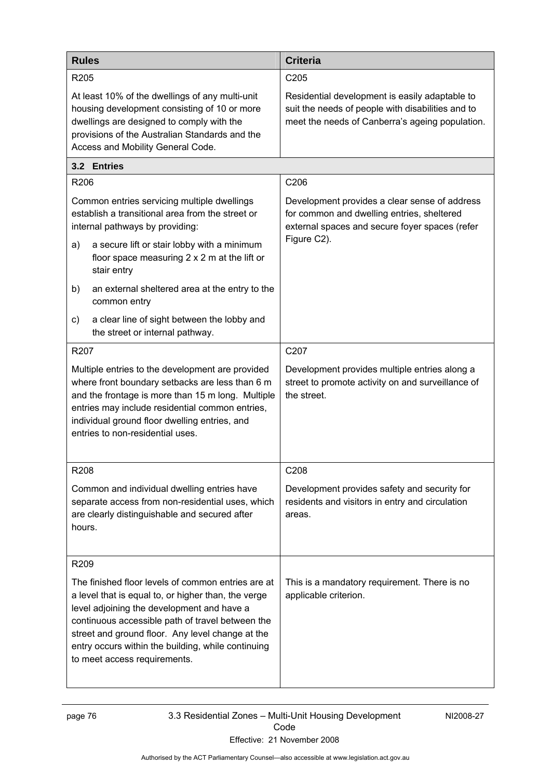| <b>Rules</b>                                                                                                                                                                                                                                                                                                                                          | <b>Criteria</b>                                                                                                                                        |
|-------------------------------------------------------------------------------------------------------------------------------------------------------------------------------------------------------------------------------------------------------------------------------------------------------------------------------------------------------|--------------------------------------------------------------------------------------------------------------------------------------------------------|
| R <sub>205</sub>                                                                                                                                                                                                                                                                                                                                      | C <sub>205</sub>                                                                                                                                       |
| At least 10% of the dwellings of any multi-unit<br>housing development consisting of 10 or more<br>dwellings are designed to comply with the<br>provisions of the Australian Standards and the<br>Access and Mobility General Code.                                                                                                                   | Residential development is easily adaptable to<br>suit the needs of people with disabilities and to<br>meet the needs of Canberra's ageing population. |
| 3.2 Entries                                                                                                                                                                                                                                                                                                                                           |                                                                                                                                                        |
| R206                                                                                                                                                                                                                                                                                                                                                  | C206                                                                                                                                                   |
| Common entries servicing multiple dwellings<br>establish a transitional area from the street or<br>internal pathways by providing:                                                                                                                                                                                                                    | Development provides a clear sense of address<br>for common and dwelling entries, sheltered<br>external spaces and secure foyer spaces (refer          |
| a secure lift or stair lobby with a minimum<br>a)<br>floor space measuring 2 x 2 m at the lift or<br>stair entry                                                                                                                                                                                                                                      | Figure C2).                                                                                                                                            |
| b)<br>an external sheltered area at the entry to the<br>common entry                                                                                                                                                                                                                                                                                  |                                                                                                                                                        |
| a clear line of sight between the lobby and<br>C)<br>the street or internal pathway.                                                                                                                                                                                                                                                                  |                                                                                                                                                        |
| R207                                                                                                                                                                                                                                                                                                                                                  | C207                                                                                                                                                   |
| Multiple entries to the development are provided<br>where front boundary setbacks are less than 6 m<br>and the frontage is more than 15 m long. Multiple<br>entries may include residential common entries,<br>individual ground floor dwelling entries, and<br>entries to non-residential uses.                                                      | Development provides multiple entries along a<br>street to promote activity on and surveillance of<br>the street.                                      |
| R208                                                                                                                                                                                                                                                                                                                                                  | C208                                                                                                                                                   |
| Common and individual dwelling entries have<br>separate access from non-residential uses, which<br>are clearly distinguishable and secured after<br>hours.                                                                                                                                                                                            | Development provides safety and security for<br>residents and visitors in entry and circulation<br>areas.                                              |
| R209                                                                                                                                                                                                                                                                                                                                                  |                                                                                                                                                        |
| The finished floor levels of common entries are at<br>a level that is equal to, or higher than, the verge<br>level adjoining the development and have a<br>continuous accessible path of travel between the<br>street and ground floor. Any level change at the<br>entry occurs within the building, while continuing<br>to meet access requirements. | This is a mandatory requirement. There is no<br>applicable criterion.                                                                                  |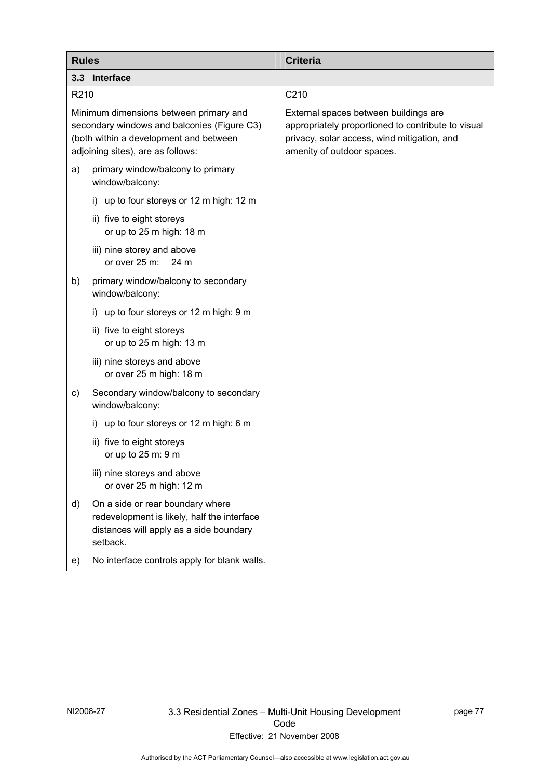| <b>Rules</b>                                                                                                                                                         | <b>Criteria</b>                                                                                                                                                          |
|----------------------------------------------------------------------------------------------------------------------------------------------------------------------|--------------------------------------------------------------------------------------------------------------------------------------------------------------------------|
| 3.3 Interface                                                                                                                                                        |                                                                                                                                                                          |
| R <sub>210</sub>                                                                                                                                                     | C210                                                                                                                                                                     |
| Minimum dimensions between primary and<br>secondary windows and balconies (Figure C3)<br>(both within a development and between<br>adjoining sites), are as follows: | External spaces between buildings are<br>appropriately proportioned to contribute to visual<br>privacy, solar access, wind mitigation, and<br>amenity of outdoor spaces. |
| primary window/balcony to primary<br>a)<br>window/balcony:                                                                                                           |                                                                                                                                                                          |
| i) up to four storeys or 12 m high: 12 m                                                                                                                             |                                                                                                                                                                          |
| ii) five to eight storeys<br>or up to 25 m high: 18 m                                                                                                                |                                                                                                                                                                          |
| iii) nine storey and above<br>or over 25 m:<br>24 m                                                                                                                  |                                                                                                                                                                          |
| primary window/balcony to secondary<br>b)<br>window/balcony:                                                                                                         |                                                                                                                                                                          |
| up to four storeys or 12 m high: 9 m<br>i)                                                                                                                           |                                                                                                                                                                          |
| ii) five to eight storeys<br>or up to 25 m high: 13 m                                                                                                                |                                                                                                                                                                          |
| iii) nine storeys and above<br>or over 25 m high: 18 m                                                                                                               |                                                                                                                                                                          |
| Secondary window/balcony to secondary<br>C)<br>window/balcony:                                                                                                       |                                                                                                                                                                          |
| up to four storeys or 12 m high: 6 m<br>i)                                                                                                                           |                                                                                                                                                                          |
| ii) five to eight storeys<br>or up to 25 m: 9 m                                                                                                                      |                                                                                                                                                                          |
| iii) nine storeys and above<br>or over 25 m high: 12 m                                                                                                               |                                                                                                                                                                          |
| On a side or rear boundary where<br>d)<br>redevelopment is likely, half the interface<br>distances will apply as a side boundary<br>setback.                         |                                                                                                                                                                          |
| No interface controls apply for blank walls.<br>e)                                                                                                                   |                                                                                                                                                                          |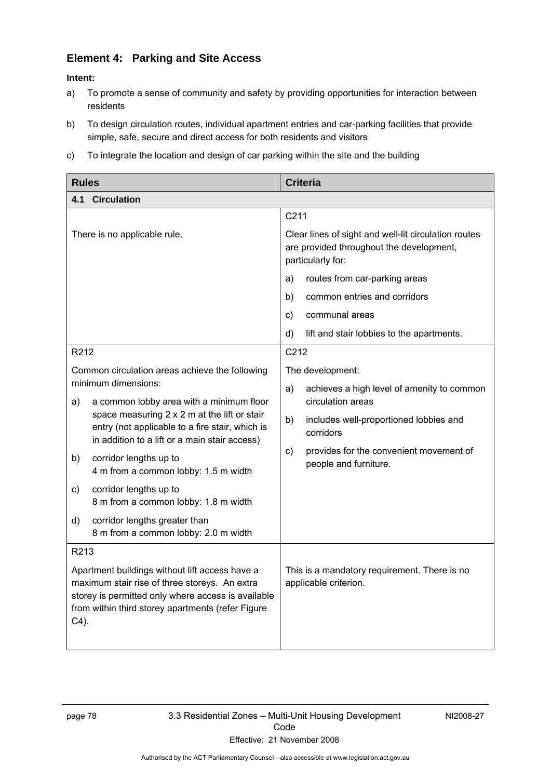### **Element 4: Parking and Site Access**

- a) To promote a sense of community and safety by providing opportunities for interaction between residents
- b) To design circulation routes, individual apartment entries and car-parking facilities that provide simple, safe, secure and direct access for both residents and visitors
- c) To integrate the location and design of car parking within the site and the building

| <b>Rules</b>                                                                                                                                                                                                                                                                                                                                                                                                                        | <b>Criteria</b>                                                                                                                                                                                                                                     |  |
|-------------------------------------------------------------------------------------------------------------------------------------------------------------------------------------------------------------------------------------------------------------------------------------------------------------------------------------------------------------------------------------------------------------------------------------|-----------------------------------------------------------------------------------------------------------------------------------------------------------------------------------------------------------------------------------------------------|--|
| 4.1<br><b>Circulation</b>                                                                                                                                                                                                                                                                                                                                                                                                           |                                                                                                                                                                                                                                                     |  |
| There is no applicable rule.                                                                                                                                                                                                                                                                                                                                                                                                        | C211<br>Clear lines of sight and well-lit circulation routes<br>are provided throughout the development,<br>particularly for:                                                                                                                       |  |
|                                                                                                                                                                                                                                                                                                                                                                                                                                     | routes from car-parking areas<br>a)<br>b)<br>common entries and corridors<br>communal areas<br>C)<br>d)<br>lift and stair lobbies to the apartments.                                                                                                |  |
| R212<br>Common circulation areas achieve the following<br>minimum dimensions:<br>a common lobby area with a minimum floor<br>a)<br>space measuring 2 x 2 m at the lift or stair<br>entry (not applicable to a fire stair, which is<br>in addition to a lift or a main stair access)<br>corridor lengths up to<br>b)<br>4 m from a common lobby: 1.5 m width<br>corridor lengths up to<br>c)<br>8 m from a common lobby: 1.8 m width | C212<br>The development:<br>achieves a high level of amenity to common<br>a)<br>circulation areas<br>includes well-proportioned lobbies and<br>b)<br>corridors<br>provides for the convenient movement of<br>$\mathsf{c})$<br>people and furniture. |  |
| d)<br>corridor lengths greater than<br>8 m from a common lobby: 2.0 m width                                                                                                                                                                                                                                                                                                                                                         |                                                                                                                                                                                                                                                     |  |
| R213<br>Apartment buildings without lift access have a<br>maximum stair rise of three storeys. An extra<br>storey is permitted only where access is available<br>from within third storey apartments (refer Figure<br>C4).                                                                                                                                                                                                          | This is a mandatory requirement. There is no<br>applicable criterion.                                                                                                                                                                               |  |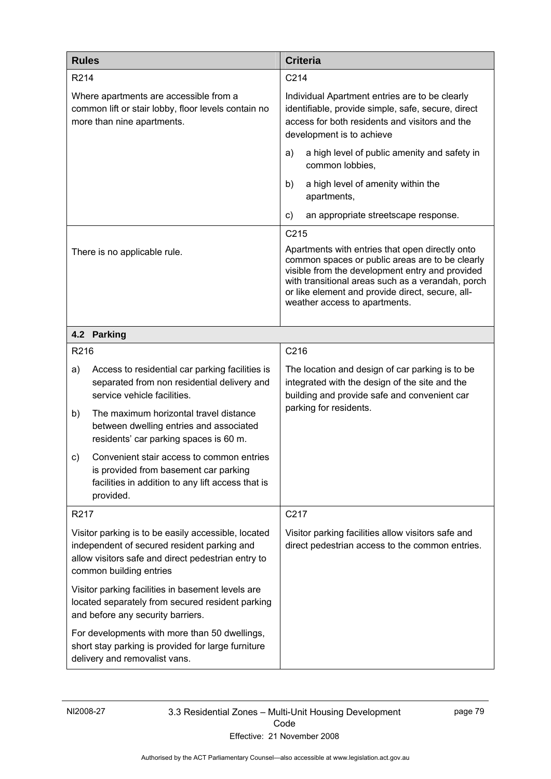| <b>Rules</b>                                                                                                                                                                        |                                                                                                                                                      | <b>Criteria</b>                                                                                                                                                             |                                                                                                                                                                                                                                                                                                 |
|-------------------------------------------------------------------------------------------------------------------------------------------------------------------------------------|------------------------------------------------------------------------------------------------------------------------------------------------------|-----------------------------------------------------------------------------------------------------------------------------------------------------------------------------|-------------------------------------------------------------------------------------------------------------------------------------------------------------------------------------------------------------------------------------------------------------------------------------------------|
| R214                                                                                                                                                                                |                                                                                                                                                      | C <sub>214</sub>                                                                                                                                                            |                                                                                                                                                                                                                                                                                                 |
|                                                                                                                                                                                     | Where apartments are accessible from a<br>common lift or stair lobby, floor levels contain no<br>more than nine apartments.                          |                                                                                                                                                                             | Individual Apartment entries are to be clearly<br>identifiable, provide simple, safe, secure, direct<br>access for both residents and visitors and the<br>development is to achieve                                                                                                             |
|                                                                                                                                                                                     |                                                                                                                                                      | a)                                                                                                                                                                          | a high level of public amenity and safety in<br>common lobbies,                                                                                                                                                                                                                                 |
|                                                                                                                                                                                     |                                                                                                                                                      | b)                                                                                                                                                                          | a high level of amenity within the<br>apartments,                                                                                                                                                                                                                                               |
|                                                                                                                                                                                     |                                                                                                                                                      | $\mathsf{c}$                                                                                                                                                                | an appropriate streetscape response.                                                                                                                                                                                                                                                            |
|                                                                                                                                                                                     |                                                                                                                                                      | C215                                                                                                                                                                        |                                                                                                                                                                                                                                                                                                 |
|                                                                                                                                                                                     | There is no applicable rule.                                                                                                                         |                                                                                                                                                                             | Apartments with entries that open directly onto<br>common spaces or public areas are to be clearly<br>visible from the development entry and provided<br>with transitional areas such as a verandah, porch<br>or like element and provide direct, secure, all-<br>weather access to apartments. |
|                                                                                                                                                                                     | 4.2 Parking                                                                                                                                          |                                                                                                                                                                             |                                                                                                                                                                                                                                                                                                 |
| R216                                                                                                                                                                                |                                                                                                                                                      | C216                                                                                                                                                                        |                                                                                                                                                                                                                                                                                                 |
| a)                                                                                                                                                                                  | Access to residential car parking facilities is<br>separated from non residential delivery and<br>service vehicle facilities.                        | The location and design of car parking is to be<br>integrated with the design of the site and the<br>building and provide safe and convenient car<br>parking for residents. |                                                                                                                                                                                                                                                                                                 |
| b)                                                                                                                                                                                  | The maximum horizontal travel distance<br>between dwelling entries and associated<br>residents' car parking spaces is 60 m.                          |                                                                                                                                                                             |                                                                                                                                                                                                                                                                                                 |
| c)                                                                                                                                                                                  | Convenient stair access to common entries<br>is provided from basement car parking<br>facilities in addition to any lift access that is<br>provided. |                                                                                                                                                                             |                                                                                                                                                                                                                                                                                                 |
| R <sub>2</sub> 17                                                                                                                                                                   |                                                                                                                                                      | C217                                                                                                                                                                        |                                                                                                                                                                                                                                                                                                 |
| Visitor parking is to be easily accessible, located<br>independent of secured resident parking and<br>allow visitors safe and direct pedestrian entry to<br>common building entries |                                                                                                                                                      |                                                                                                                                                                             | Visitor parking facilities allow visitors safe and<br>direct pedestrian access to the common entries.                                                                                                                                                                                           |
| Visitor parking facilities in basement levels are<br>located separately from secured resident parking<br>and before any security barriers.                                          |                                                                                                                                                      |                                                                                                                                                                             |                                                                                                                                                                                                                                                                                                 |
|                                                                                                                                                                                     | For developments with more than 50 dwellings,<br>short stay parking is provided for large furniture<br>delivery and removalist vans.                 |                                                                                                                                                                             |                                                                                                                                                                                                                                                                                                 |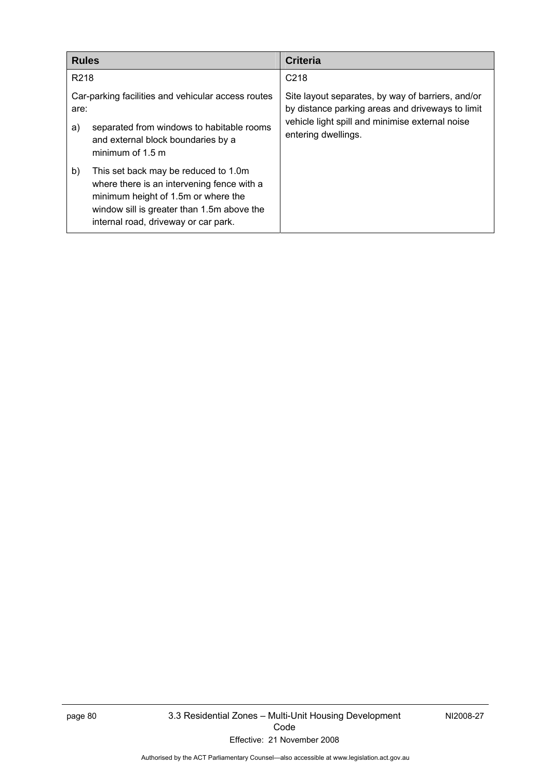| <b>Rules</b>     |                                                                                                                                                                                                                 | Criteria                                                                                                                                                                        |
|------------------|-----------------------------------------------------------------------------------------------------------------------------------------------------------------------------------------------------------------|---------------------------------------------------------------------------------------------------------------------------------------------------------------------------------|
| R <sub>218</sub> |                                                                                                                                                                                                                 | C <sub>218</sub>                                                                                                                                                                |
| are:<br>a)       | Car-parking facilities and vehicular access routes<br>separated from windows to habitable rooms<br>and external block boundaries by a<br>minimum of $1.5$ m                                                     | Site layout separates, by way of barriers, and/or<br>by distance parking areas and driveways to limit<br>vehicle light spill and minimise external noise<br>entering dwellings. |
| b)               | This set back may be reduced to 1.0m<br>where there is an intervening fence with a<br>minimum height of 1.5m or where the<br>window sill is greater than 1.5m above the<br>internal road, driveway or car park. |                                                                                                                                                                                 |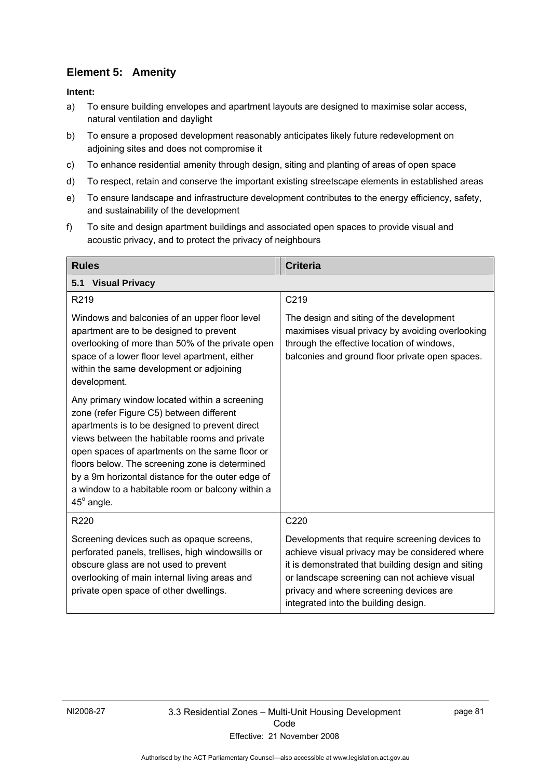# **Element 5: Amenity**

- a) To ensure building envelopes and apartment layouts are designed to maximise solar access, natural ventilation and daylight
- b) To ensure a proposed development reasonably anticipates likely future redevelopment on adjoining sites and does not compromise it
- c) To enhance residential amenity through design, siting and planting of areas of open space
- d) To respect, retain and conserve the important existing streetscape elements in established areas
- e) To ensure landscape and infrastructure development contributes to the energy efficiency, safety, and sustainability of the development
- f) To site and design apartment buildings and associated open spaces to provide visual and acoustic privacy, and to protect the privacy of neighbours

| <b>Rules</b>                                                                                                                                                                                                                                                                                                                                                                                                                   | <b>Criteria</b>                                                                                                                                                                                                                                                                            |  |  |
|--------------------------------------------------------------------------------------------------------------------------------------------------------------------------------------------------------------------------------------------------------------------------------------------------------------------------------------------------------------------------------------------------------------------------------|--------------------------------------------------------------------------------------------------------------------------------------------------------------------------------------------------------------------------------------------------------------------------------------------|--|--|
| <b>Visual Privacy</b><br>5.1                                                                                                                                                                                                                                                                                                                                                                                                   |                                                                                                                                                                                                                                                                                            |  |  |
| R219                                                                                                                                                                                                                                                                                                                                                                                                                           | C219                                                                                                                                                                                                                                                                                       |  |  |
| Windows and balconies of an upper floor level<br>apartment are to be designed to prevent<br>overlooking of more than 50% of the private open<br>space of a lower floor level apartment, either<br>within the same development or adjoining<br>development.                                                                                                                                                                     | The design and siting of the development<br>maximises visual privacy by avoiding overlooking<br>through the effective location of windows,<br>balconies and ground floor private open spaces.                                                                                              |  |  |
| Any primary window located within a screening<br>zone (refer Figure C5) between different<br>apartments is to be designed to prevent direct<br>views between the habitable rooms and private<br>open spaces of apartments on the same floor or<br>floors below. The screening zone is determined<br>by a 9m horizontal distance for the outer edge of<br>a window to a habitable room or balcony within a<br>$45^\circ$ angle. |                                                                                                                                                                                                                                                                                            |  |  |
| R220                                                                                                                                                                                                                                                                                                                                                                                                                           | C220                                                                                                                                                                                                                                                                                       |  |  |
| Screening devices such as opaque screens,<br>perforated panels, trellises, high windowsills or<br>obscure glass are not used to prevent<br>overlooking of main internal living areas and<br>private open space of other dwellings.                                                                                                                                                                                             | Developments that require screening devices to<br>achieve visual privacy may be considered where<br>it is demonstrated that building design and siting<br>or landscape screening can not achieve visual<br>privacy and where screening devices are<br>integrated into the building design. |  |  |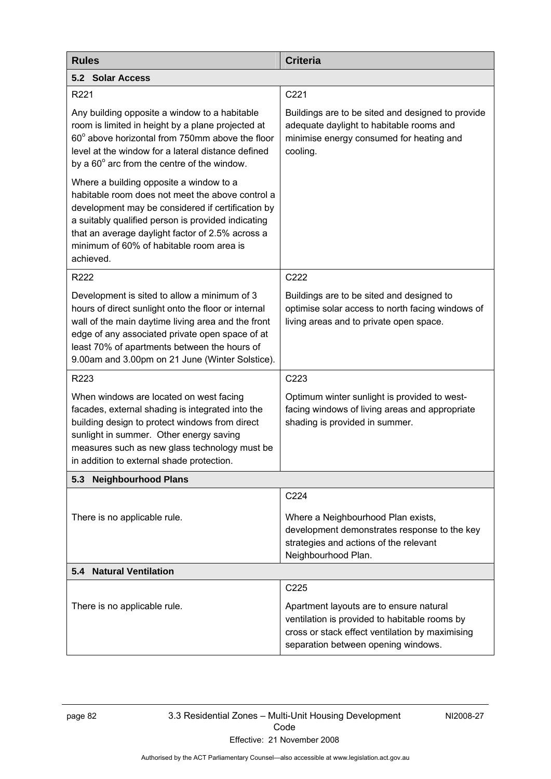| <b>Rules</b>                                                                                                                                                                                                                                                                                                        | <b>Criteria</b>                                                                                                                                                                    |
|---------------------------------------------------------------------------------------------------------------------------------------------------------------------------------------------------------------------------------------------------------------------------------------------------------------------|------------------------------------------------------------------------------------------------------------------------------------------------------------------------------------|
| 5.2 Solar Access                                                                                                                                                                                                                                                                                                    |                                                                                                                                                                                    |
| R221                                                                                                                                                                                                                                                                                                                | C221                                                                                                                                                                               |
| Any building opposite a window to a habitable<br>room is limited in height by a plane projected at<br>60° above horizontal from 750mm above the floor<br>level at the window for a lateral distance defined<br>by a $60^\circ$ arc from the centre of the window.                                                   | Buildings are to be sited and designed to provide<br>adequate daylight to habitable rooms and<br>minimise energy consumed for heating and<br>cooling.                              |
| Where a building opposite a window to a<br>habitable room does not meet the above control a<br>development may be considered if certification by<br>a suitably qualified person is provided indicating<br>that an average daylight factor of 2.5% across a<br>minimum of 60% of habitable room area is<br>achieved. |                                                                                                                                                                                    |
| R222                                                                                                                                                                                                                                                                                                                | C222                                                                                                                                                                               |
| Development is sited to allow a minimum of 3<br>hours of direct sunlight onto the floor or internal<br>wall of the main daytime living area and the front<br>edge of any associated private open space of at<br>least 70% of apartments between the hours of<br>9.00am and 3.00pm on 21 June (Winter Solstice).     | Buildings are to be sited and designed to<br>optimise solar access to north facing windows of<br>living areas and to private open space.                                           |
| R223                                                                                                                                                                                                                                                                                                                | C223                                                                                                                                                                               |
| When windows are located on west facing<br>facades, external shading is integrated into the<br>building design to protect windows from direct<br>sunlight in summer. Other energy saving<br>measures such as new glass technology must be<br>in addition to external shade protection.                              | Optimum winter sunlight is provided to west-<br>facing windows of living areas and appropriate<br>shading is provided in summer.                                                   |
| <b>Neighbourhood Plans</b><br>5.3                                                                                                                                                                                                                                                                                   |                                                                                                                                                                                    |
|                                                                                                                                                                                                                                                                                                                     | C224                                                                                                                                                                               |
| There is no applicable rule.                                                                                                                                                                                                                                                                                        | Where a Neighbourhood Plan exists,<br>development demonstrates response to the key<br>strategies and actions of the relevant<br>Neighbourhood Plan.                                |
| <b>Natural Ventilation</b><br>5.4                                                                                                                                                                                                                                                                                   |                                                                                                                                                                                    |
|                                                                                                                                                                                                                                                                                                                     | C225                                                                                                                                                                               |
| There is no applicable rule.                                                                                                                                                                                                                                                                                        | Apartment layouts are to ensure natural<br>ventilation is provided to habitable rooms by<br>cross or stack effect ventilation by maximising<br>separation between opening windows. |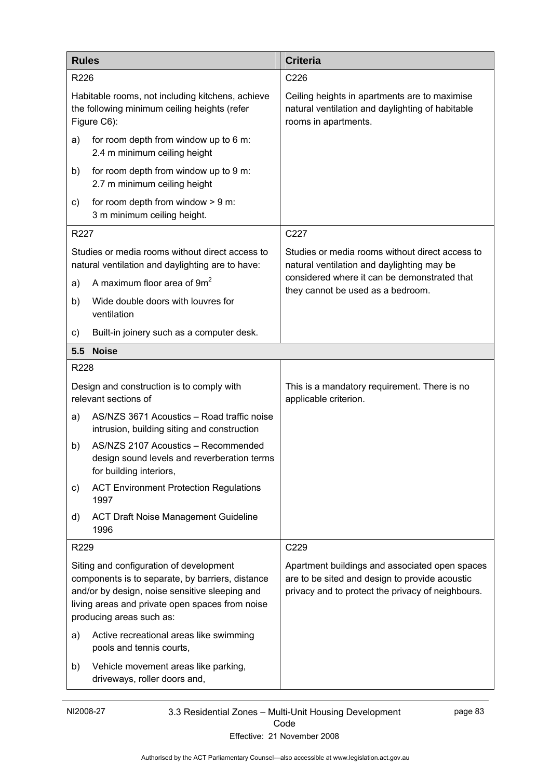| <b>Rules</b>     |                                                                                                                                                                                                                              | <b>Criteria</b>                                                                                                                                       |
|------------------|------------------------------------------------------------------------------------------------------------------------------------------------------------------------------------------------------------------------------|-------------------------------------------------------------------------------------------------------------------------------------------------------|
| R226             |                                                                                                                                                                                                                              | C226                                                                                                                                                  |
|                  | Habitable rooms, not including kitchens, achieve<br>the following minimum ceiling heights (refer<br>Figure C6):                                                                                                              | Ceiling heights in apartments are to maximise<br>natural ventilation and daylighting of habitable<br>rooms in apartments.                             |
| a)               | for room depth from window up to 6 m:<br>2.4 m minimum ceiling height                                                                                                                                                        |                                                                                                                                                       |
| b)               | for room depth from window up to 9 m:<br>2.7 m minimum ceiling height                                                                                                                                                        |                                                                                                                                                       |
| C)               | for room depth from window $> 9$ m:<br>3 m minimum ceiling height.                                                                                                                                                           |                                                                                                                                                       |
| R227             |                                                                                                                                                                                                                              | C227                                                                                                                                                  |
|                  | Studies or media rooms without direct access to<br>natural ventilation and daylighting are to have:                                                                                                                          | Studies or media rooms without direct access to<br>natural ventilation and daylighting may be                                                         |
| a)               | A maximum floor area of 9m <sup>2</sup>                                                                                                                                                                                      | considered where it can be demonstrated that<br>they cannot be used as a bedroom.                                                                     |
| b)               | Wide double doors with louvres for<br>ventilation                                                                                                                                                                            |                                                                                                                                                       |
| C)               | Built-in joinery such as a computer desk.                                                                                                                                                                                    |                                                                                                                                                       |
| 5.5              | <b>Noise</b>                                                                                                                                                                                                                 |                                                                                                                                                       |
| R228             |                                                                                                                                                                                                                              |                                                                                                                                                       |
|                  | Design and construction is to comply with<br>relevant sections of                                                                                                                                                            | This is a mandatory requirement. There is no<br>applicable criterion.                                                                                 |
| a)               | AS/NZS 3671 Acoustics - Road traffic noise<br>intrusion, building siting and construction                                                                                                                                    |                                                                                                                                                       |
| b)               | AS/NZS 2107 Acoustics - Recommended<br>design sound levels and reverberation terms<br>for building interiors,                                                                                                                |                                                                                                                                                       |
| C)               | <b>ACT Environment Protection Regulations</b><br>1997                                                                                                                                                                        |                                                                                                                                                       |
| d)               | <b>ACT Draft Noise Management Guideline</b><br>1996                                                                                                                                                                          |                                                                                                                                                       |
| R <sub>229</sub> |                                                                                                                                                                                                                              | C229                                                                                                                                                  |
|                  | Siting and configuration of development<br>components is to separate, by barriers, distance<br>and/or by design, noise sensitive sleeping and<br>living areas and private open spaces from noise<br>producing areas such as: | Apartment buildings and associated open spaces<br>are to be sited and design to provide acoustic<br>privacy and to protect the privacy of neighbours. |
| a)               | Active recreational areas like swimming<br>pools and tennis courts,                                                                                                                                                          |                                                                                                                                                       |
| b)               | Vehicle movement areas like parking,<br>driveways, roller doors and,                                                                                                                                                         |                                                                                                                                                       |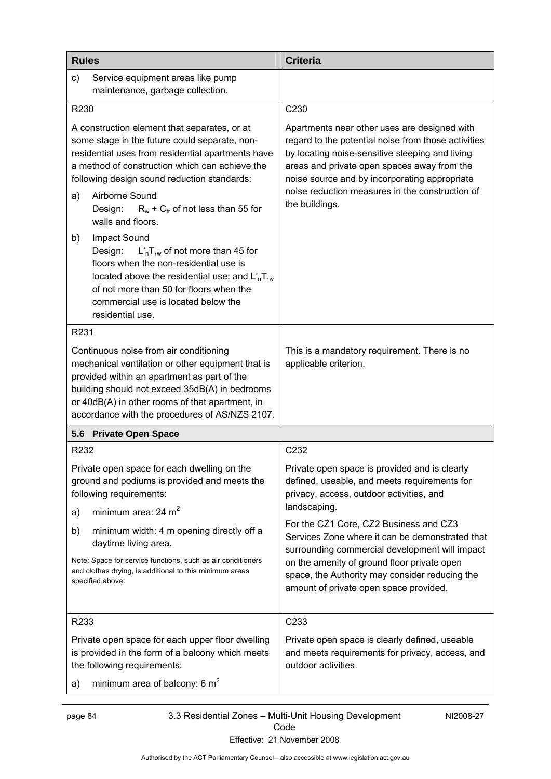| <b>Rules</b>                                                                                                                                                                                                                                                                                                                  | <b>Criteria</b>                                                                                                                                                                                                                                                                                                             |
|-------------------------------------------------------------------------------------------------------------------------------------------------------------------------------------------------------------------------------------------------------------------------------------------------------------------------------|-----------------------------------------------------------------------------------------------------------------------------------------------------------------------------------------------------------------------------------------------------------------------------------------------------------------------------|
| c)<br>Service equipment areas like pump<br>maintenance, garbage collection.                                                                                                                                                                                                                                                   |                                                                                                                                                                                                                                                                                                                             |
| R230                                                                                                                                                                                                                                                                                                                          | C230                                                                                                                                                                                                                                                                                                                        |
| A construction element that separates, or at<br>some stage in the future could separate, non-<br>residential uses from residential apartments have<br>a method of construction which can achieve the<br>following design sound reduction standards:<br>Airborne Sound<br>a)<br>Design: $R_w + C_{tr}$ of not less than 55 for | Apartments near other uses are designed with<br>regard to the potential noise from those activities<br>by locating noise-sensitive sleeping and living<br>areas and private open spaces away from the<br>noise source and by incorporating appropriate<br>noise reduction measures in the construction of<br>the buildings. |
| walls and floors.<br>Impact Sound<br>b)<br>Design:<br>$L'_n$ , of not more than 45 for<br>floors when the non-residential use is<br>located above the residential use: and $L'_n$ T,<br>of not more than 50 for floors when the<br>commercial use is located below the<br>residential use.                                    |                                                                                                                                                                                                                                                                                                                             |
| R231                                                                                                                                                                                                                                                                                                                          |                                                                                                                                                                                                                                                                                                                             |
| Continuous noise from air conditioning<br>mechanical ventilation or other equipment that is<br>provided within an apartment as part of the<br>building should not exceed 35dB(A) in bedrooms<br>or 40dB(A) in other rooms of that apartment, in<br>accordance with the procedures of AS/NZS 2107.                             | This is a mandatory requirement. There is no<br>applicable criterion.                                                                                                                                                                                                                                                       |
| 5.6 Private Open Space                                                                                                                                                                                                                                                                                                        |                                                                                                                                                                                                                                                                                                                             |
| R232                                                                                                                                                                                                                                                                                                                          | C232                                                                                                                                                                                                                                                                                                                        |
| Private open space for each dwelling on the<br>ground and podiums is provided and meets the<br>following requirements:                                                                                                                                                                                                        | Private open space is provided and is clearly<br>defined, useable, and meets requirements for<br>privacy, access, outdoor activities, and<br>landscaping.                                                                                                                                                                   |
| minimum area: $24 m2$<br>a)                                                                                                                                                                                                                                                                                                   | For the CZ1 Core, CZ2 Business and CZ3                                                                                                                                                                                                                                                                                      |
| minimum width: 4 m opening directly off a<br>b)<br>daytime living area.                                                                                                                                                                                                                                                       | Services Zone where it can be demonstrated that<br>surrounding commercial development will impact                                                                                                                                                                                                                           |
| Note: Space for service functions, such as air conditioners<br>and clothes drying, is additional to this minimum areas<br>specified above.                                                                                                                                                                                    | on the amenity of ground floor private open<br>space, the Authority may consider reducing the<br>amount of private open space provided.                                                                                                                                                                                     |
| R233                                                                                                                                                                                                                                                                                                                          | C233                                                                                                                                                                                                                                                                                                                        |
| Private open space for each upper floor dwelling<br>is provided in the form of a balcony which meets<br>the following requirements:                                                                                                                                                                                           | Private open space is clearly defined, useable<br>and meets requirements for privacy, access, and<br>outdoor activities.                                                                                                                                                                                                    |
| minimum area of balcony: 6 $m2$<br>a)                                                                                                                                                                                                                                                                                         |                                                                                                                                                                                                                                                                                                                             |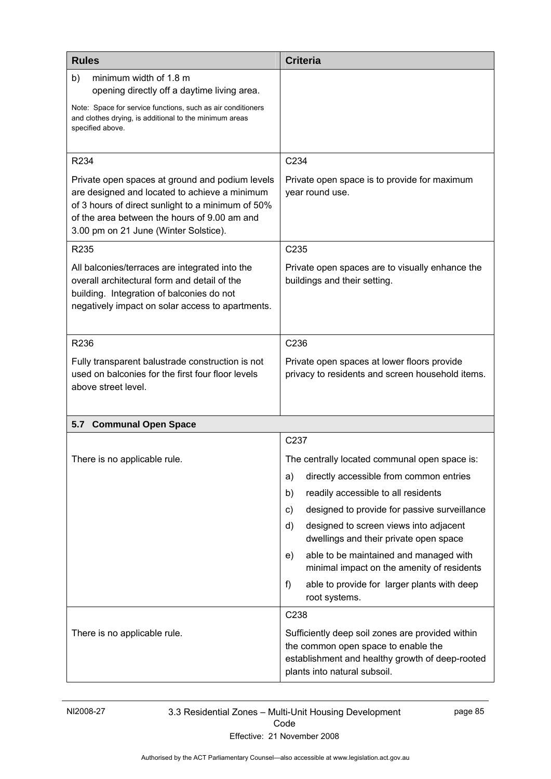| <b>Rules</b>                                                                                                                                                                                                                                   | <b>Criteria</b>                                                                                                                                                            |
|------------------------------------------------------------------------------------------------------------------------------------------------------------------------------------------------------------------------------------------------|----------------------------------------------------------------------------------------------------------------------------------------------------------------------------|
| b)<br>minimum width of 1.8 m<br>opening directly off a daytime living area.<br>Note: Space for service functions, such as air conditioners<br>and clothes drying, is additional to the minimum areas<br>specified above.                       |                                                                                                                                                                            |
| R234                                                                                                                                                                                                                                           | C234                                                                                                                                                                       |
| Private open spaces at ground and podium levels<br>are designed and located to achieve a minimum<br>of 3 hours of direct sunlight to a minimum of 50%<br>of the area between the hours of 9.00 am and<br>3.00 pm on 21 June (Winter Solstice). | Private open space is to provide for maximum<br>year round use.                                                                                                            |
| R235                                                                                                                                                                                                                                           | C235                                                                                                                                                                       |
| All balconies/terraces are integrated into the<br>overall architectural form and detail of the<br>building. Integration of balconies do not<br>negatively impact on solar access to apartments.                                                | Private open spaces are to visually enhance the<br>buildings and their setting.                                                                                            |
| R236                                                                                                                                                                                                                                           | C236                                                                                                                                                                       |
| Fully transparent balustrade construction is not<br>used on balconies for the first four floor levels<br>above street level.                                                                                                                   | Private open spaces at lower floors provide<br>privacy to residents and screen household items.                                                                            |
| <b>Communal Open Space</b><br>5.7                                                                                                                                                                                                              |                                                                                                                                                                            |
|                                                                                                                                                                                                                                                | C237                                                                                                                                                                       |
| There is no applicable rule.                                                                                                                                                                                                                   | The centrally located communal open space is:                                                                                                                              |
|                                                                                                                                                                                                                                                | directly accessible from common entries<br>a)                                                                                                                              |
|                                                                                                                                                                                                                                                | readily accessible to all residents<br>b)                                                                                                                                  |
|                                                                                                                                                                                                                                                | designed to provide for passive surveillance<br>C)                                                                                                                         |
|                                                                                                                                                                                                                                                | designed to screen views into adjacent<br>d)<br>dwellings and their private open space                                                                                     |
|                                                                                                                                                                                                                                                | able to be maintained and managed with<br>e)<br>minimal impact on the amenity of residents                                                                                 |
|                                                                                                                                                                                                                                                | f)<br>able to provide for larger plants with deep<br>root systems.                                                                                                         |
|                                                                                                                                                                                                                                                | C238                                                                                                                                                                       |
| There is no applicable rule.                                                                                                                                                                                                                   | Sufficiently deep soil zones are provided within<br>the common open space to enable the<br>establishment and healthy growth of deep-rooted<br>plants into natural subsoil. |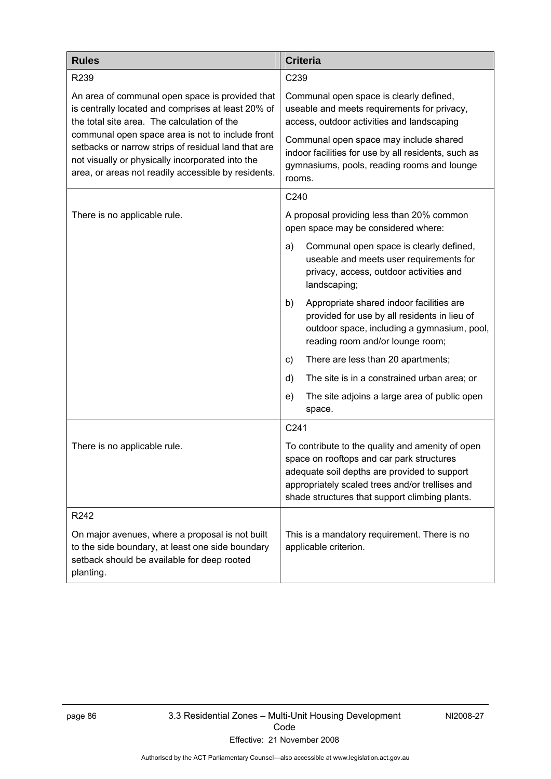| <b>Rules</b>                                                                                                                                                                                                                                                                                                                                                               | <b>Criteria</b>                                                                                                                                                                                                                                                                                |
|----------------------------------------------------------------------------------------------------------------------------------------------------------------------------------------------------------------------------------------------------------------------------------------------------------------------------------------------------------------------------|------------------------------------------------------------------------------------------------------------------------------------------------------------------------------------------------------------------------------------------------------------------------------------------------|
| R239                                                                                                                                                                                                                                                                                                                                                                       | C239                                                                                                                                                                                                                                                                                           |
| An area of communal open space is provided that<br>is centrally located and comprises at least 20% of<br>the total site area. The calculation of the<br>communal open space area is not to include front<br>setbacks or narrow strips of residual land that are<br>not visually or physically incorporated into the<br>area, or areas not readily accessible by residents. | Communal open space is clearly defined,<br>useable and meets requirements for privacy,<br>access, outdoor activities and landscaping<br>Communal open space may include shared<br>indoor facilities for use by all residents, such as<br>gymnasiums, pools, reading rooms and lounge<br>rooms. |
|                                                                                                                                                                                                                                                                                                                                                                            | C240                                                                                                                                                                                                                                                                                           |
| There is no applicable rule.                                                                                                                                                                                                                                                                                                                                               | A proposal providing less than 20% common<br>open space may be considered where:                                                                                                                                                                                                               |
|                                                                                                                                                                                                                                                                                                                                                                            | Communal open space is clearly defined,<br>a)<br>useable and meets user requirements for<br>privacy, access, outdoor activities and<br>landscaping;                                                                                                                                            |
|                                                                                                                                                                                                                                                                                                                                                                            | Appropriate shared indoor facilities are<br>b)<br>provided for use by all residents in lieu of<br>outdoor space, including a gymnasium, pool,<br>reading room and/or lounge room;                                                                                                              |
|                                                                                                                                                                                                                                                                                                                                                                            | There are less than 20 apartments;<br>C)                                                                                                                                                                                                                                                       |
|                                                                                                                                                                                                                                                                                                                                                                            | The site is in a constrained urban area; or<br>d)                                                                                                                                                                                                                                              |
|                                                                                                                                                                                                                                                                                                                                                                            | The site adjoins a large area of public open<br>e)<br>space.                                                                                                                                                                                                                                   |
|                                                                                                                                                                                                                                                                                                                                                                            | C241                                                                                                                                                                                                                                                                                           |
| There is no applicable rule.                                                                                                                                                                                                                                                                                                                                               | To contribute to the quality and amenity of open<br>space on rooftops and car park structures<br>adequate soil depths are provided to support<br>appropriately scaled trees and/or trellises and<br>shade structures that support climbing plants.                                             |
| R242                                                                                                                                                                                                                                                                                                                                                                       |                                                                                                                                                                                                                                                                                                |
| On major avenues, where a proposal is not built<br>to the side boundary, at least one side boundary<br>setback should be available for deep rooted<br>planting.                                                                                                                                                                                                            | This is a mandatory requirement. There is no<br>applicable criterion.                                                                                                                                                                                                                          |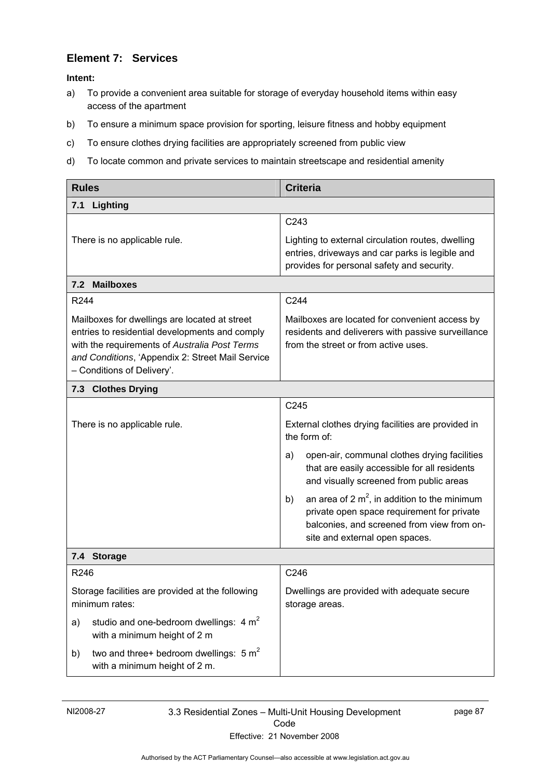### **Element 7: Services**

- a) To provide a convenient area suitable for storage of everyday household items within easy access of the apartment
- b) To ensure a minimum space provision for sporting, leisure fitness and hobby equipment
- c) To ensure clothes drying facilities are appropriately screened from public view
- d) To locate common and private services to maintain streetscape and residential amenity

| <b>Rules</b>                                                                                                                                                                                                                       | <b>Criteria</b>                                                                                                                                                                     |
|------------------------------------------------------------------------------------------------------------------------------------------------------------------------------------------------------------------------------------|-------------------------------------------------------------------------------------------------------------------------------------------------------------------------------------|
| <b>Lighting</b><br>7.1                                                                                                                                                                                                             |                                                                                                                                                                                     |
|                                                                                                                                                                                                                                    | C243                                                                                                                                                                                |
| There is no applicable rule.                                                                                                                                                                                                       | Lighting to external circulation routes, dwelling<br>entries, driveways and car parks is legible and<br>provides for personal safety and security.                                  |
| <b>Mailboxes</b><br>7.2                                                                                                                                                                                                            |                                                                                                                                                                                     |
| R <sub>244</sub>                                                                                                                                                                                                                   | C244                                                                                                                                                                                |
| Mailboxes for dwellings are located at street<br>entries to residential developments and comply<br>with the requirements of Australia Post Terms<br>and Conditions, 'Appendix 2: Street Mail Service<br>- Conditions of Delivery'. | Mailboxes are located for convenient access by<br>residents and deliverers with passive surveillance<br>from the street or from active uses.                                        |
| 7.3 Clothes Drying                                                                                                                                                                                                                 |                                                                                                                                                                                     |
|                                                                                                                                                                                                                                    | C245                                                                                                                                                                                |
| There is no applicable rule.                                                                                                                                                                                                       | External clothes drying facilities are provided in<br>the form of:                                                                                                                  |
|                                                                                                                                                                                                                                    | open-air, communal clothes drying facilities<br>a)<br>that are easily accessible for all residents<br>and visually screened from public areas                                       |
|                                                                                                                                                                                                                                    | an area of 2 $m^2$ , in addition to the minimum<br>b)<br>private open space requirement for private<br>balconies, and screened from view from on-<br>site and external open spaces. |
| 7.4 Storage                                                                                                                                                                                                                        |                                                                                                                                                                                     |
| R <sub>246</sub>                                                                                                                                                                                                                   | C246                                                                                                                                                                                |
| Storage facilities are provided at the following<br>minimum rates:                                                                                                                                                                 | Dwellings are provided with adequate secure<br>storage areas.                                                                                                                       |
| studio and one-bedroom dwellings: $4 m2$<br>a)<br>with a minimum height of 2 m                                                                                                                                                     |                                                                                                                                                                                     |
| two and three+ bedroom dwellings: $5 m2$<br>b)<br>with a minimum height of 2 m.                                                                                                                                                    |                                                                                                                                                                                     |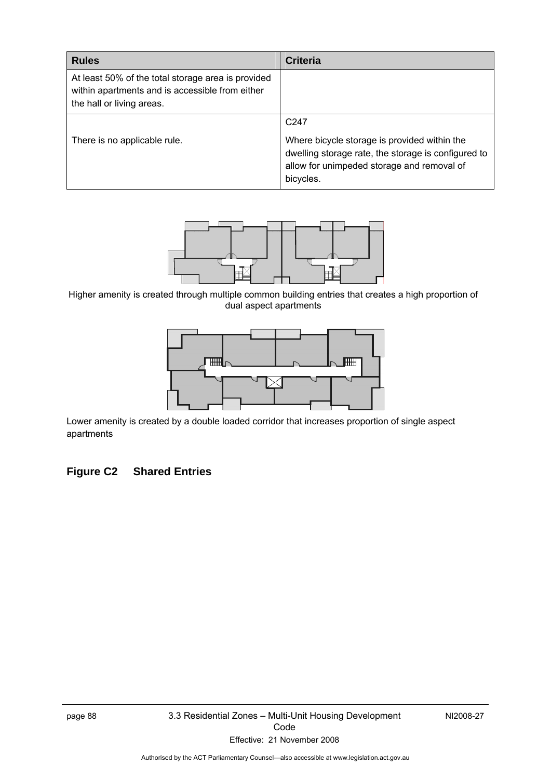| <b>Rules</b>                                                                                                                       | <b>Criteria</b>                                                                                                                                                |
|------------------------------------------------------------------------------------------------------------------------------------|----------------------------------------------------------------------------------------------------------------------------------------------------------------|
| At least 50% of the total storage area is provided<br>within apartments and is accessible from either<br>the hall or living areas. |                                                                                                                                                                |
|                                                                                                                                    | C <sub>247</sub>                                                                                                                                               |
| There is no applicable rule.                                                                                                       | Where bicycle storage is provided within the<br>dwelling storage rate, the storage is configured to<br>allow for unimpeded storage and removal of<br>bicycles. |



Higher amenity is created through multiple common building entries that creates a high proportion of dual aspect apartments



Lower amenity is created by a double loaded corridor that increases proportion of single aspect apartments

# **Figure C2 Shared Entries**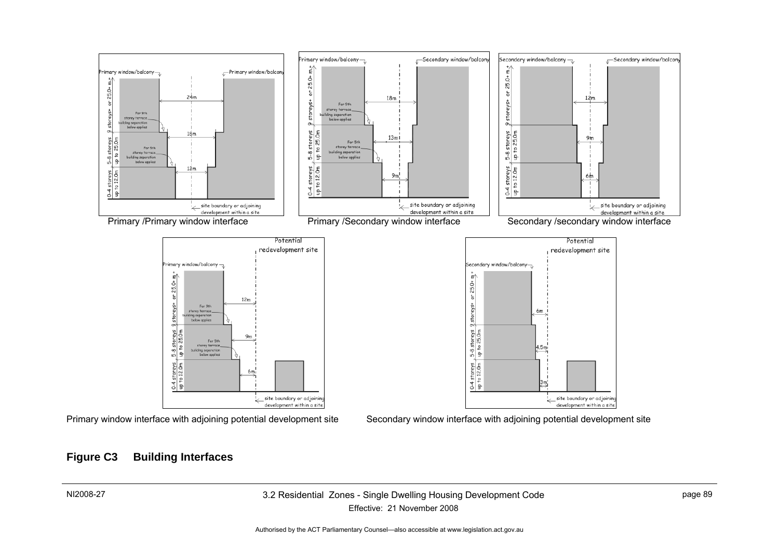

#### **Figure C3 Building Interfaces**

#### NI2008-27 3.2 Residential Zones - Single Dwelling Housing Development Code Effective: 21 November 2008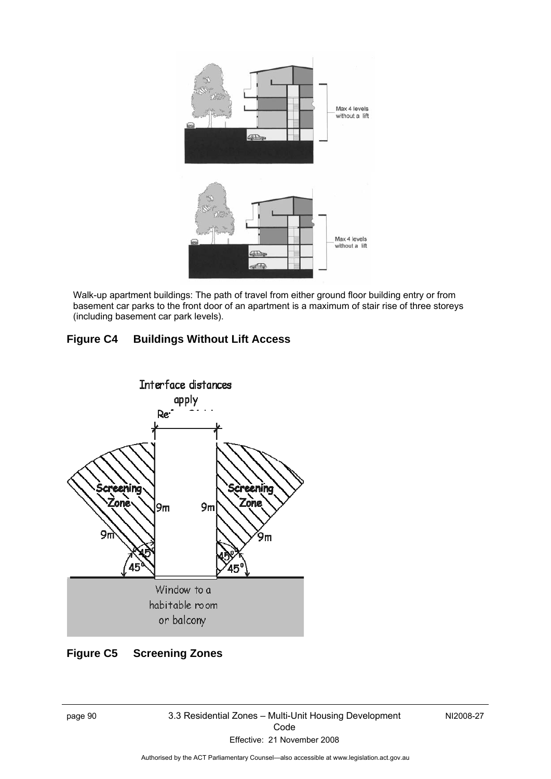

Walk-up apartment buildings: The path of travel from either ground floor building entry or from basement car parks to the front door of an apartment is a maximum of stair rise of three storeys (including basement car park levels).

# **Figure C4 Buildings Without Lift Access**



# **Figure C5 Screening Zones**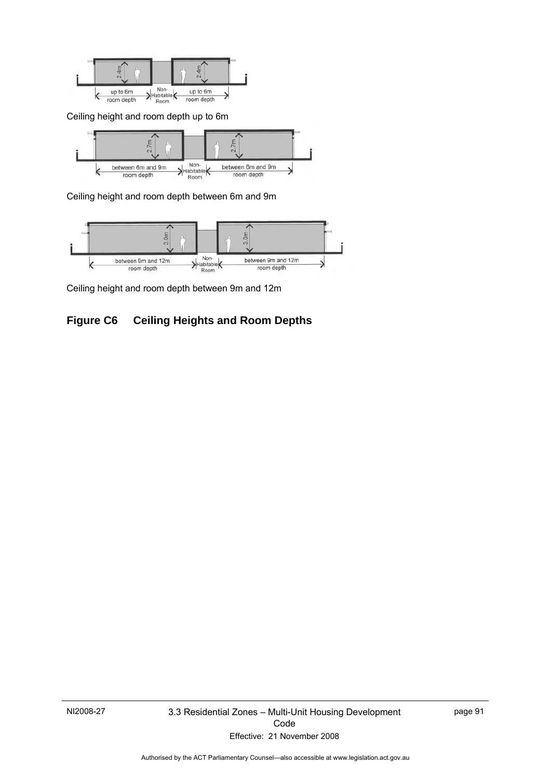

Ceiling height and room depth up to 6m



Ceiling height and room depth between 6m and 9m



Ceiling height and room depth between 9m and 12m

### **Figure C6 Ceiling Heights and Room Depths**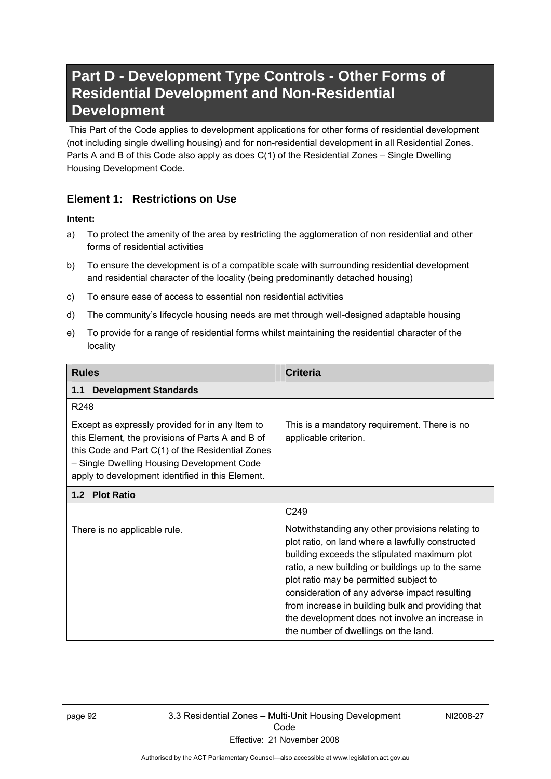# **Part D - Development Type Controls - Other Forms of Residential Development and Non-Residential Development**

 This Part of the Code applies to development applications for other forms of residential development (not including single dwelling housing) and for non-residential development in all Residential Zones. Parts A and B of this Code also apply as does C(1) of the Residential Zones – Single Dwelling Housing Development Code.

### **Element 1: Restrictions on Use**

#### **Intent:**

- a) To protect the amenity of the area by restricting the agglomeration of non residential and other forms of residential activities
- b) To ensure the development is of a compatible scale with surrounding residential development and residential character of the locality (being predominantly detached housing)
- c) To ensure ease of access to essential non residential activities
- d) The community's lifecycle housing needs are met through well-designed adaptable housing
- e) To provide for a range of residential forms whilst maintaining the residential character of the locality

| <b>Rules</b>                                                                                                                                                                                                              | <b>Criteria</b>                                                                                                                                                                                          |  |
|---------------------------------------------------------------------------------------------------------------------------------------------------------------------------------------------------------------------------|----------------------------------------------------------------------------------------------------------------------------------------------------------------------------------------------------------|--|
| <b>Development Standards</b><br>1.1                                                                                                                                                                                       |                                                                                                                                                                                                          |  |
| R <sub>248</sub><br>Except as expressly provided for in any Item to<br>this Element, the provisions of Parts A and B of<br>this Code and Part C(1) of the Residential Zones<br>- Single Dwelling Housing Development Code | This is a mandatory requirement. There is no<br>applicable criterion.                                                                                                                                    |  |
| apply to development identified in this Element.                                                                                                                                                                          |                                                                                                                                                                                                          |  |
| 1.2 Plot Ratio                                                                                                                                                                                                            |                                                                                                                                                                                                          |  |
|                                                                                                                                                                                                                           | C <sub>249</sub>                                                                                                                                                                                         |  |
| There is no applicable rule.                                                                                                                                                                                              | Notwithstanding any other provisions relating to<br>plot ratio, on land where a lawfully constructed<br>building exceeds the stipulated maximum plot<br>ratio a new building or buildings up to the same |  |

atio, a new building or buildings up to the same plot ratio may be permitted subject to consideration of any adverse impact resulting from increase in building bulk and providing that the development does not involve an increase in the number of dwellings on the land.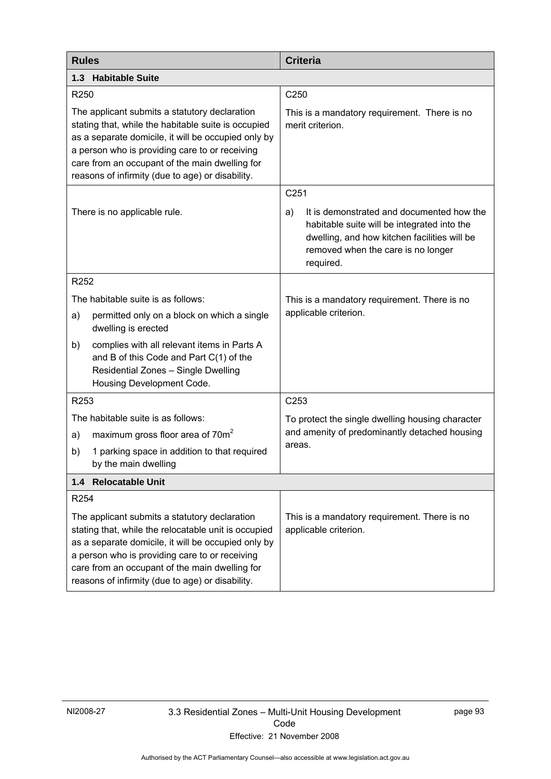| <b>Rules</b>                                                                                                                                                                                                                                                                                                         |                                                                                                                                                            | <b>Criteria</b>                                                                                                                                                                                   |  |  |
|----------------------------------------------------------------------------------------------------------------------------------------------------------------------------------------------------------------------------------------------------------------------------------------------------------------------|------------------------------------------------------------------------------------------------------------------------------------------------------------|---------------------------------------------------------------------------------------------------------------------------------------------------------------------------------------------------|--|--|
|                                                                                                                                                                                                                                                                                                                      | 1.3 Habitable Suite                                                                                                                                        |                                                                                                                                                                                                   |  |  |
| R250                                                                                                                                                                                                                                                                                                                 |                                                                                                                                                            | C250                                                                                                                                                                                              |  |  |
| The applicant submits a statutory declaration<br>stating that, while the habitable suite is occupied<br>as a separate domicile, it will be occupied only by<br>a person who is providing care to or receiving<br>care from an occupant of the main dwelling for<br>reasons of infirmity (due to age) or disability.  |                                                                                                                                                            | This is a mandatory requirement. There is no<br>merit criterion.                                                                                                                                  |  |  |
|                                                                                                                                                                                                                                                                                                                      |                                                                                                                                                            | C <sub>251</sub>                                                                                                                                                                                  |  |  |
| There is no applicable rule.                                                                                                                                                                                                                                                                                         |                                                                                                                                                            | It is demonstrated and documented how the<br>a)<br>habitable suite will be integrated into the<br>dwelling, and how kitchen facilities will be<br>removed when the care is no longer<br>required. |  |  |
| R252                                                                                                                                                                                                                                                                                                                 |                                                                                                                                                            |                                                                                                                                                                                                   |  |  |
|                                                                                                                                                                                                                                                                                                                      | The habitable suite is as follows:                                                                                                                         | This is a mandatory requirement. There is no                                                                                                                                                      |  |  |
| a)                                                                                                                                                                                                                                                                                                                   | permitted only on a block on which a single<br>dwelling is erected                                                                                         | applicable criterion.                                                                                                                                                                             |  |  |
| b)                                                                                                                                                                                                                                                                                                                   | complies with all relevant items in Parts A<br>and B of this Code and Part C(1) of the<br>Residential Zones - Single Dwelling<br>Housing Development Code. |                                                                                                                                                                                                   |  |  |
| R253                                                                                                                                                                                                                                                                                                                 |                                                                                                                                                            | C <sub>253</sub>                                                                                                                                                                                  |  |  |
|                                                                                                                                                                                                                                                                                                                      | The habitable suite is as follows:                                                                                                                         | To protect the single dwelling housing character<br>and amenity of predominantly detached housing<br>areas.                                                                                       |  |  |
| a)                                                                                                                                                                                                                                                                                                                   | maximum gross floor area of 70m <sup>2</sup>                                                                                                               |                                                                                                                                                                                                   |  |  |
| b)                                                                                                                                                                                                                                                                                                                   | 1 parking space in addition to that required<br>by the main dwelling                                                                                       |                                                                                                                                                                                                   |  |  |
| 1.4 Relocatable Unit                                                                                                                                                                                                                                                                                                 |                                                                                                                                                            |                                                                                                                                                                                                   |  |  |
| R <sub>254</sub>                                                                                                                                                                                                                                                                                                     |                                                                                                                                                            |                                                                                                                                                                                                   |  |  |
| The applicant submits a statutory declaration<br>stating that, while the relocatable unit is occupied<br>as a separate domicile, it will be occupied only by<br>a person who is providing care to or receiving<br>care from an occupant of the main dwelling for<br>reasons of infirmity (due to age) or disability. |                                                                                                                                                            | This is a mandatory requirement. There is no<br>applicable criterion.                                                                                                                             |  |  |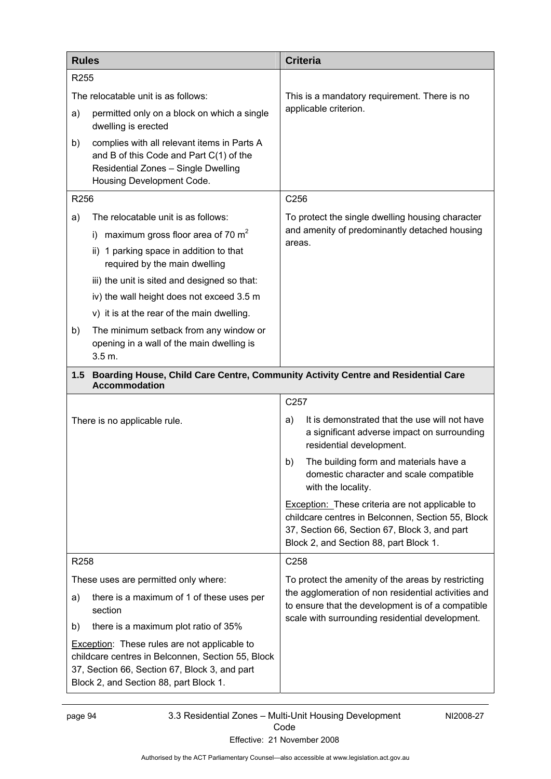| <b>Rules</b>                                                                                                                                                                                        |                                                                                                                                                            | <b>Criteria</b>                                                                                                                                                                                        |  |  |  |
|-----------------------------------------------------------------------------------------------------------------------------------------------------------------------------------------------------|------------------------------------------------------------------------------------------------------------------------------------------------------------|--------------------------------------------------------------------------------------------------------------------------------------------------------------------------------------------------------|--|--|--|
|                                                                                                                                                                                                     | R255                                                                                                                                                       |                                                                                                                                                                                                        |  |  |  |
| The relocatable unit is as follows:                                                                                                                                                                 |                                                                                                                                                            | This is a mandatory requirement. There is no                                                                                                                                                           |  |  |  |
| a)                                                                                                                                                                                                  | permitted only on a block on which a single<br>dwelling is erected                                                                                         | applicable criterion.                                                                                                                                                                                  |  |  |  |
| b)                                                                                                                                                                                                  | complies with all relevant items in Parts A<br>and B of this Code and Part C(1) of the<br>Residential Zones - Single Dwelling<br>Housing Development Code. |                                                                                                                                                                                                        |  |  |  |
| R256                                                                                                                                                                                                |                                                                                                                                                            | C256                                                                                                                                                                                                   |  |  |  |
| a)                                                                                                                                                                                                  | The relocatable unit is as follows:                                                                                                                        | To protect the single dwelling housing character                                                                                                                                                       |  |  |  |
|                                                                                                                                                                                                     | i) maximum gross floor area of 70 $m2$                                                                                                                     | and amenity of predominantly detached housing                                                                                                                                                          |  |  |  |
|                                                                                                                                                                                                     | ii) 1 parking space in addition to that<br>required by the main dwelling                                                                                   | areas.                                                                                                                                                                                                 |  |  |  |
|                                                                                                                                                                                                     | iii) the unit is sited and designed so that:                                                                                                               |                                                                                                                                                                                                        |  |  |  |
|                                                                                                                                                                                                     | iv) the wall height does not exceed 3.5 m                                                                                                                  |                                                                                                                                                                                                        |  |  |  |
|                                                                                                                                                                                                     | v) it is at the rear of the main dwelling.                                                                                                                 |                                                                                                                                                                                                        |  |  |  |
| b)                                                                                                                                                                                                  | The minimum setback from any window or<br>opening in a wall of the main dwelling is<br>3.5 m.                                                              |                                                                                                                                                                                                        |  |  |  |
| 1.5                                                                                                                                                                                                 | Boarding House, Child Care Centre, Community Activity Centre and Residential Care<br><b>Accommodation</b>                                                  |                                                                                                                                                                                                        |  |  |  |
|                                                                                                                                                                                                     |                                                                                                                                                            | C <sub>257</sub>                                                                                                                                                                                       |  |  |  |
| There is no applicable rule.                                                                                                                                                                        |                                                                                                                                                            | It is demonstrated that the use will not have<br>a)<br>a significant adverse impact on surrounding<br>residential development.                                                                         |  |  |  |
|                                                                                                                                                                                                     |                                                                                                                                                            | The building form and materials have a<br>b)<br>domestic character and scale compatible<br>with the locality.                                                                                          |  |  |  |
|                                                                                                                                                                                                     |                                                                                                                                                            | <b>Exception:</b> These criteria are not applicable to<br>childcare centres in Belconnen, Section 55, Block<br>37, Section 66, Section 67, Block 3, and part<br>Block 2, and Section 88, part Block 1. |  |  |  |
| R <sub>258</sub>                                                                                                                                                                                    |                                                                                                                                                            | C258                                                                                                                                                                                                   |  |  |  |
| These uses are permitted only where:                                                                                                                                                                |                                                                                                                                                            | To protect the amenity of the areas by restricting                                                                                                                                                     |  |  |  |
| a)                                                                                                                                                                                                  | there is a maximum of 1 of these uses per<br>section                                                                                                       | the agglomeration of non residential activities and<br>to ensure that the development is of a compatible                                                                                               |  |  |  |
| b)                                                                                                                                                                                                  | there is a maximum plot ratio of 35%                                                                                                                       | scale with surrounding residential development.                                                                                                                                                        |  |  |  |
| <b>Exception:</b> These rules are not applicable to<br>childcare centres in Belconnen, Section 55, Block<br>37, Section 66, Section 67, Block 3, and part<br>Block 2, and Section 88, part Block 1. |                                                                                                                                                            |                                                                                                                                                                                                        |  |  |  |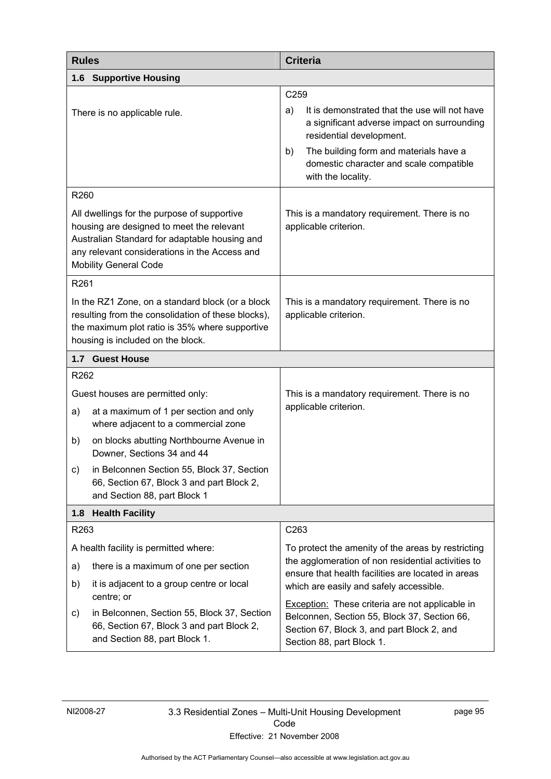| <b>Rules</b>                                                                                                                                                                                                               | <b>Criteria</b>                                                                                                                                                                   |
|----------------------------------------------------------------------------------------------------------------------------------------------------------------------------------------------------------------------------|-----------------------------------------------------------------------------------------------------------------------------------------------------------------------------------|
| <b>Supportive Housing</b><br>1.6                                                                                                                                                                                           |                                                                                                                                                                                   |
|                                                                                                                                                                                                                            | C259                                                                                                                                                                              |
| There is no applicable rule.                                                                                                                                                                                               | It is demonstrated that the use will not have<br>a)<br>a significant adverse impact on surrounding<br>residential development.                                                    |
|                                                                                                                                                                                                                            | The building form and materials have a<br>b)<br>domestic character and scale compatible<br>with the locality.                                                                     |
| R260                                                                                                                                                                                                                       |                                                                                                                                                                                   |
| All dwellings for the purpose of supportive<br>housing are designed to meet the relevant<br>Australian Standard for adaptable housing and<br>any relevant considerations in the Access and<br><b>Mobility General Code</b> | This is a mandatory requirement. There is no<br>applicable criterion.                                                                                                             |
| R261                                                                                                                                                                                                                       |                                                                                                                                                                                   |
| In the RZ1 Zone, on a standard block (or a block<br>resulting from the consolidation of these blocks),<br>the maximum plot ratio is 35% where supportive<br>housing is included on the block.                              | This is a mandatory requirement. There is no<br>applicable criterion.                                                                                                             |
| 1.7 Guest House                                                                                                                                                                                                            |                                                                                                                                                                                   |
| R262                                                                                                                                                                                                                       |                                                                                                                                                                                   |
| Guest houses are permitted only:                                                                                                                                                                                           | This is a mandatory requirement. There is no                                                                                                                                      |
| at a maximum of 1 per section and only<br>a)<br>where adjacent to a commercial zone                                                                                                                                        | applicable criterion.                                                                                                                                                             |
| on blocks abutting Northbourne Avenue in<br>b)<br>Downer, Sections 34 and 44                                                                                                                                               |                                                                                                                                                                                   |
| in Belconnen Section 55, Block 37, Section<br>c)<br>66, Section 67, Block 3 and part Block 2,<br>and Section 88, part Block 1                                                                                              |                                                                                                                                                                                   |
| <b>Health Facility</b><br>1.8                                                                                                                                                                                              |                                                                                                                                                                                   |
| R263                                                                                                                                                                                                                       | C263                                                                                                                                                                              |
| A health facility is permitted where:                                                                                                                                                                                      | To protect the amenity of the areas by restricting                                                                                                                                |
| there is a maximum of one per section<br>a)                                                                                                                                                                                | the agglomeration of non residential activities to<br>ensure that health facilities are located in areas                                                                          |
| b)<br>it is adjacent to a group centre or local<br>centre; or                                                                                                                                                              | which are easily and safely accessible.                                                                                                                                           |
| in Belconnen, Section 55, Block 37, Section<br>c)<br>66, Section 67, Block 3 and part Block 2,<br>and Section 88, part Block 1.                                                                                            | <b>Exception:</b> These criteria are not applicable in<br>Belconnen, Section 55, Block 37, Section 66,<br>Section 67, Block 3, and part Block 2, and<br>Section 88, part Block 1. |